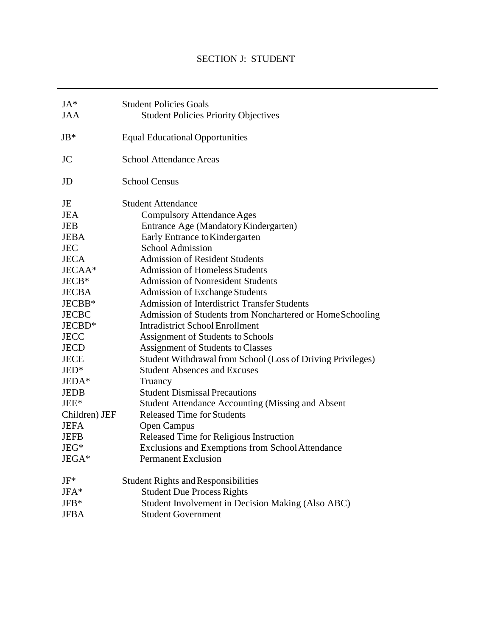# SECTION J: STUDENT

| $JA*$                              | <b>Student Policies Goals</b>                               |  |
|------------------------------------|-------------------------------------------------------------|--|
| <b>JAA</b>                         | <b>Student Policies Priority Objectives</b>                 |  |
|                                    |                                                             |  |
| $JB*$                              | <b>Equal Educational Opportunities</b>                      |  |
|                                    |                                                             |  |
| JC                                 | <b>School Attendance Areas</b>                              |  |
|                                    |                                                             |  |
| JD                                 | <b>School Census</b>                                        |  |
|                                    |                                                             |  |
| JE                                 | <b>Student Attendance</b>                                   |  |
| <b>JEA</b>                         | <b>Compulsory Attendance Ages</b>                           |  |
| <b>JEB</b>                         | Entrance Age (Mandatory Kindergarten)                       |  |
| <b>JEBA</b>                        | Early Entrance to Kindergarten                              |  |
| <b>JEC</b>                         | <b>School Admission</b>                                     |  |
| <b>JECA</b>                        | <b>Admission of Resident Students</b>                       |  |
| JECAA*                             | <b>Admission of Homeless Students</b>                       |  |
| $JECB*$                            | <b>Admission of Nonresident Students</b>                    |  |
| <b>JECBA</b>                       | <b>Admission of Exchange Students</b>                       |  |
| JECBB*                             | <b>Admission of Interdistrict Transfer Students</b>         |  |
| <b>JECBC</b>                       | Admission of Students from Nonchartered or HomeSchooling    |  |
| JECBD*                             | <b>Intradistrict School Enrollment</b>                      |  |
| <b>JECC</b>                        | Assignment of Students to Schools                           |  |
| JECD                               | <b>Assignment of Students to Classes</b>                    |  |
| JECE                               | Student Withdrawal from School (Loss of Driving Privileges) |  |
| $JED*$                             | <b>Student Absences and Excuses</b>                         |  |
| JEDA*                              | Truancy                                                     |  |
| <b>JEDB</b>                        | <b>Student Dismissal Precautions</b>                        |  |
| $JEE*$                             | Student Attendance Accounting (Missing and Absent           |  |
| Children) JEF                      | <b>Released Time for Students</b>                           |  |
| <b>JEFA</b>                        | <b>Open Campus</b>                                          |  |
| <b>JEFB</b>                        | Released Time for Religious Instruction                     |  |
| $\mathrm{J}\mathrm{E}\mathrm{G}^*$ | Exclusions and Exemptions from School Attendance            |  |
| JEGA*                              | <b>Permanent Exclusion</b>                                  |  |
|                                    |                                                             |  |
| $JF^*$                             | <b>Student Rights and Responsibilities</b>                  |  |
| $JFA*$                             | <b>Student Due Process Rights</b>                           |  |
| $JFB*$                             | Student Involvement in Decision Making (Also ABC)           |  |
| <b>JFBA</b>                        | <b>Student Government</b>                                   |  |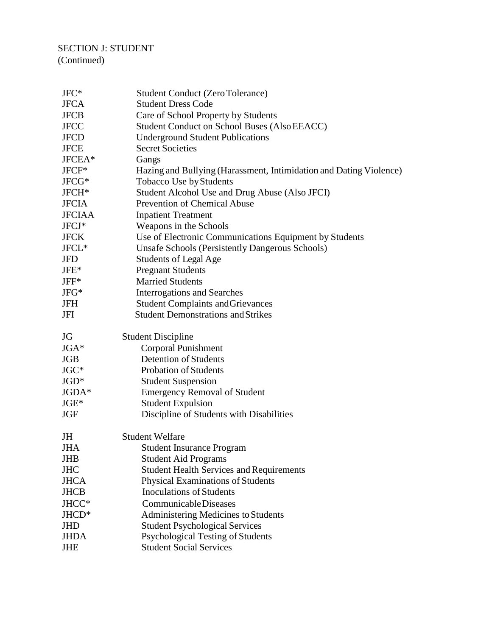# SECTION J: STUDENT (Continued)

| $JFC*$            | <b>Student Conduct (Zero Tolerance)</b>                             |
|-------------------|---------------------------------------------------------------------|
| <b>JFCA</b>       | <b>Student Dress Code</b>                                           |
| <b>JFCB</b>       | Care of School Property by Students                                 |
| <b>JFCC</b>       | <b>Student Conduct on School Buses (Also EEACC)</b>                 |
| <b>JFCD</b>       | <b>Underground Student Publications</b>                             |
| <b>JFCE</b>       | <b>Secret Societies</b>                                             |
| JFCEA*            | Gangs                                                               |
| $JFCF*$           | Hazing and Bullying (Harassment, Intimidation and Dating Violence)  |
| JFCG*             | Tobacco Use by Students                                             |
| JFCH <sup>*</sup> | Student Alcohol Use and Drug Abuse (Also JFCI)                      |
| <b>JFCIA</b>      | <b>Prevention of Chemical Abuse</b>                                 |
| <b>JFCIAA</b>     | <b>Inpatient Treatment</b>                                          |
| JFCJ*             | Weapons in the Schools                                              |
| <b>JFCK</b>       | Use of Electronic Communications Equipment by Students              |
| JFCL*             | <b>Unsafe Schools (Persistently Dangerous Schools)</b>              |
| <b>JFD</b>        | <b>Students of Legal Age</b>                                        |
| $JFE*$            | <b>Pregnant Students</b>                                            |
| $JFF*$            | <b>Married Students</b>                                             |
| $JFG*$            | <b>Interrogations and Searches</b>                                  |
| JFH               | <b>Student Complaints and Grievances</b>                            |
| JFI               | <b>Student Demonstrations and Strikes</b>                           |
|                   |                                                                     |
| JG                | <b>Student Discipline</b>                                           |
| $JGA*$            | <b>Corporal Punishment</b>                                          |
| <b>JGB</b>        | <b>Detention of Students</b>                                        |
| $JGC*$            | <b>Probation of Students</b>                                        |
| $JGD*$            | <b>Student Suspension</b>                                           |
| JGDA*             | <b>Emergency Removal of Student</b>                                 |
| $JGE*$            | <b>Student Expulsion</b>                                            |
| <b>JGF</b>        | Discipline of Students with Disabilities                            |
| JH                | <b>Student Welfare</b>                                              |
| <b>JHA</b>        | <b>Student Insurance Program</b>                                    |
| <b>JHB</b>        | <b>Student Aid Programs</b>                                         |
| <b>JHC</b>        | <b>Student Health Services and Requirements</b>                     |
| <b>JHCA</b>       | Physical Examinations of Students                                   |
| <b>JHCB</b>       | <b>Inoculations of Students</b>                                     |
| JHCC*             | Communicable Diseases                                               |
| JHCD*             | Administering Medicines to Students                                 |
| <b>JHD</b>        | <b>Student Psychological Services</b>                               |
| <b>JHDA</b>       | Psychological Testing of Students<br><b>Student Social Services</b> |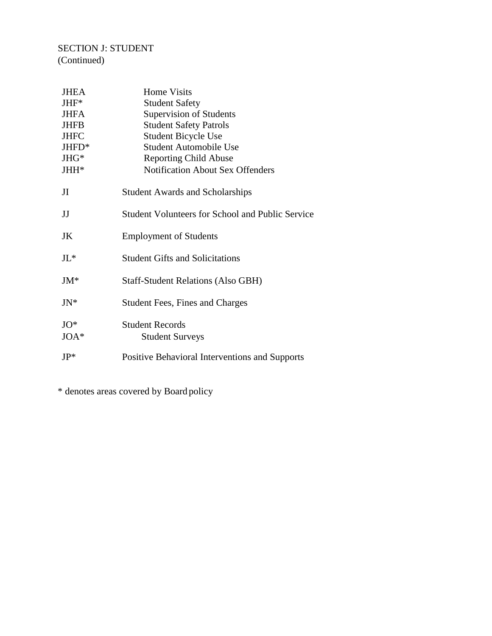# SECTION J: STUDENT (Continued)

| <b>JHEA</b>      | <b>Home Visits</b>                                      |  |
|------------------|---------------------------------------------------------|--|
| JHF*             | <b>Student Safety</b>                                   |  |
| <b>JHFA</b>      | Supervision of Students                                 |  |
| <b>JHFB</b>      | <b>Student Safety Patrols</b>                           |  |
| <b>JHFC</b>      | <b>Student Bicycle Use</b>                              |  |
| JHFD*            | <b>Student Automobile Use</b>                           |  |
| JHG*             | <b>Reporting Child Abuse</b>                            |  |
| JHH <sup>*</sup> | <b>Notification About Sex Offenders</b>                 |  |
| JI               | <b>Student Awards and Scholarships</b>                  |  |
| JJ               | <b>Student Volunteers for School and Public Service</b> |  |
| JK               | <b>Employment of Students</b>                           |  |
| J <sub>L</sub>   | <b>Student Gifts and Solicitations</b>                  |  |
| $JM^*$           | <b>Staff-Student Relations (Also GBH)</b>               |  |
| $JN^*$           | <b>Student Fees, Fines and Charges</b>                  |  |
| $JO*$            | <b>Student Records</b>                                  |  |
| JOA*             | <b>Student Surveys</b>                                  |  |
| $JP*$            | Positive Behavioral Interventions and Supports          |  |

\* denotes areas covered by Board policy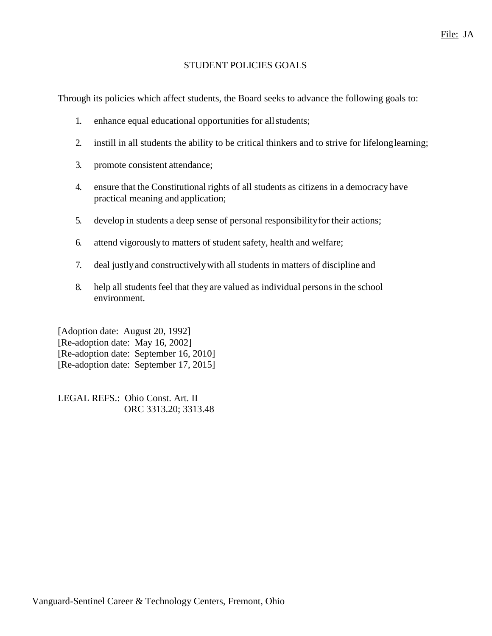## STUDENT POLICIES GOALS

Through its policies which affect students, the Board seeks to advance the following goals to:

- 1. enhance equal educational opportunities for allstudents;
- 2. instill in all students the ability to be critical thinkers and to strive for lifelonglearning;
- 3. promote consistent attendance;
- 4. ensure that the Constitutional rights of all students as citizens in a democracy have practical meaning and application;
- 5. develop in students a deep sense of personal responsibilityfor their actions;
- 6. attend vigorouslyto matters of student safety, health and welfare;
- 7. deal justlyand constructivelywith all students in matters of discipline and
- 8. help all students feel that they are valued as individual persons in the school environment.

[Adoption date: August 20, 1992] [Re-adoption date: May 16, 2002] [Re-adoption date: September 16, 2010] [Re-adoption date: September 17, 2015]

LEGAL REFS.: Ohio Const. Art. II ORC 3313.20; 3313.48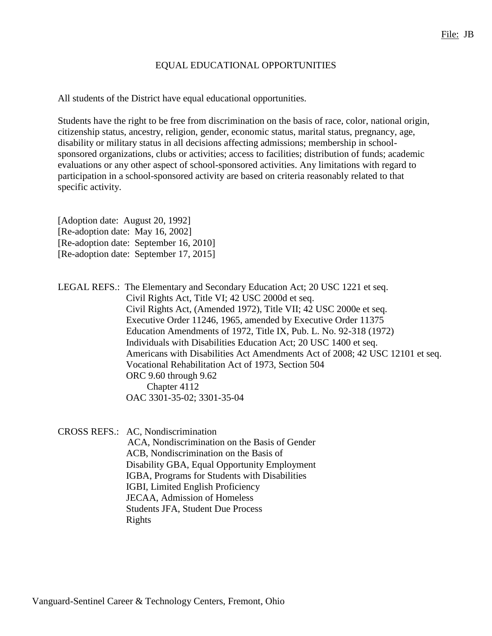## EQUAL EDUCATIONAL OPPORTUNITIES

All students of the District have equal educational opportunities.

Students have the right to be free from discrimination on the basis of race, color, national origin, citizenship status, ancestry, religion, gender, economic status, marital status, pregnancy, age, disability or military status in all decisions affecting admissions; membership in schoolsponsored organizations, clubs or activities; access to facilities; distribution of funds; academic evaluations or any other aspect of school-sponsored activities. Any limitations with regard to participation in a school-sponsored activity are based on criteria reasonably related to that specific activity.

[Adoption date: August 20, 1992] [Re-adoption date: May 16, 2002] [Re-adoption date: September 16, 2010] [Re-adoption date: September 17, 2015]

LEGAL REFS.: The Elementary and Secondary Education Act; 20 USC 1221 et seq. Civil Rights Act, Title VI; 42 USC 2000d et seq. Civil Rights Act, (Amended 1972), Title VII; 42 USC 2000e et seq. Executive Order 11246, 1965, amended by Executive Order 11375 Education Amendments of 1972, Title IX, Pub. L. No. 92-318 (1972) Individuals with Disabilities Education Act; 20 USC 1400 et seq. Americans with Disabilities Act Amendments Act of 2008; 42 USC 12101 et seq. Vocational Rehabilitation Act of 1973, Section 504 ORC 9.60 through 9.62 Chapter 4112 OAC 3301-35-02; 3301-35-04

CROSS REFS.: AC, Nondiscrimination ACA, Nondiscrimination on the Basis of Gender ACB, Nondiscrimination on the Basis of Disability GBA, Equal Opportunity Employment IGBA, Programs for Students with Disabilities IGBI, Limited English Proficiency JECAA, Admission of Homeless Students JFA, Student Due Process Rights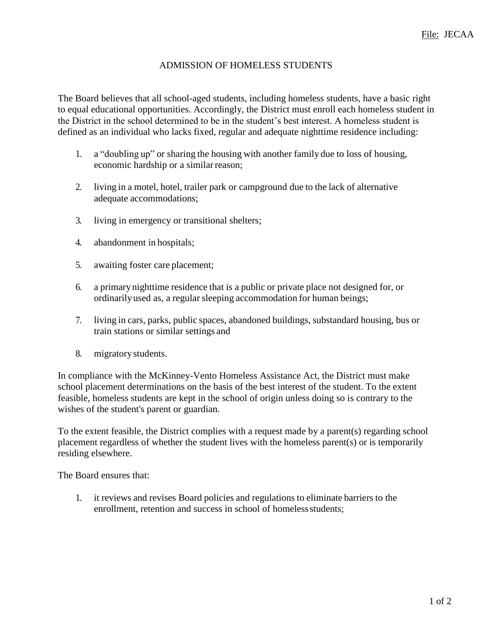## ADMISSION OF HOMELESS STUDENTS

The Board believes that all school-aged students, including homeless students, have a basic right to equal educational opportunities. Accordingly, the District must enroll each homeless student in the District in the school determined to be in the student's best interest. A homeless student is defined as an individual who lacks fixed, regular and adequate nighttime residence including:

- 1. a "doubling up" or sharing the housing with another family due to loss of housing, economic hardship or a similar reason;
- 2. living in a motel, hotel, trailer park or campground due to the lack of alternative adequate accommodations;
- 3. living in emergency or transitional shelters;
- 4. abandonment in hospitals;
- 5. awaiting foster care placement;
- 6. a primary nighttime residence that is a public or private place not designed for, or ordinarilyused as, a regular sleeping accommodation for human beings;
- 7. living in cars, parks, public spaces, abandoned buildings, substandard housing, bus or train stations or similar settings and
- 8. migratorystudents.

In compliance with the McKinney-Vento Homeless Assistance Act, the District must make school placement determinations on the basis of the best interest of the student. To the extent feasible, homeless students are kept in the school of origin unless doing so is contrary to the wishes of the student's parent or guardian.

To the extent feasible, the District complies with a request made by a parent(s) regarding school placement regardless of whether the student lives with the homeless parent(s) or is temporarily residing elsewhere.

The Board ensures that:

1. it reviews and revises Board policies and regulations to eliminate barriers to the enrollment, retention and success in school of homeless students;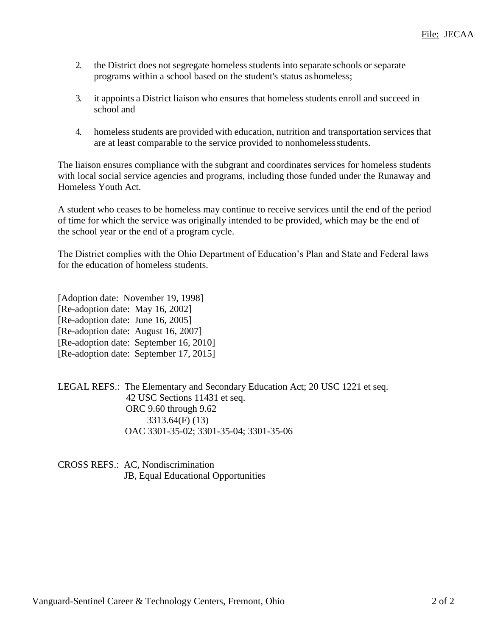- 2. the District does not segregate homeless students into separate schools or separate programs within a school based on the student's status ashomeless;
- 3. it appoints a District liaison who ensures that homeless students enroll and succeed in school and
- 4. homeless students are provided with education, nutrition and transportation services that are at least comparable to the service provided to nonhomelessstudents.

The liaison ensures compliance with the subgrant and coordinates services for homeless students with local social service agencies and programs, including those funded under the Runaway and Homeless Youth Act.

A student who ceases to be homeless may continue to receive services until the end of the period of time for which the service was originally intended to be provided, which may be the end of the school year or the end of a program cycle.

The District complies with the Ohio Department of Education's Plan and State and Federal laws for the education of homeless students.

[Adoption date: November 19, 1998] [Re-adoption date: May 16, 2002] [Re-adoption date: June 16, 2005] [Re-adoption date: August 16, 2007] [Re-adoption date: September 16, 2010] [Re-adoption date: September 17, 2015]

LEGAL REFS.: The Elementary and Secondary Education Act; 20 USC 1221 et seq. 42 USC Sections 11431 et seq. ORC 9.60 through 9.62 3313.64(F) (13) OAC 3301-35-02; 3301-35-04; 3301-35-06

CROSS REFS.: AC, Nondiscrimination JB, Equal Educational Opportunities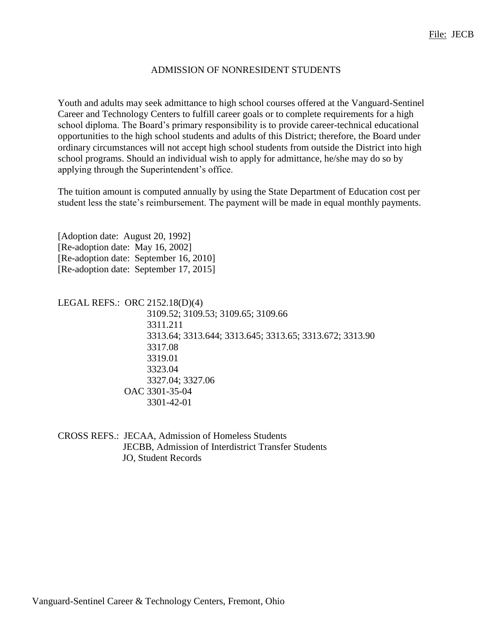#### ADMISSION OF NONRESIDENT STUDENTS

Youth and adults may seek admittance to high school courses offered at the Vanguard-Sentinel Career and Technology Centers to fulfill career goals or to complete requirements for a high school diploma. The Board's primary responsibility is to provide career-technical educational opportunities to the high school students and adults of this District; therefore, the Board under ordinary circumstances will not accept high school students from outside the District into high school programs. Should an individual wish to apply for admittance, he/she may do so by applying through the Superintendent's office.

The tuition amount is computed annually by using the State Department of Education cost per student less the state's reimbursement. The payment will be made in equal monthly payments.

[Adoption date: August 20, 1992] [Re-adoption date: May 16, 2002] [Re-adoption date: September 16, 2010] [Re-adoption date: September 17, 2015]

LEGAL REFS.: ORC 2152.18(D)(4) 3109.52; 3109.53; 3109.65; 3109.66 3311.211 3313.64; 3313.644; 3313.645; 3313.65; 3313.672; 3313.90 3317.08 3319.01 3323.04 3327.04; 3327.06 OAC 3301-35-04 3301-42-01

CROSS REFS.: JECAA, Admission of Homeless Students JECBB, Admission of Interdistrict Transfer Students JO, Student Records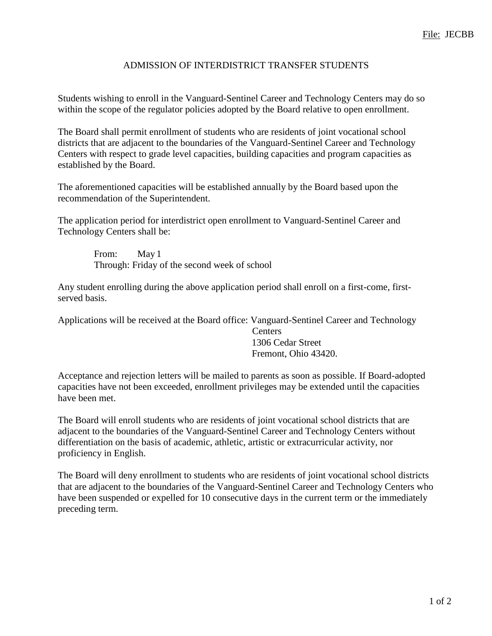## ADMISSION OF INTERDISTRICT TRANSFER STUDENTS

Students wishing to enroll in the Vanguard-Sentinel Career and Technology Centers may do so within the scope of the regulator policies adopted by the Board relative to open enrollment.

The Board shall permit enrollment of students who are residents of joint vocational school districts that are adjacent to the boundaries of the Vanguard-Sentinel Career and Technology Centers with respect to grade level capacities, building capacities and program capacities as established by the Board.

The aforementioned capacities will be established annually by the Board based upon the recommendation of the Superintendent.

The application period for interdistrict open enrollment to Vanguard-Sentinel Career and Technology Centers shall be:

> From: May 1 Through: Friday of the second week of school

Any student enrolling during the above application period shall enroll on a first-come, firstserved basis.

Applications will be received at the Board office: Vanguard-Sentinel Career and Technology

**Centers** 1306 Cedar Street Fremont, Ohio 43420.

Acceptance and rejection letters will be mailed to parents as soon as possible. If Board-adopted capacities have not been exceeded, enrollment privileges may be extended until the capacities have been met.

The Board will enroll students who are residents of joint vocational school districts that are adjacent to the boundaries of the Vanguard-Sentinel Career and Technology Centers without differentiation on the basis of academic, athletic, artistic or extracurricular activity, nor proficiency in English.

The Board will deny enrollment to students who are residents of joint vocational school districts that are adjacent to the boundaries of the Vanguard-Sentinel Career and Technology Centers who have been suspended or expelled for 10 consecutive days in the current term or the immediately preceding term.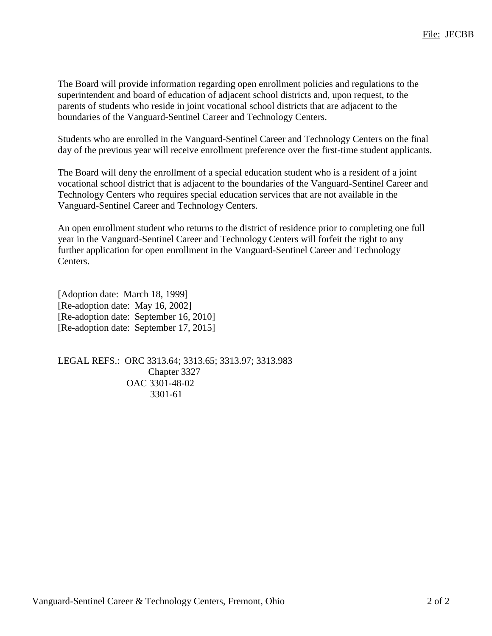The Board will provide information regarding open enrollment policies and regulations to the superintendent and board of education of adjacent school districts and, upon request, to the parents of students who reside in joint vocational school districts that are adjacent to the boundaries of the Vanguard-Sentinel Career and Technology Centers.

Students who are enrolled in the Vanguard-Sentinel Career and Technology Centers on the final day of the previous year will receive enrollment preference over the first-time student applicants.

The Board will deny the enrollment of a special education student who is a resident of a joint vocational school district that is adjacent to the boundaries of the Vanguard-Sentinel Career and Technology Centers who requires special education services that are not available in the Vanguard-Sentinel Career and Technology Centers.

An open enrollment student who returns to the district of residence prior to completing one full year in the Vanguard-Sentinel Career and Technology Centers will forfeit the right to any further application for open enrollment in the Vanguard-Sentinel Career and Technology Centers.

[Adoption date: March 18, 1999] [Re-adoption date: May 16, 2002] [Re-adoption date: September 16, 2010] [Re-adoption date: September 17, 2015]

LEGAL REFS.: ORC 3313.64; 3313.65; 3313.97; 3313.983 Chapter 3327 OAC 3301-48-02 3301-61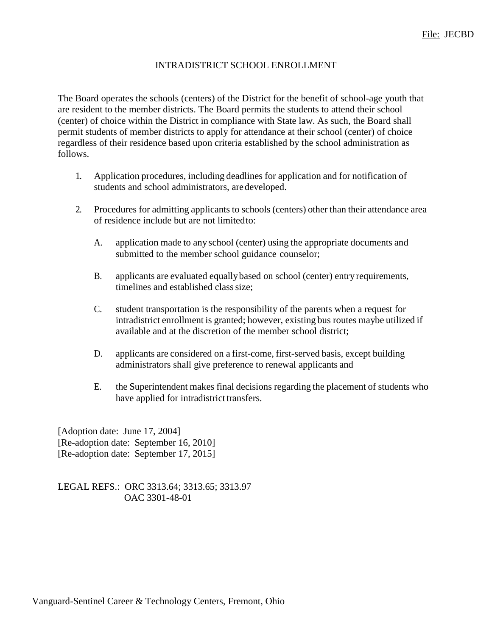## INTRADISTRICT SCHOOL ENROLLMENT

The Board operates the schools (centers) of the District for the benefit of school-age youth that are resident to the member districts. The Board permits the students to attend their school (center) of choice within the District in compliance with State law. As such, the Board shall permit students of member districts to apply for attendance at their school (center) of choice regardless of their residence based upon criteria established by the school administration as follows.

- 1. Application procedures, including deadlines for application and for notification of students and school administrators, aredeveloped.
- 2. Procedures for admitting applicants to schools (centers) other than their attendance area of residence include but are not limitedto:
	- A. application made to any school (center) using the appropriate documents and submitted to the member school guidance counselor;
	- B. applicants are evaluated equallybased on school (center) entry requirements, timelines and established class size;
	- C. student transportation is the responsibility of the parents when a request for intradistrict enrollment is granted; however, existing bus routes maybe utilized if available and at the discretion of the member school district;
	- D. applicants are considered on a first-come, first-served basis, except building administrators shall give preference to renewal applicants and
	- E. the Superintendent makes final decisions regarding the placement of students who have applied for intradistrict transfers.

[Adoption date: June 17, 2004] [Re-adoption date: September 16, 2010] [Re-adoption date: September 17, 2015]

LEGAL REFS.: ORC 3313.64; 3313.65; 3313.97 OAC 3301-48-01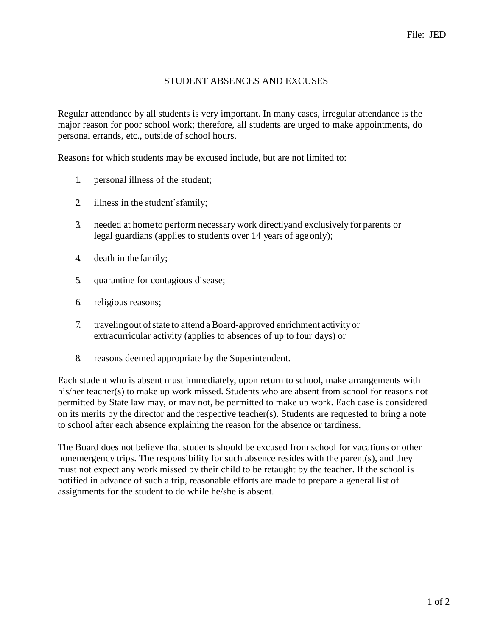# STUDENT ABSENCES AND EXCUSES

Regular attendance by all students is very important. In many cases, irregular attendance is the major reason for poor school work; therefore, all students are urged to make appointments, do personal errands, etc., outside of school hours.

Reasons for which students may be excused include, but are not limited to:

- 1. personal illness of the student;
- 2. illness in the student'sfamily;
- 3. needed at home to perform necessary work directlyand exclusively for parents or legal guardians (applies to students over 14 years of ageonly);
- 4. death in thefamily;
- 5. quarantine for contagious disease;
- 6. religious reasons;
- 7. travelingout ofstate to attend aBoard-approved enrichment activity or extracurricular activity (applies to absences of up to four days) or
- 8. reasons deemed appropriate by the Superintendent.

Each student who is absent must immediately, upon return to school, make arrangements with his/her teacher(s) to make up work missed. Students who are absent from school for reasons not permitted by State law may, or may not, be permitted to make up work. Each case is considered on its merits by the director and the respective teacher(s). Students are requested to bring a note to school after each absence explaining the reason for the absence or tardiness.

The Board does not believe that students should be excused from school for vacations or other nonemergency trips. The responsibility for such absence resides with the parent(s), and they must not expect any work missed by their child to be retaught by the teacher. If the school is notified in advance of such a trip, reasonable efforts are made to prepare a general list of assignments for the student to do while he/she is absent.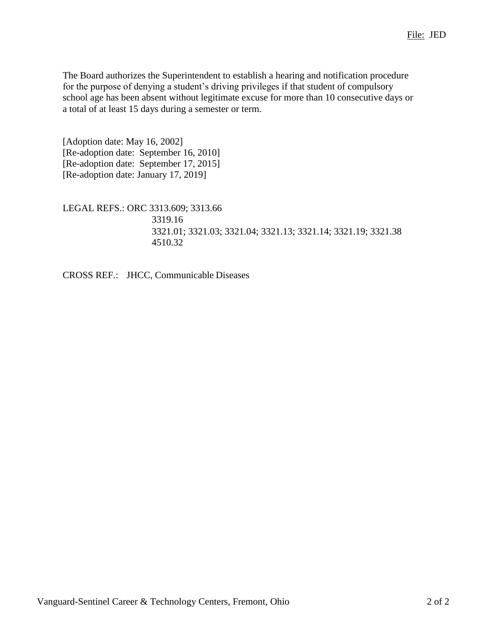The Board authorizes the Superintendent to establish a hearing and notification procedure for the purpose of denying a student's driving privileges if that student of compulsory school age has been absent without legitimate excuse for more than 10 consecutive days or a total of at least 15 days during a semester or term.

[Adoption date: May 16, 2002] [Re-adoption date: September 16, 2010] [Re-adoption date: September 17, 2015] [Re-adoption date: January 17, 2019]

LEGAL REFS.: ORC 3313.609; 3313.66 3319.16 3321.01; 3321.03; 3321.04; 3321.13; 3321.14; 3321.19; 3321.38 4510.32

CROSS REF.: JHCC, Communicable Diseases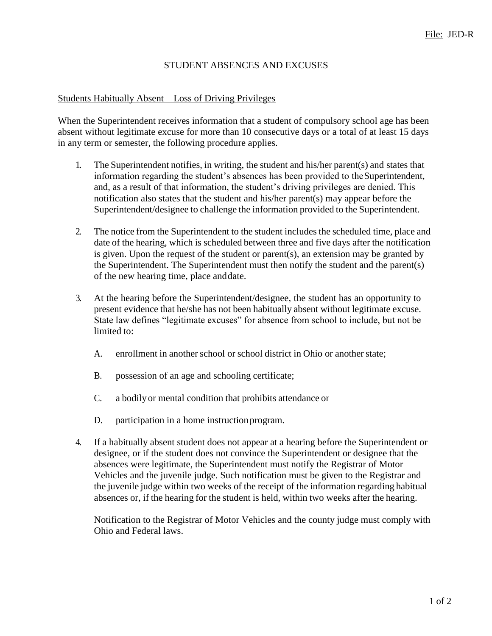## STUDENT ABSENCES AND EXCUSES

#### Students Habitually Absent – Loss of Driving Privileges

When the Superintendent receives information that a student of compulsory school age has been absent without legitimate excuse for more than 10 consecutive days or a total of at least 15 days in any term or semester, the following procedure applies.

- 1. The Superintendent notifies, in writing, the student and his/her parent(s) and states that information regarding the student's absences has been provided to theSuperintendent, and, as a result of that information, the student's driving privileges are denied. This notification also states that the student and his/her parent(s) may appear before the Superintendent/designee to challenge the information provided to the Superintendent.
- 2. The notice from the Superintendent to the student includes the scheduled time, place and date of the hearing, which is scheduled between three and five days after the notification is given. Upon the request of the student or parent(s), an extension may be granted by the Superintendent. The Superintendent must then notify the student and the parent(s) of the new hearing time, place anddate.
- 3. At the hearing before the Superintendent/designee, the student has an opportunity to present evidence that he/she has not been habitually absent without legitimate excuse. State law defines "legitimate excuses" for absence from school to include, but not be limited to:
	- A. enrollment in another school or school district in Ohio or another state;
	- B. possession of an age and schooling certificate;
	- C. a bodily or mental condition that prohibits attendance or
	- D. participation in a home instruction program.
- 4. If a habitually absent student does not appear at a hearing before the Superintendent or designee, or if the student does not convince the Superintendent or designee that the absences were legitimate, the Superintendent must notify the Registrar of Motor Vehicles and the juvenile judge. Such notification must be given to the Registrar and the juvenile judge within two weeks of the receipt of the information regarding habitual absences or, if the hearing for the student is held, within two weeks after the hearing.

Notification to the Registrar of Motor Vehicles and the county judge must comply with Ohio and Federal laws.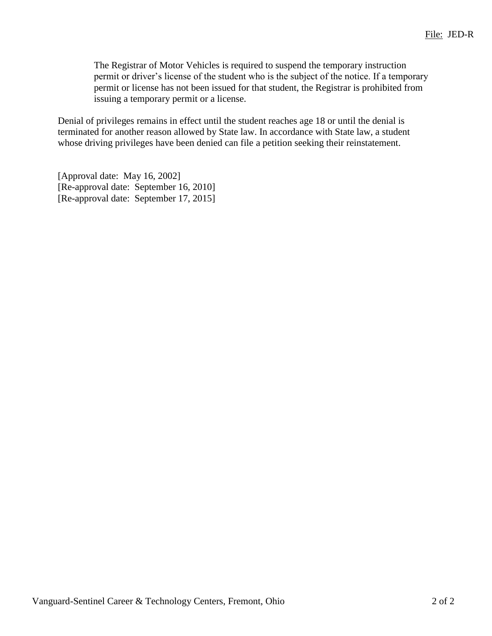The Registrar of Motor Vehicles is required to suspend the temporary instruction permit or driver's license of the student who is the subject of the notice. If a temporary permit or license has not been issued for that student, the Registrar is prohibited from issuing a temporary permit or a license.

Denial of privileges remains in effect until the student reaches age 18 or until the denial is terminated for another reason allowed by State law. In accordance with State law, a student whose driving privileges have been denied can file a petition seeking their reinstatement.

[Approval date: May 16, 2002] [Re-approval date: September 16, 2010] [Re-approval date: September 17, 2015]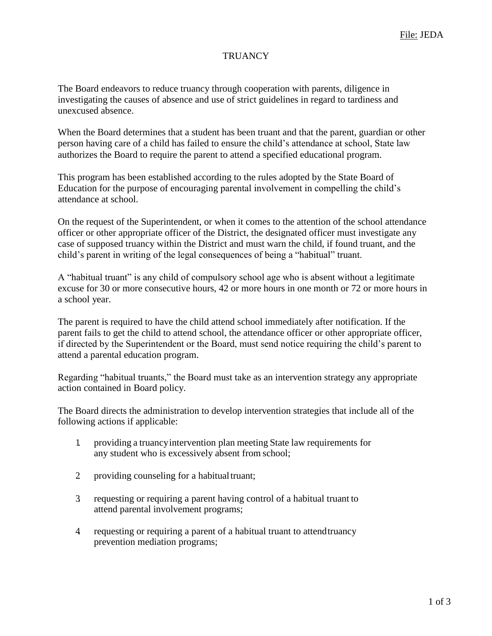## **TRUANCY**

The Board endeavors to reduce truancy through cooperation with parents, diligence in investigating the causes of absence and use of strict guidelines in regard to tardiness and unexcused absence.

When the Board determines that a student has been truant and that the parent, guardian or other person having care of a child has failed to ensure the child's attendance at school, State law authorizes the Board to require the parent to attend a specified educational program.

This program has been established according to the rules adopted by the State Board of Education for the purpose of encouraging parental involvement in compelling the child's attendance at school.

On the request of the Superintendent, or when it comes to the attention of the school attendance officer or other appropriate officer of the District, the designated officer must investigate any case of supposed truancy within the District and must warn the child, if found truant, and the child's parent in writing of the legal consequences of being a "habitual" truant.

A "habitual truant" is any child of compulsory school age who is absent without a legitimate excuse for 30 or more consecutive hours, 42 or more hours in one month or 72 or more hours in a school year.

The parent is required to have the child attend school immediately after notification. If the parent fails to get the child to attend school, the attendance officer or other appropriate officer, if directed by the Superintendent or the Board, must send notice requiring the child's parent to attend a parental education program.

Regarding "habitual truants," the Board must take as an intervention strategy any appropriate action contained in Board policy.

The Board directs the administration to develop intervention strategies that include all of the following actions if applicable:

- 1. providing a truancyintervention plan meeting State law requirements for any student who is excessively absent from school;
- 2 providing counseling for a habitual truant;
- 3. requesting or requiring a parent having control of a habitual truant to attend parental involvement programs;
- 4. requesting or requiring a parent of a habitual truant to attendtruancy prevention mediation programs;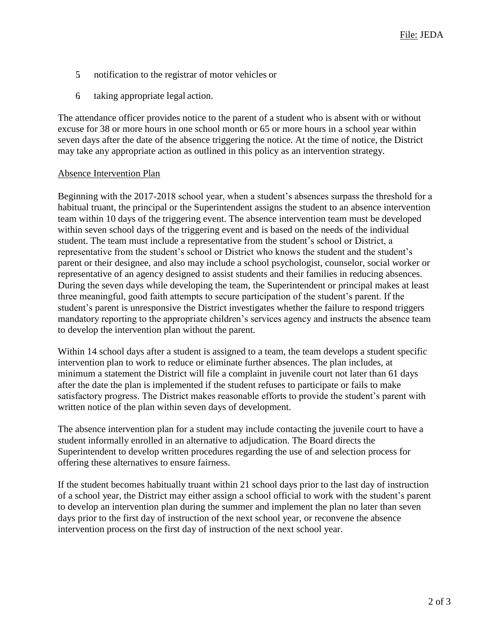- 5. notification to the registrar of motor vehicles or
- 6. taking appropriate legal action.

The attendance officer provides notice to the parent of a student who is absent with or without excuse for 38 or more hours in one school month or 65 or more hours in a school year within seven days after the date of the absence triggering the notice. At the time of notice, the District may take any appropriate action as outlined in this policy as an intervention strategy.

#### Absence Intervention Plan

Beginning with the 2017-2018 school year, when a student's absences surpass the threshold for a habitual truant, the principal or the Superintendent assigns the student to an absence intervention team within 10 days of the triggering event. The absence intervention team must be developed within seven school days of the triggering event and is based on the needs of the individual student. The team must include a representative from the student's school or District, a representative from the student's school or District who knows the student and the student's parent or their designee, and also may include a school psychologist, counselor, social worker or representative of an agency designed to assist students and their families in reducing absences. During the seven days while developing the team, the Superintendent or principal makes at least three meaningful, good faith attempts to secure participation of the student's parent. If the student's parent is unresponsive the District investigates whether the failure to respond triggers mandatory reporting to the appropriate children's services agency and instructs the absence team to develop the intervention plan without the parent.

Within 14 school days after a student is assigned to a team, the team develops a student specific intervention plan to work to reduce or eliminate further absences. The plan includes, at minimum a statement the District will file a complaint in juvenile court not later than 61 days after the date the plan is implemented if the student refuses to participate or fails to make satisfactory progress. The District makes reasonable efforts to provide the student's parent with written notice of the plan within seven days of development.

The absence intervention plan for a student may include contacting the juvenile court to have a student informally enrolled in an alternative to adjudication. The Board directs the Superintendent to develop written procedures regarding the use of and selection process for offering these alternatives to ensure fairness.

If the student becomes habitually truant within 21 school days prior to the last day of instruction of a school year, the District may either assign a school official to work with the student's parent to develop an intervention plan during the summer and implement the plan no later than seven days prior to the first day of instruction of the next school year, or reconvene the absence intervention process on the first day of instruction of the next school year.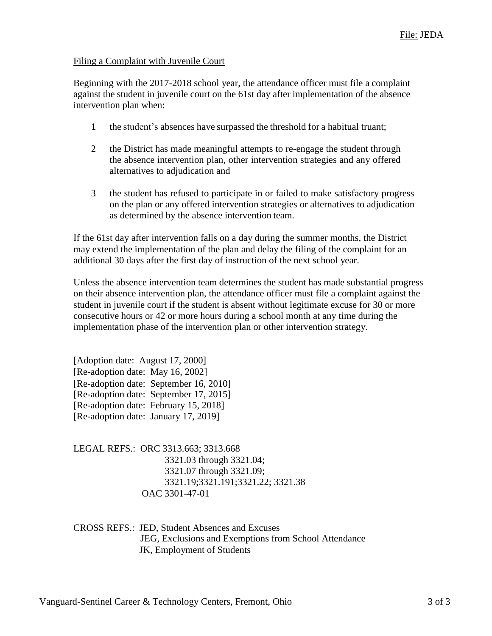#### Filing a Complaint with Juvenile Court

Beginning with the 2017-2018 school year, the attendance officer must file a complaint against the student in juvenile court on the 61st day after implementation of the absence intervention plan when:

- 1. the student's absences have surpassed the threshold for a habitual truant;
- 2. the District has made meaningful attempts to re-engage the student through the absence intervention plan, other intervention strategies and any offered alternatives to adjudication and
- 3. the student has refused to participate in or failed to make satisfactory progress on the plan or any offered intervention strategies or alternatives to adjudication as determined by the absence intervention team.

If the 61st day after intervention falls on a day during the summer months, the District may extend the implementation of the plan and delay the filing of the complaint for an additional 30 days after the first day of instruction of the next school year.

Unless the absence intervention team determines the student has made substantial progress on their absence intervention plan, the attendance officer must file a complaint against the student in juvenile court if the student is absent without legitimate excuse for 30 or more consecutive hours or 42 or more hours during a school month at any time during the implementation phase of the intervention plan or other intervention strategy.

[Adoption date: August 17, 2000] [Re-adoption date: May 16, 2002] [Re-adoption date: September 16, 2010] [Re-adoption date: September 17, 2015] [Re-adoption date: February 15, 2018] [Re-adoption date: January 17, 2019]

LEGAL REFS.: ORC 3313.663; 3313.668 3321.03 through 3321.04; 3321.07 through 3321.09; 3321.19;3321.191;3321.22; 3321.38 OAC 3301-47-01

CROSS REFS.: JED, Student Absences and Excuses JEG, Exclusions and Exemptions from School Attendance JK, Employment of Students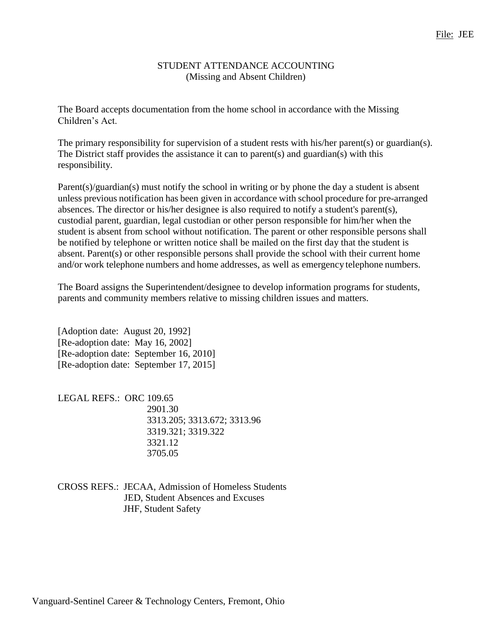## STUDENT ATTENDANCE ACCOUNTING (Missing and Absent Children)

The Board accepts documentation from the home school in accordance with the Missing Children's Act.

The primary responsibility for supervision of a student rests with his/her parent(s) or guardian(s). The District staff provides the assistance it can to parent(s) and guardian(s) with this responsibility.

Parent(s)/guardian(s) must notify the school in writing or by phone the day a student is absent unless previous notification has been given in accordance with school procedure for pre-arranged absences. The director or his/her designee is also required to notify a student's parent(s), custodial parent, guardian, legal custodian or other person responsible for him/her when the student is absent from school without notification. The parent or other responsible persons shall be notified by telephone or written notice shall be mailed on the first day that the student is absent. Parent(s) or other responsible persons shall provide the school with their current home and/or work telephone numbers and home addresses, as well as emergency telephone numbers.

The Board assigns the Superintendent/designee to develop information programs for students, parents and community members relative to missing children issues and matters.

[Adoption date: August 20, 1992] [Re-adoption date: May 16, 2002] [Re-adoption date: September 16, 2010] [Re-adoption date: September 17, 2015]

LEGAL REFS.: ORC 109.65 2901.30 3313.205; 3313.672; 3313.96 3319.321; 3319.322 3321.12 3705.05

CROSS REFS.: JECAA, Admission of Homeless Students JED, Student Absences and Excuses JHF, Student Safety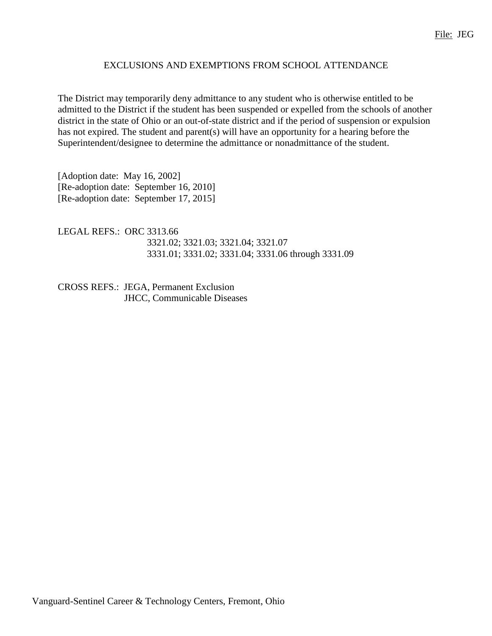## EXCLUSIONS AND EXEMPTIONS FROM SCHOOL ATTENDANCE

The District may temporarily deny admittance to any student who is otherwise entitled to be admitted to the District if the student has been suspended or expelled from the schools of another district in the state of Ohio or an out-of-state district and if the period of suspension or expulsion has not expired. The student and parent(s) will have an opportunity for a hearing before the Superintendent/designee to determine the admittance or nonadmittance of the student.

[Adoption date: May 16, 2002] [Re-adoption date: September 16, 2010] [Re-adoption date: September 17, 2015]

LEGAL REFS.: ORC 3313.66 3321.02; 3321.03; 3321.04; 3321.07 3331.01; 3331.02; 3331.04; 3331.06 through 3331.09

CROSS REFS.: JEGA, Permanent Exclusion JHCC, Communicable Diseases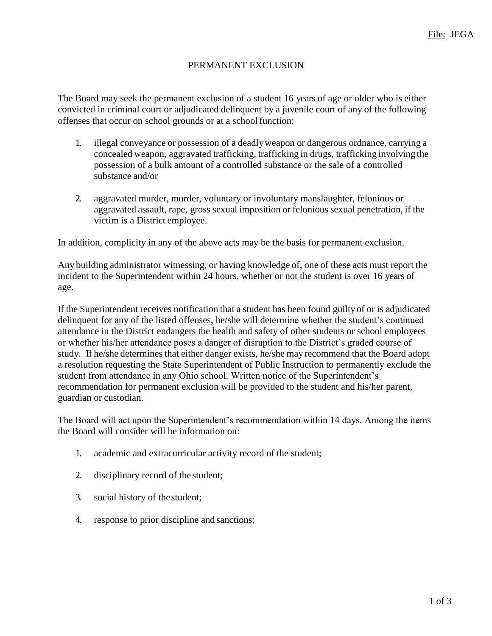## PERMANENT EXCLUSION

The Board may seek the permanent exclusion of a student 16 years of age or older who is either convicted in criminal court or adjudicated delinquent by a juvenile court of any of the following offenses that occur on school grounds or at a school function:

- 1. illegal conveyance or possession of a deadlyweapon or dangerous ordnance, carrying a concealed weapon, aggravated trafficking, trafficking in drugs, trafficking involving the possession of a bulk amount of a controlled substance or the sale of a controlled substance and/or
- 2. aggravated murder, murder, voluntary or involuntary manslaughter, felonious or aggravated assault, rape, gross sexual imposition or felonious sexual penetration, if the victim is a District employee.

In addition, complicity in any of the above acts may be the basis for permanent exclusion.

Any building administrator witnessing, or having knowledge of, one of these acts must report the incident to the Superintendent within 24 hours, whether or not the student is over 16 years of age.

If the Superintendent receives notification that a student has been found guilty of or is adjudicated delinquent for any of the listed offenses, he/she will determine whether the student's continued attendance in the District endangers the health and safety of other students or school employees or whether his/her attendance poses a danger of disruption to the District's graded course of study. If he/she determines that either danger exists, he/she may recommend that the Board adopt a resolution requesting the State Superintendent of Public Instruction to permanently exclude the student from attendance in any Ohio school. Written notice of the Superintendent's recommendation for permanent exclusion will be provided to the student and his/her parent, guardian or custodian.

The Board will act upon the Superintendent's recommendation within 14 days. Among the items the Board will consider will be information on:

- 1. academic and extracurricular activity record of the student;
- 2. disciplinary record of the student;
- 3. social history of thestudent;
- 4. response to prior discipline and sanctions;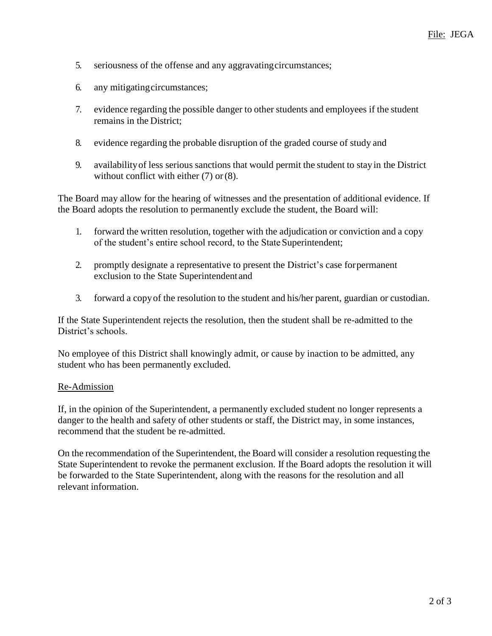- 5. seriousness of the offense and any aggravatingcircumstances;
- 6. any mitigatingcircumstances;
- 7. evidence regarding the possible danger to other students and employees if the student remains in the District;
- 8. evidence regarding the probable disruption of the graded course of study and
- 9. availabilityof less serious sanctions that would permit the student to stayin the District without conflict with either (7) or (8).

The Board may allow for the hearing of witnesses and the presentation of additional evidence. If the Board adopts the resolution to permanently exclude the student, the Board will:

- 1. forward the written resolution, together with the adjudication or conviction and a copy of the student's entire school record, to the State Superintendent;
- 2. promptly designate a representative to present the District's case forpermanent exclusion to the State Superintendent and
- 3. forward a copyof the resolution to the student and his/her parent, guardian or custodian.

If the State Superintendent rejects the resolution, then the student shall be re-admitted to the District's schools.

No employee of this District shall knowingly admit, or cause by inaction to be admitted, any student who has been permanently excluded.

#### Re-Admission

If, in the opinion of the Superintendent, a permanently excluded student no longer represents a danger to the health and safety of other students or staff, the District may, in some instances, recommend that the student be re-admitted.

On the recommendation of the Superintendent, the Board will consider a resolution requesting the State Superintendent to revoke the permanent exclusion. If the Board adopts the resolution it will be forwarded to the State Superintendent, along with the reasons for the resolution and all relevant information.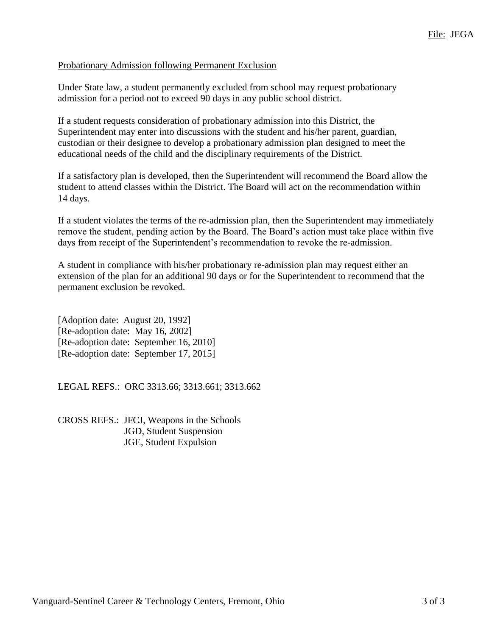#### Probationary Admission following Permanent Exclusion

Under State law, a student permanently excluded from school may request probationary admission for a period not to exceed 90 days in any public school district.

If a student requests consideration of probationary admission into this District, the Superintendent may enter into discussions with the student and his/her parent, guardian, custodian or their designee to develop a probationary admission plan designed to meet the educational needs of the child and the disciplinary requirements of the District.

If a satisfactory plan is developed, then the Superintendent will recommend the Board allow the student to attend classes within the District. The Board will act on the recommendation within 14 days.

If a student violates the terms of the re-admission plan, then the Superintendent may immediately remove the student, pending action by the Board. The Board's action must take place within five days from receipt of the Superintendent's recommendation to revoke the re-admission.

A student in compliance with his/her probationary re-admission plan may request either an extension of the plan for an additional 90 days or for the Superintendent to recommend that the permanent exclusion be revoked.

[Adoption date: August 20, 1992] [Re-adoption date: May 16, 2002] [Re-adoption date: September 16, 2010] [Re-adoption date: September 17, 2015]

LEGAL REFS.: ORC 3313.66; 3313.661; 3313.662

CROSS REFS.: JFCJ, Weapons in the Schools JGD, Student Suspension JGE, Student Expulsion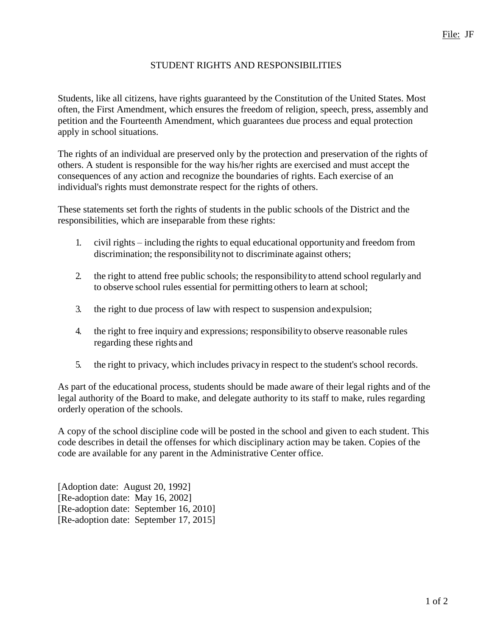# STUDENT RIGHTS AND RESPONSIBILITIES

Students, like all citizens, have rights guaranteed by the Constitution of the United States. Most often, the First Amendment, which ensures the freedom of religion, speech, press, assembly and petition and the Fourteenth Amendment, which guarantees due process and equal protection apply in school situations.

The rights of an individual are preserved only by the protection and preservation of the rights of others. A student is responsible for the way his/her rights are exercised and must accept the consequences of any action and recognize the boundaries of rights. Each exercise of an individual's rights must demonstrate respect for the rights of others.

These statements set forth the rights of students in the public schools of the District and the responsibilities, which are inseparable from these rights:

- 1. civil rights including the rights to equal educational opportunityand freedom from discrimination; the responsibility not to discriminate against others;
- 2. the right to attend free public schools; the responsibilityto attend school regularly and to observe school rules essential for permitting others to learn at school;
- 3. the right to due process of law with respect to suspension andexpulsion;
- 4. the right to free inquiry and expressions; responsibilityto observe reasonable rules regarding these rights and
- 5. the right to privacy, which includes privacyin respect to the student's school records.

As part of the educational process, students should be made aware of their legal rights and of the legal authority of the Board to make, and delegate authority to its staff to make, rules regarding orderly operation of the schools.

A copy of the school discipline code will be posted in the school and given to each student. This code describes in detail the offenses for which disciplinary action may be taken. Copies of the code are available for any parent in the Administrative Center office.

[Adoption date: August 20, 1992] [Re-adoption date: May 16, 2002] [Re-adoption date: September 16, 2010] [Re-adoption date: September 17, 2015]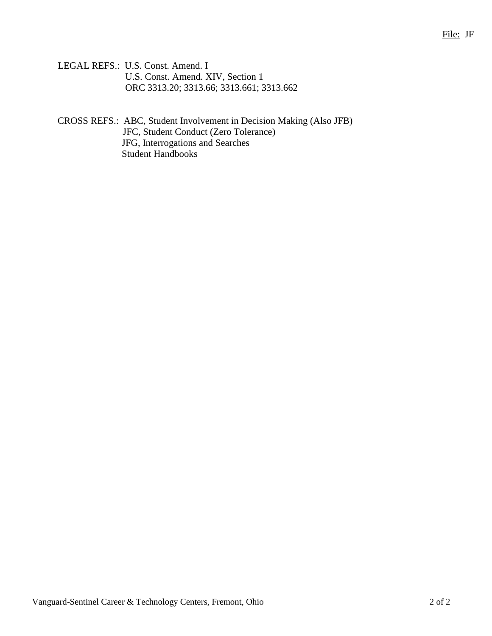LEGAL REFS.: U.S. Const. Amend. I U.S. Const. Amend. XIV, Section 1 ORC 3313.20; 3313.66; 3313.661; 3313.662

CROSS REFS.: ABC, Student Involvement in Decision Making (Also JFB) JFC, Student Conduct (Zero Tolerance) JFG, Interrogations and Searches Student Handbooks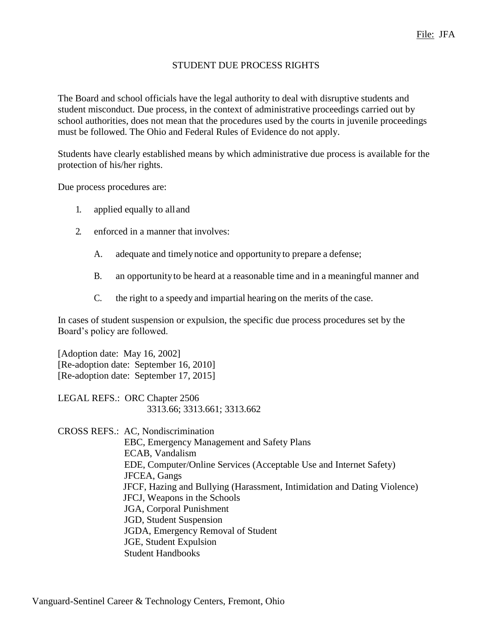#### STUDENT DUE PROCESS RIGHTS

The Board and school officials have the legal authority to deal with disruptive students and student misconduct. Due process, in the context of administrative proceedings carried out by school authorities, does not mean that the procedures used by the courts in juvenile proceedings must be followed. The Ohio and Federal Rules of Evidence do not apply.

Students have clearly established means by which administrative due process is available for the protection of his/her rights.

Due process procedures are:

- 1. applied equally to alland
- 2. enforced in a manner that involves:
	- A. adequate and timely notice and opportunity to prepare a defense;
	- B. an opportunityto be heard at a reasonable time and in a meaningful manner and
	- C. the right to a speedy and impartial hearing on the merits of the case.

In cases of student suspension or expulsion, the specific due process procedures set by the Board's policy are followed.

[Adoption date: May 16, 2002] [Re-adoption date: September 16, 2010] [Re-adoption date: September 17, 2015]

LEGAL REFS.: ORC Chapter 2506 3313.66; 3313.661; 3313.662

CROSS REFS.: AC, Nondiscrimination EBC, Emergency Management and Safety Plans ECAB, Vandalism EDE, Computer/Online Services (Acceptable Use and Internet Safety) JFCEA, Gangs JFCF, Hazing and Bullying (Harassment, Intimidation and Dating Violence) JFCJ, Weapons in the Schools JGA, Corporal Punishment JGD, Student Suspension JGDA, Emergency Removal of Student JGE, Student Expulsion Student Handbooks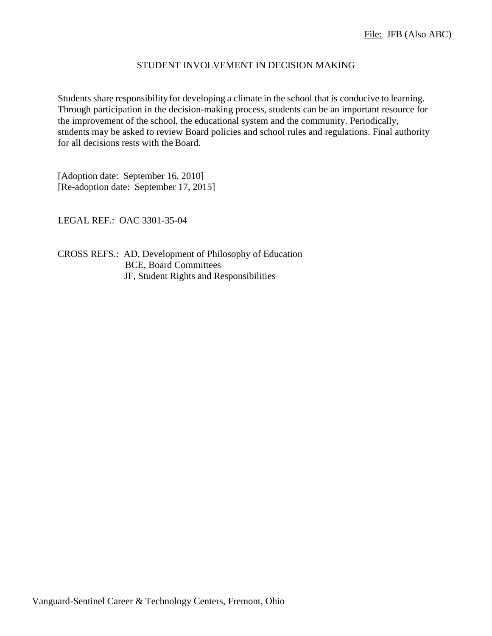#### STUDENT INVOLVEMENT IN DECISION MAKING

Students share responsibility for developing a climate in the school that is conducive to learning. Through participation in the decision-making process, students can be an important resource for the improvement of the school, the educational system and the community. Periodically, students may be asked to review Board policies and school rules and regulations. Final authority for all decisions rests with the Board.

[Adoption date: September 16, 2010] [Re-adoption date: September 17, 2015]

LEGAL REF.: OAC 3301-35-04

CROSS REFS.: AD, Development of Philosophy of Education BCE, Board Committees JF, Student Rights and Responsibilities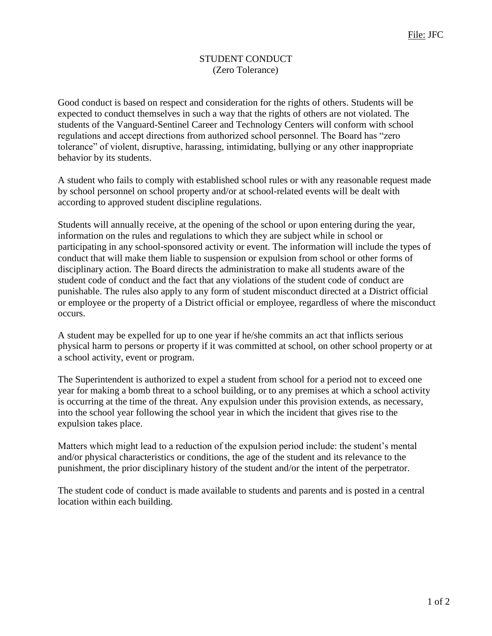# STUDENT CONDUCT (Zero Tolerance)

Good conduct is based on respect and consideration for the rights of others. Students will be expected to conduct themselves in such a way that the rights of others are not violated. The students of the Vanguard-Sentinel Career and Technology Centers will conform with school regulations and accept directions from authorized school personnel. The Board has "zero tolerance" of violent, disruptive, harassing, intimidating, bullying or any other inappropriate behavior by its students.

A student who fails to comply with established school rules or with any reasonable request made by school personnel on school property and/or at school-related events will be dealt with according to approved student discipline regulations.

Students will annually receive, at the opening of the school or upon entering during the year, information on the rules and regulations to which they are subject while in school or participating in any school-sponsored activity or event. The information will include the types of conduct that will make them liable to suspension or expulsion from school or other forms of disciplinary action. The Board directs the administration to make all students aware of the student code of conduct and the fact that any violations of the student code of conduct are punishable. The rules also apply to any form of student misconduct directed at a District official or employee or the property of a District official or employee, regardless of where the misconduct occurs.

A student may be expelled for up to one year if he/she commits an act that inflicts serious physical harm to persons or property if it was committed at school, on other school property or at a school activity, event or program.

The Superintendent is authorized to expel a student from school for a period not to exceed one year for making a bomb threat to a school building, or to any premises at which a school activity is occurring at the time of the threat. Any expulsion under this provision extends, as necessary, into the school year following the school year in which the incident that gives rise to the expulsion takes place.

Matters which might lead to a reduction of the expulsion period include: the student's mental and/or physical characteristics or conditions, the age of the student and its relevance to the punishment, the prior disciplinary history of the student and/or the intent of the perpetrator.

The student code of conduct is made available to students and parents and is posted in a central location within each building.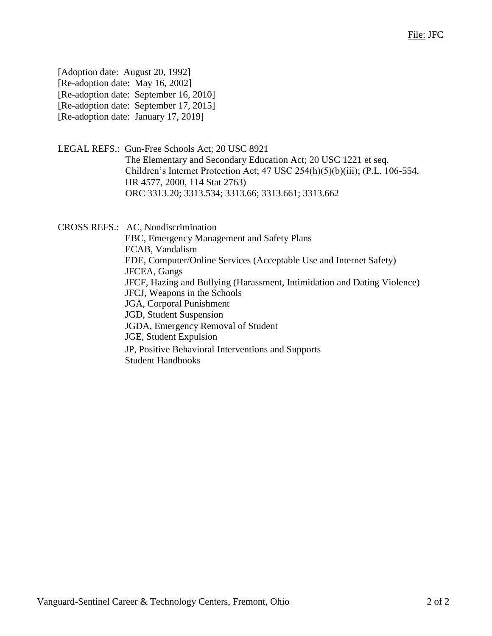| [Adoption date: August 20, 1992]     |                                        |
|--------------------------------------|----------------------------------------|
| [Re-adoption date: May 16, 2002]     |                                        |
|                                      | [Re-adoption date: September 16, 2010] |
|                                      | [Re-adoption date: September 17, 2015] |
| [Re-adoption date: January 17, 2019] |                                        |

LEGAL REFS.: Gun-Free Schools Act; 20 USC 8921 The Elementary and Secondary Education Act; 20 USC 1221 et seq. Children's Internet Protection Act; 47 USC 254(h)(5)(b)(iii); (P.L. 106-554, HR 4577, 2000, 114 Stat 2763) ORC 3313.20; 3313.534; 3313.66; 3313.661; 3313.662

CROSS REFS.: AC, Nondiscrimination EBC, Emergency Management and Safety Plans ECAB, Vandalism EDE, Computer/Online Services (Acceptable Use and Internet Safety) JFCEA, Gangs JFCF, Hazing and Bullying (Harassment, Intimidation and Dating Violence) JFCJ, Weapons in the Schools JGA, Corporal Punishment JGD, Student Suspension JGDA, Emergency Removal of Student JGE, Student Expulsion JP, Positive Behavioral Interventions and Supports Student Handbooks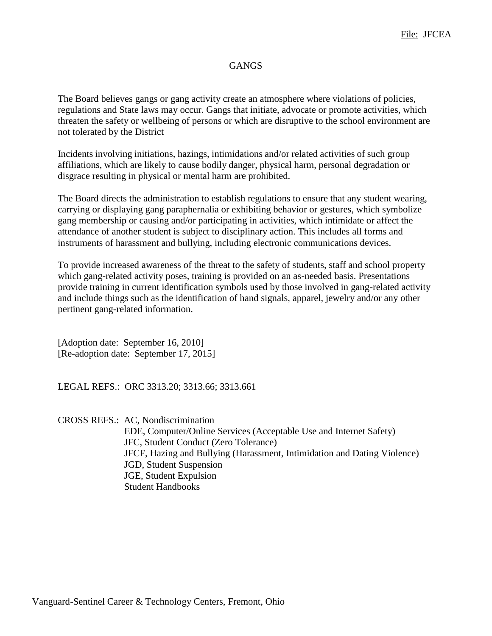## **GANGS**

The Board believes gangs or gang activity create an atmosphere where violations of policies, regulations and State laws may occur. Gangs that initiate, advocate or promote activities, which threaten the safety or wellbeing of persons or which are disruptive to the school environment are not tolerated by the District

Incidents involving initiations, hazings, intimidations and/or related activities of such group affiliations, which are likely to cause bodily danger, physical harm, personal degradation or disgrace resulting in physical or mental harm are prohibited.

The Board directs the administration to establish regulations to ensure that any student wearing, carrying or displaying gang paraphernalia or exhibiting behavior or gestures, which symbolize gang membership or causing and/or participating in activities, which intimidate or affect the attendance of another student is subject to disciplinary action. This includes all forms and instruments of harassment and bullying, including electronic communications devices.

To provide increased awareness of the threat to the safety of students, staff and school property which gang-related activity poses, training is provided on an as-needed basis. Presentations provide training in current identification symbols used by those involved in gang-related activity and include things such as the identification of hand signals, apparel, jewelry and/or any other pertinent gang-related information.

[Adoption date: September 16, 2010] [Re-adoption date: September 17, 2015]

LEGAL REFS.: ORC 3313.20; 3313.66; 3313.661

CROSS REFS.: AC, Nondiscrimination EDE, Computer/Online Services (Acceptable Use and Internet Safety) JFC, Student Conduct (Zero Tolerance) JFCF, Hazing and Bullying (Harassment, Intimidation and Dating Violence) JGD, Student Suspension JGE, Student Expulsion Student Handbooks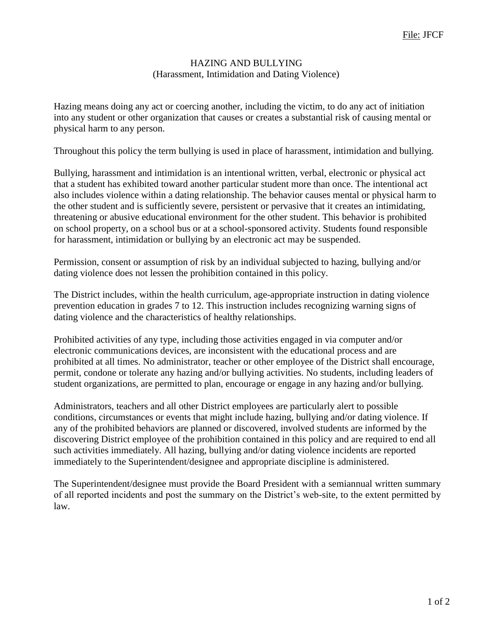# HAZING AND BULLYING (Harassment, Intimidation and Dating Violence)

Hazing means doing any act or coercing another, including the victim, to do any act of initiation into any student or other organization that causes or creates a substantial risk of causing mental or physical harm to any person.

Throughout this policy the term bullying is used in place of harassment, intimidation and bullying.

Bullying, harassment and intimidation is an intentional written, verbal, electronic or physical act that a student has exhibited toward another particular student more than once. The intentional act also includes violence within a dating relationship. The behavior causes mental or physical harm to the other student and is sufficiently severe, persistent or pervasive that it creates an intimidating, threatening or abusive educational environment for the other student. This behavior is prohibited on school property, on a school bus or at a school-sponsored activity. Students found responsible for harassment, intimidation or bullying by an electronic act may be suspended.

Permission, consent or assumption of risk by an individual subjected to hazing, bullying and/or dating violence does not lessen the prohibition contained in this policy.

The District includes, within the health curriculum, age-appropriate instruction in dating violence prevention education in grades 7 to 12. This instruction includes recognizing warning signs of dating violence and the characteristics of healthy relationships.

Prohibited activities of any type, including those activities engaged in via computer and/or electronic communications devices, are inconsistent with the educational process and are prohibited at all times. No administrator, teacher or other employee of the District shall encourage, permit, condone or tolerate any hazing and/or bullying activities. No students, including leaders of student organizations, are permitted to plan, encourage or engage in any hazing and/or bullying.

Administrators, teachers and all other District employees are particularly alert to possible conditions, circumstances or events that might include hazing, bullying and/or dating violence. If any of the prohibited behaviors are planned or discovered, involved students are informed by the discovering District employee of the prohibition contained in this policy and are required to end all such activities immediately. All hazing, bullying and/or dating violence incidents are reported immediately to the Superintendent/designee and appropriate discipline is administered.

The Superintendent/designee must provide the Board President with a semiannual written summary of all reported incidents and post the summary on the District's web-site, to the extent permitted by law.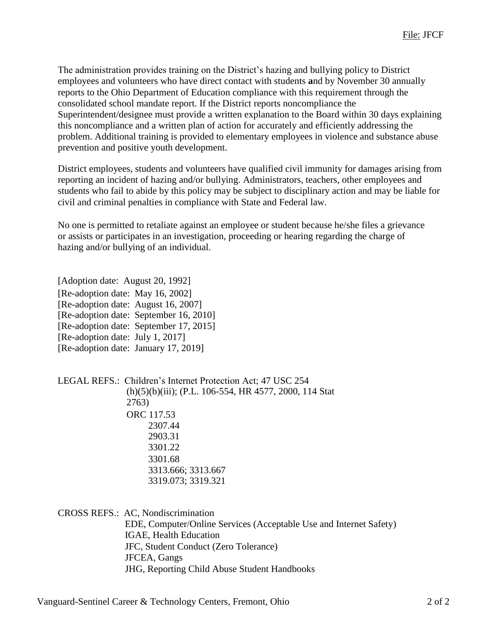The administration provides training on the District's hazing and bullying policy to District employees and volunteers who have direct contact with students **a**nd by November 30 annually reports to the Ohio Department of Education compliance with this requirement through the consolidated school mandate report. If the District reports noncompliance the Superintendent/designee must provide a written explanation to the Board within 30 days explaining this noncompliance and a written plan of action for accurately and efficiently addressing the problem. Additional training is provided to elementary employees in violence and substance abuse prevention and positive youth development.

District employees, students and volunteers have qualified civil immunity for damages arising from reporting an incident of hazing and/or bullying. Administrators, teachers, other employees and students who fail to abide by this policy may be subject to disciplinary action and may be liable for civil and criminal penalties in compliance with State and Federal law.

No one is permitted to retaliate against an employee or student because he/she files a grievance or assists or participates in an investigation, proceeding or hearing regarding the charge of hazing and/or bullying of an individual.

[Adoption date: August 20, 1992] [Re-adoption date: May 16, 2002] [Re-adoption date: August 16, 2007] [Re-adoption date: September 16, 2010] [Re-adoption date: September 17, 2015] [Re-adoption date: July 1, 2017] [Re-adoption date: January 17, 2019]

LEGAL REFS.: Children's Internet Protection Act; 47 USC 254 (h)(5)(b)(iii); (P.L. 106-554, HR 4577, 2000, 114 Stat 2763) ORC 117.53 2307.44 2903.31 3301.22 3301.68 3313.666; 3313.667 3319.073; 3319.321

CROSS REFS.: AC, Nondiscrimination

EDE, Computer/Online Services (Acceptable Use and Internet Safety) IGAE, Health Education JFC, Student Conduct (Zero Tolerance) JFCEA, Gangs JHG, Reporting Child Abuse Student Handbooks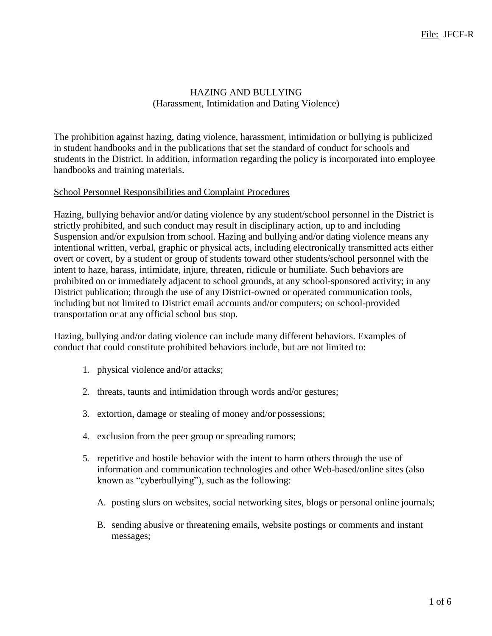## HAZING AND BULLYING (Harassment, Intimidation and Dating Violence)

The prohibition against hazing, dating violence, harassment, intimidation or bullying is publicized in student handbooks and in the publications that set the standard of conduct for schools and students in the District. In addition, information regarding the policy is incorporated into employee handbooks and training materials.

#### School Personnel Responsibilities and Complaint Procedures

Hazing, bullying behavior and/or dating violence by any student/school personnel in the District is strictly prohibited, and such conduct may result in disciplinary action, up to and including Suspension and/or expulsion from school. Hazing and bullying and/or dating violence means any intentional written, verbal, graphic or physical acts, including electronically transmitted acts either overt or covert, by a student or group of students toward other students/school personnel with the intent to haze, harass, intimidate, injure, threaten, ridicule or humiliate. Such behaviors are prohibited on or immediately adjacent to school grounds, at any school-sponsored activity; in any District publication; through the use of any District-owned or operated communication tools, including but not limited to District email accounts and/or computers; on school-provided transportation or at any official school bus stop.

Hazing, bullying and/or dating violence can include many different behaviors. Examples of conduct that could constitute prohibited behaviors include, but are not limited to:

- 1. physical violence and/or attacks;
- 2. threats, taunts and intimidation through words and/or gestures;
- 3. extortion, damage or stealing of money and/or possessions;
- 4. exclusion from the peer group or spreading rumors;
- 5. repetitive and hostile behavior with the intent to harm others through the use of information and communication technologies and other Web-based/online sites (also known as "cyberbullying"), such as the following:
	- A. posting slurs on websites, social networking sites, blogs or personal online journals;
	- B. sending abusive or threatening emails, website postings or comments and instant messages;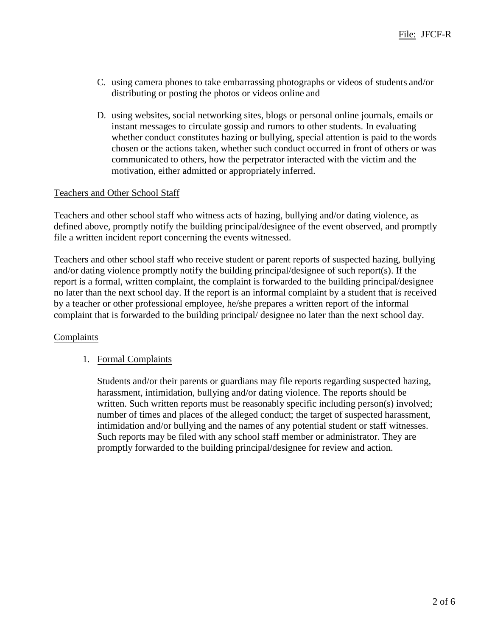- C. using camera phones to take embarrassing photographs or videos of students and/or distributing or posting the photos or videos online and
- D. using websites, social networking sites, blogs or personal online journals, emails or instant messages to circulate gossip and rumors to other students. In evaluating whether conduct constitutes hazing or bullying, special attention is paid to thewords chosen or the actions taken, whether such conduct occurred in front of others or was communicated to others, how the perpetrator interacted with the victim and the motivation, either admitted or appropriately inferred.

## Teachers and Other School Staff

Teachers and other school staff who witness acts of hazing, bullying and/or dating violence, as defined above, promptly notify the building principal/designee of the event observed, and promptly file a written incident report concerning the events witnessed.

Teachers and other school staff who receive student or parent reports of suspected hazing, bullying and/or dating violence promptly notify the building principal/designee of such report(s). If the report is a formal, written complaint, the complaint is forwarded to the building principal/designee no later than the next school day. If the report is an informal complaint by a student that is received by a teacher or other professional employee, he/she prepares a written report of the informal complaint that is forwarded to the building principal/ designee no later than the next school day.

#### Complaints

#### 1. Formal Complaints

Students and/or their parents or guardians may file reports regarding suspected hazing, harassment, intimidation, bullying and/or dating violence. The reports should be written. Such written reports must be reasonably specific including person(s) involved; number of times and places of the alleged conduct; the target of suspected harassment, intimidation and/or bullying and the names of any potential student or staff witnesses. Such reports may be filed with any school staff member or administrator. They are promptly forwarded to the building principal/designee for review and action.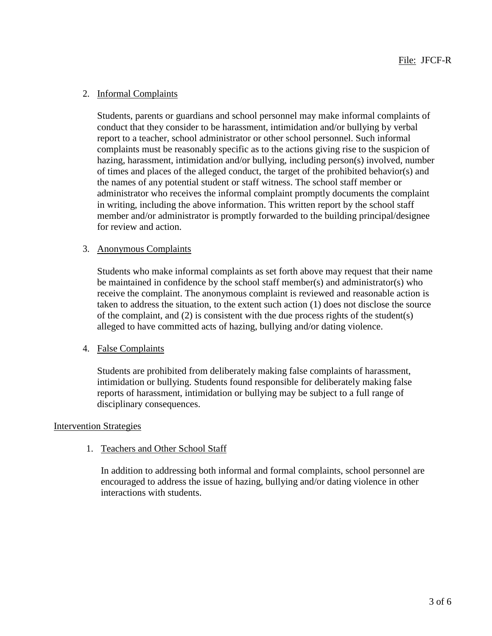# 2. Informal Complaints

Students, parents or guardians and school personnel may make informal complaints of conduct that they consider to be harassment, intimidation and/or bullying by verbal report to a teacher, school administrator or other school personnel. Such informal complaints must be reasonably specific as to the actions giving rise to the suspicion of hazing, harassment, intimidation and/or bullying, including person(s) involved, number of times and places of the alleged conduct, the target of the prohibited behavior(s) and the names of any potential student or staff witness. The school staff member or administrator who receives the informal complaint promptly documents the complaint in writing, including the above information. This written report by the school staff member and/or administrator is promptly forwarded to the building principal/designee for review and action.

#### 3. Anonymous Complaints

Students who make informal complaints as set forth above may request that their name be maintained in confidence by the school staff member(s) and administrator(s) who receive the complaint. The anonymous complaint is reviewed and reasonable action is taken to address the situation, to the extent such action (1) does not disclose the source of the complaint, and (2) is consistent with the due process rights of the student(s) alleged to have committed acts of hazing, bullying and/or dating violence.

#### 4. False Complaints

Students are prohibited from deliberately making false complaints of harassment, intimidation or bullying. Students found responsible for deliberately making false reports of harassment, intimidation or bullying may be subject to a full range of disciplinary consequences.

#### Intervention Strategies

# 1. Teachers and Other School Staff

In addition to addressing both informal and formal complaints, school personnel are encouraged to address the issue of hazing, bullying and/or dating violence in other interactions with students.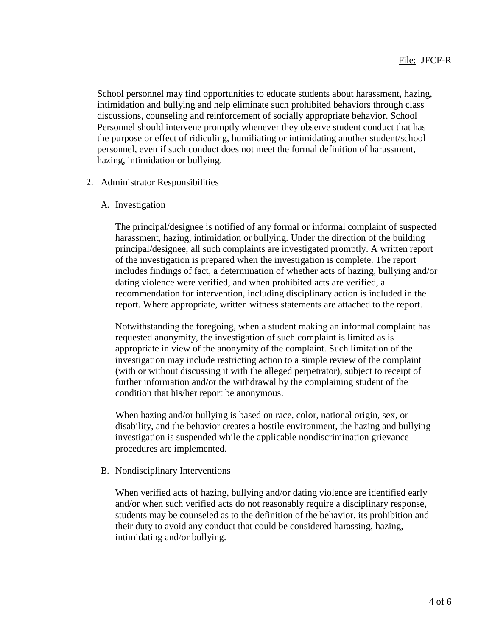School personnel may find opportunities to educate students about harassment, hazing, intimidation and bullying and help eliminate such prohibited behaviors through class discussions, counseling and reinforcement of socially appropriate behavior. School Personnel should intervene promptly whenever they observe student conduct that has the purpose or effect of ridiculing, humiliating or intimidating another student/school personnel, even if such conduct does not meet the formal definition of harassment, hazing, intimidation or bullying.

#### 2. Administrator Responsibilities

## A. Investigation

The principal/designee is notified of any formal or informal complaint of suspected harassment, hazing, intimidation or bullying. Under the direction of the building principal/designee, all such complaints are investigated promptly. A written report of the investigation is prepared when the investigation is complete. The report includes findings of fact, a determination of whether acts of hazing, bullying and/or dating violence were verified, and when prohibited acts are verified, a recommendation for intervention, including disciplinary action is included in the report. Where appropriate, written witness statements are attached to the report.

Notwithstanding the foregoing, when a student making an informal complaint has requested anonymity, the investigation of such complaint is limited as is appropriate in view of the anonymity of the complaint. Such limitation of the investigation may include restricting action to a simple review of the complaint (with or without discussing it with the alleged perpetrator), subject to receipt of further information and/or the withdrawal by the complaining student of the condition that his/her report be anonymous.

When hazing and/or bullying is based on race, color, national origin, sex, or disability, and the behavior creates a hostile environment, the hazing and bullying investigation is suspended while the applicable nondiscrimination grievance procedures are implemented.

# B. Nondisciplinary Interventions

When verified acts of hazing, bullying and/or dating violence are identified early and/or when such verified acts do not reasonably require a disciplinary response, students may be counseled as to the definition of the behavior, its prohibition and their duty to avoid any conduct that could be considered harassing, hazing, intimidating and/or bullying.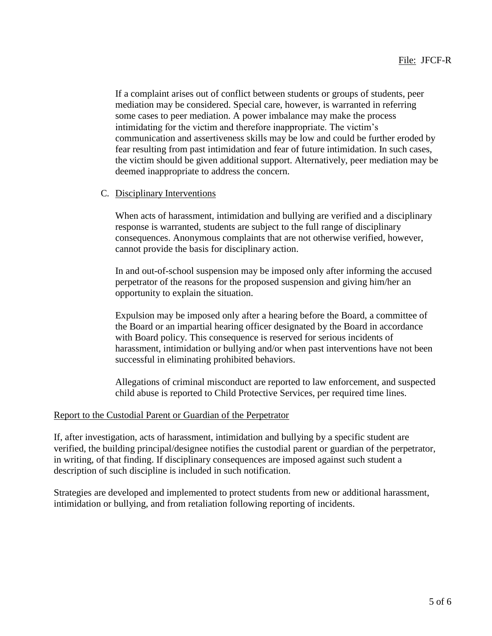If a complaint arises out of conflict between students or groups of students, peer mediation may be considered. Special care, however, is warranted in referring some cases to peer mediation. A power imbalance may make the process intimidating for the victim and therefore inappropriate. The victim's communication and assertiveness skills may be low and could be further eroded by fear resulting from past intimidation and fear of future intimidation. In such cases, the victim should be given additional support. Alternatively, peer mediation may be deemed inappropriate to address the concern.

## C. Disciplinary Interventions

When acts of harassment, intimidation and bullying are verified and a disciplinary response is warranted, students are subject to the full range of disciplinary consequences. Anonymous complaints that are not otherwise verified, however, cannot provide the basis for disciplinary action.

In and out-of-school suspension may be imposed only after informing the accused perpetrator of the reasons for the proposed suspension and giving him/her an opportunity to explain the situation.

Expulsion may be imposed only after a hearing before the Board, a committee of the Board or an impartial hearing officer designated by the Board in accordance with Board policy. This consequence is reserved for serious incidents of harassment, intimidation or bullying and/or when past interventions have not been successful in eliminating prohibited behaviors.

Allegations of criminal misconduct are reported to law enforcement, and suspected child abuse is reported to Child Protective Services, per required time lines.

### Report to the Custodial Parent or Guardian of the Perpetrator

If, after investigation, acts of harassment, intimidation and bullying by a specific student are verified, the building principal/designee notifies the custodial parent or guardian of the perpetrator, in writing, of that finding. If disciplinary consequences are imposed against such student a description of such discipline is included in such notification.

Strategies are developed and implemented to protect students from new or additional harassment, intimidation or bullying, and from retaliation following reporting of incidents.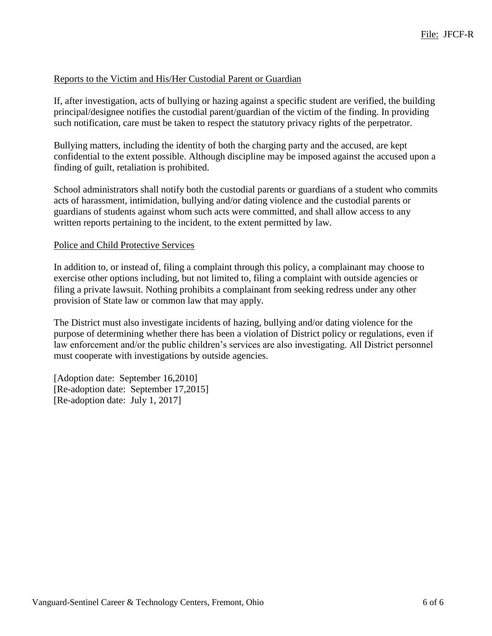### Reports to the Victim and His/Her Custodial Parent or Guardian

If, after investigation, acts of bullying or hazing against a specific student are verified, the building principal/designee notifies the custodial parent/guardian of the victim of the finding. In providing such notification, care must be taken to respect the statutory privacy rights of the perpetrator.

Bullying matters, including the identity of both the charging party and the accused, are kept confidential to the extent possible. Although discipline may be imposed against the accused upon a finding of guilt, retaliation is prohibited.

School administrators shall notify both the custodial parents or guardians of a student who commits acts of harassment, intimidation, bullying and/or dating violence and the custodial parents or guardians of students against whom such acts were committed, and shall allow access to any written reports pertaining to the incident, to the extent permitted by law.

#### Police and Child Protective Services

In addition to, or instead of, filing a complaint through this policy, a complainant may choose to exercise other options including, but not limited to, filing a complaint with outside agencies or filing a private lawsuit. Nothing prohibits a complainant from seeking redress under any other provision of State law or common law that may apply.

The District must also investigate incidents of hazing, bullying and/or dating violence for the purpose of determining whether there has been a violation of District policy or regulations, even if law enforcement and/or the public children's services are also investigating. All District personnel must cooperate with investigations by outside agencies.

[Adoption date: September 16,2010] [Re-adoption date: September 17,2015] [Re-adoption date: July 1, 2017]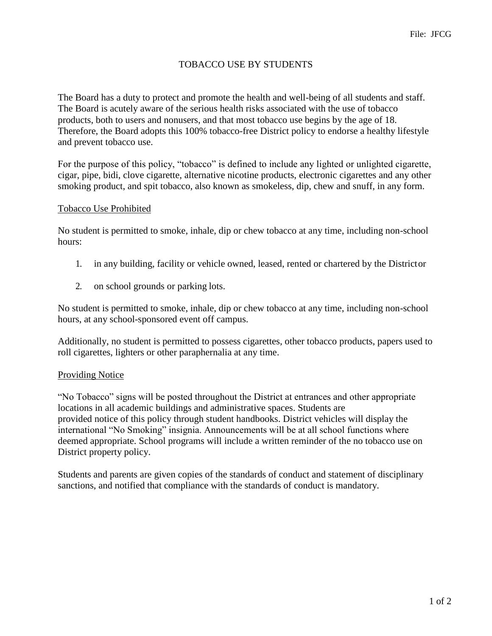# TOBACCO USE BY STUDENTS

The Board has a duty to protect and promote the health and well-being of all students and staff. The Board is acutely aware of the serious health risks associated with the use of tobacco products, both to users and nonusers, and that most tobacco use begins by the age of 18. Therefore, the Board adopts this 100% tobacco-free District policy to endorse a healthy lifestyle and prevent tobacco use.

For the purpose of this policy, "tobacco" is defined to include any lighted or unlighted cigarette, cigar, pipe, bidi, clove cigarette, alternative nicotine products, electronic cigarettes and any other smoking product, and spit tobacco, also known as smokeless, dip, chew and snuff, in any form.

#### Tobacco Use Prohibited

No student is permitted to smoke, inhale, dip or chew tobacco at any time, including non-school hours:

- 1. in any building, facility or vehicle owned, leased, rented or chartered by the Districtor
- 2. on school grounds or parking lots.

No student is permitted to smoke, inhale, dip or chew tobacco at any time, including non-school hours, at any school-sponsored event off campus.

Additionally, no student is permitted to possess cigarettes, other tobacco products, papers used to roll cigarettes, lighters or other paraphernalia at any time.

### Providing Notice

"No Tobacco" signs will be posted throughout the District at entrances and other appropriate locations in all academic buildings and administrative spaces. Students are provided notice of this policy through student handbooks. District vehicles will display the international "No Smoking" insignia. Announcements will be at all school functions where deemed appropriate. School programs will include a written reminder of the no tobacco use on District property policy.

Students and parents are given copies of the standards of conduct and statement of disciplinary sanctions, and notified that compliance with the standards of conduct is mandatory.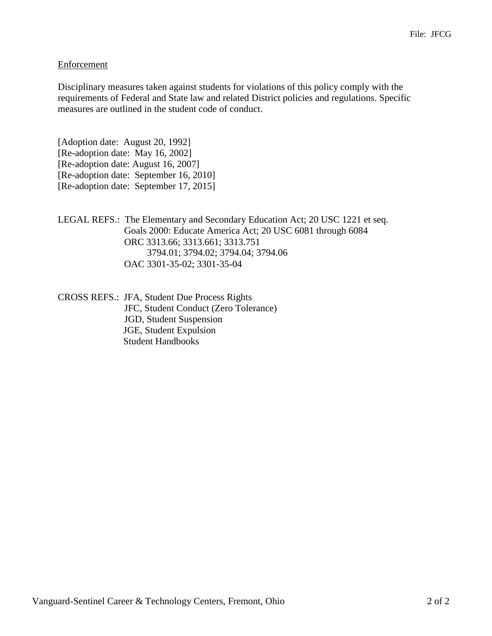## Enforcement

Disciplinary measures taken against students for violations of this policy comply with the requirements of Federal and State law and related District policies and regulations. Specific measures are outlined in the student code of conduct.

[Adoption date: August 20, 1992] [Re-adoption date: May 16, 2002] [Re-adoption date: August 16, 2007] [Re-adoption date: September 16, 2010] [Re-adoption date: September 17, 2015]

LEGAL REFS.: The Elementary and Secondary Education Act; 20 USC 1221 et seq. Goals 2000: Educate America Act; 20 USC 6081 through 6084 ORC 3313.66; 3313.661; 3313.751 3794.01; 3794.02; 3794.04; 3794.06 OAC 3301-35-02; 3301-35-04

CROSS REFS.: JFA, Student Due Process Rights JFC, Student Conduct (Zero Tolerance) JGD, Student Suspension JGE, Student Expulsion Student Handbooks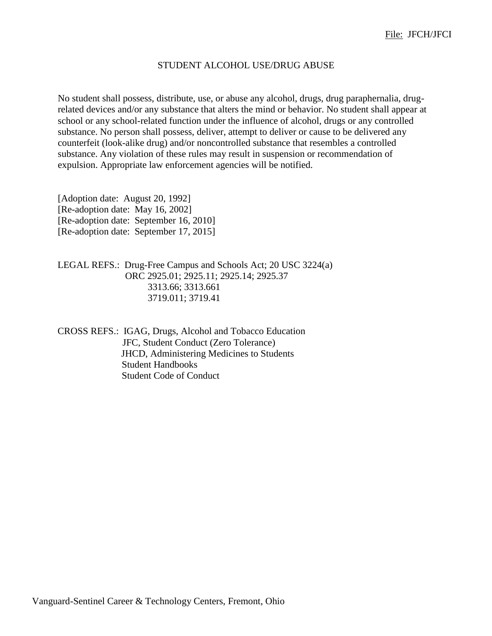#### STUDENT ALCOHOL USE/DRUG ABUSE

No student shall possess, distribute, use, or abuse any alcohol, drugs, drug paraphernalia, drugrelated devices and/or any substance that alters the mind or behavior. No student shall appear at school or any school-related function under the influence of alcohol, drugs or any controlled substance. No person shall possess, deliver, attempt to deliver or cause to be delivered any counterfeit (look-alike drug) and/or noncontrolled substance that resembles a controlled substance. Any violation of these rules may result in suspension or recommendation of expulsion. Appropriate law enforcement agencies will be notified.

[Adoption date: August 20, 1992] [Re-adoption date: May 16, 2002] [Re-adoption date: September 16, 2010] [Re-adoption date: September 17, 2015]

LEGAL REFS.: Drug-Free Campus and Schools Act; 20 USC 3224(a) ORC 2925.01; 2925.11; 2925.14; 2925.37 3313.66; 3313.661 3719.011; 3719.41

CROSS REFS.: IGAG, Drugs, Alcohol and Tobacco Education JFC, Student Conduct (Zero Tolerance) JHCD, Administering Medicines to Students Student Handbooks Student Code of Conduct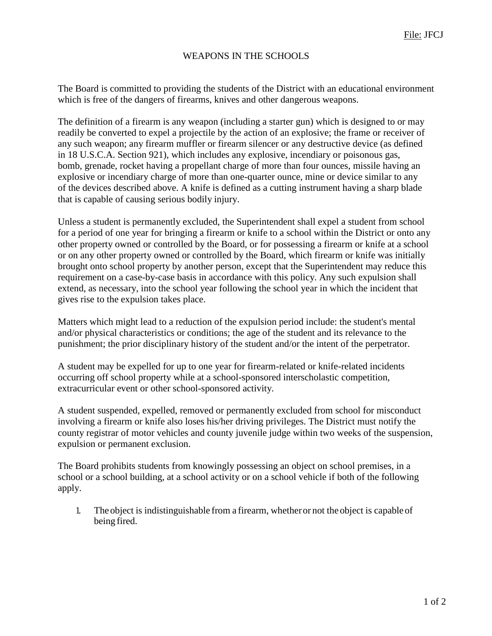# WEAPONS IN THE SCHOOLS

The Board is committed to providing the students of the District with an educational environment which is free of the dangers of firearms, knives and other dangerous weapons.

The definition of a firearm is any weapon (including a starter gun) which is designed to or may readily be converted to expel a projectile by the action of an explosive; the frame or receiver of any such weapon; any firearm muffler or firearm silencer or any destructive device (as defined in 18 U.S.C.A. Section 921), which includes any explosive, incendiary or poisonous gas, bomb, grenade, rocket having a propellant charge of more than four ounces, missile having an explosive or incendiary charge of more than one-quarter ounce, mine or device similar to any of the devices described above. A knife is defined as a cutting instrument having a sharp blade that is capable of causing serious bodily injury.

Unless a student is permanently excluded, the Superintendent shall expel a student from school for a period of one year for bringing a firearm or knife to a school within the District or onto any other property owned or controlled by the Board, or for possessing a firearm or knife at a school or on any other property owned or controlled by the Board, which firearm or knife was initially brought onto school property by another person, except that the Superintendent may reduce this requirement on a case-by-case basis in accordance with this policy. Any such expulsion shall extend, as necessary, into the school year following the school year in which the incident that gives rise to the expulsion takes place.

Matters which might lead to a reduction of the expulsion period include: the student's mental and/or physical characteristics or conditions; the age of the student and its relevance to the punishment; the prior disciplinary history of the student and/or the intent of the perpetrator.

A student may be expelled for up to one year for firearm-related or knife-related incidents occurring off school property while at a school-sponsored interscholastic competition, extracurricular event or other school-sponsored activity.

A student suspended, expelled, removed or permanently excluded from school for misconduct involving a firearm or knife also loses his/her driving privileges. The District must notify the county registrar of motor vehicles and county juvenile judge within two weeks of the suspension, expulsion or permanent exclusion.

The Board prohibits students from knowingly possessing an object on school premises, in a school or a school building, at a school activity or on a school vehicle if both of the following apply.

1. The object is indistinguishable from a firearm, whetheror not the object is capableof being fired.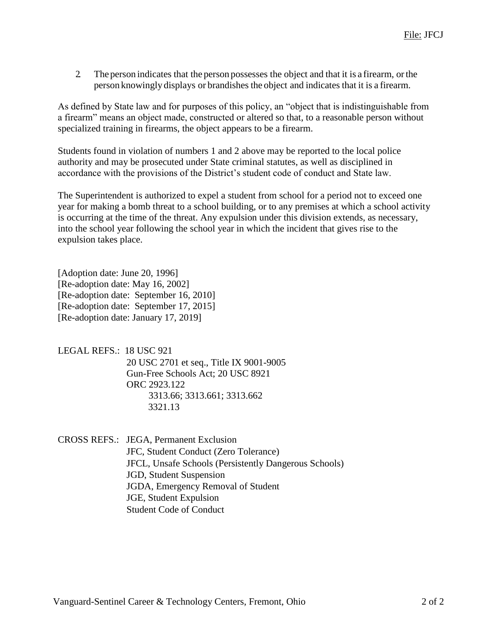2. The person indicates that the person possesses the object and that it is a firearm, orthe person knowingly displays or brandishes the object and indicates that it is a firearm.

As defined by State law and for purposes of this policy, an "object that is indistinguishable from a firearm" means an object made, constructed or altered so that, to a reasonable person without specialized training in firearms, the object appears to be a firearm.

Students found in violation of numbers 1 and 2 above may be reported to the local police authority and may be prosecuted under State criminal statutes, as well as disciplined in accordance with the provisions of the District's student code of conduct and State law.

The Superintendent is authorized to expel a student from school for a period not to exceed one year for making a bomb threat to a school building, or to any premises at which a school activity is occurring at the time of the threat. Any expulsion under this division extends, as necessary, into the school year following the school year in which the incident that gives rise to the expulsion takes place.

[Adoption date: June 20, 1996] [Re-adoption date: May 16, 2002] [Re-adoption date: September 16, 2010] [Re-adoption date: September 17, 2015] [Re-adoption date: January 17, 2019]

LEGAL REFS.: 18 USC 921 20 USC 2701 et seq., Title IX 9001-9005 Gun-Free Schools Act; 20 USC 8921 ORC 2923.122 3313.66; 3313.661; 3313.662 3321.13

CROSS REFS.: JEGA, Permanent Exclusion JFC, Student Conduct (Zero Tolerance) JFCL, Unsafe Schools (Persistently Dangerous Schools) JGD, Student Suspension JGDA, Emergency Removal of Student JGE, Student Expulsion Student Code of Conduct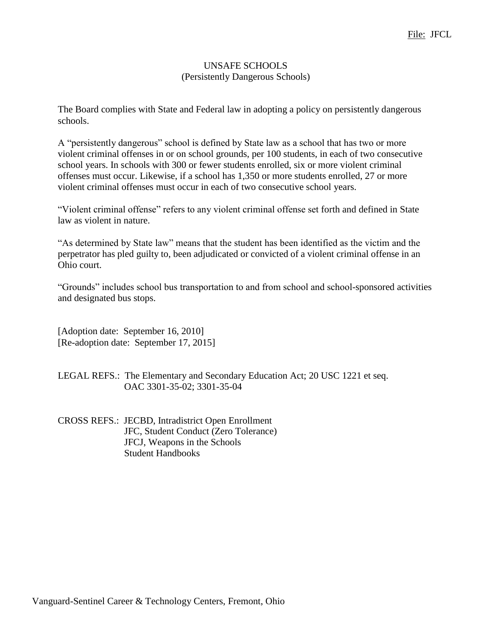### UNSAFE SCHOOLS (Persistently Dangerous Schools)

The Board complies with State and Federal law in adopting a policy on persistently dangerous schools.

A "persistently dangerous" school is defined by State law as a school that has two or more violent criminal offenses in or on school grounds, per 100 students, in each of two consecutive school years. In schools with 300 or fewer students enrolled, six or more violent criminal offenses must occur. Likewise, if a school has 1,350 or more students enrolled, 27 or more violent criminal offenses must occur in each of two consecutive school years.

"Violent criminal offense" refers to any violent criminal offense set forth and defined in State law as violent in nature.

"As determined by State law" means that the student has been identified as the victim and the perpetrator has pled guilty to, been adjudicated or convicted of a violent criminal offense in an Ohio court.

"Grounds" includes school bus transportation to and from school and school-sponsored activities and designated bus stops.

[Adoption date: September 16, 2010] [Re-adoption date: September 17, 2015]

LEGAL REFS.: The Elementary and Secondary Education Act; 20 USC 1221 et seq. OAC 3301-35-02; 3301-35-04

CROSS REFS.: JECBD, Intradistrict Open Enrollment JFC, Student Conduct (Zero Tolerance) JFCJ, Weapons in the Schools Student Handbooks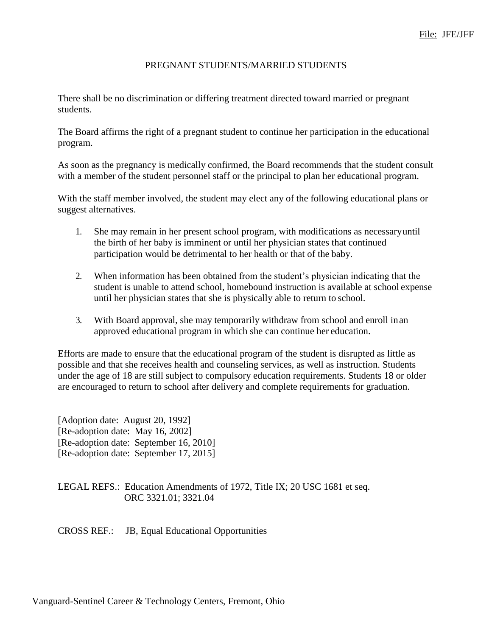### PREGNANT STUDENTS/MARRIED STUDENTS

There shall be no discrimination or differing treatment directed toward married or pregnant students.

The Board affirms the right of a pregnant student to continue her participation in the educational program.

As soon as the pregnancy is medically confirmed, the Board recommends that the student consult with a member of the student personnel staff or the principal to plan her educational program.

With the staff member involved, the student may elect any of the following educational plans or suggest alternatives.

- 1. She may remain in her present school program, with modifications as necessaryuntil the birth of her baby is imminent or until her physician states that continued participation would be detrimental to her health or that of the baby.
- 2. When information has been obtained from the student's physician indicating that the student is unable to attend school, homebound instruction is available at school expense until her physician states that she is physically able to return to school.
- 3. With Board approval, she may temporarily withdraw from school and enroll inan approved educational program in which she can continue her education.

Efforts are made to ensure that the educational program of the student is disrupted as little as possible and that she receives health and counseling services, as well as instruction. Students under the age of 18 are still subject to compulsory education requirements. Students 18 or older are encouraged to return to school after delivery and complete requirements for graduation.

[Adoption date: August 20, 1992] [Re-adoption date: May 16, 2002] [Re-adoption date: September 16, 2010] [Re-adoption date: September 17, 2015]

LEGAL REFS.: Education Amendments of 1972, Title IX; 20 USC 1681 et seq. ORC 3321.01; 3321.04

CROSS REF.: JB, Equal Educational Opportunities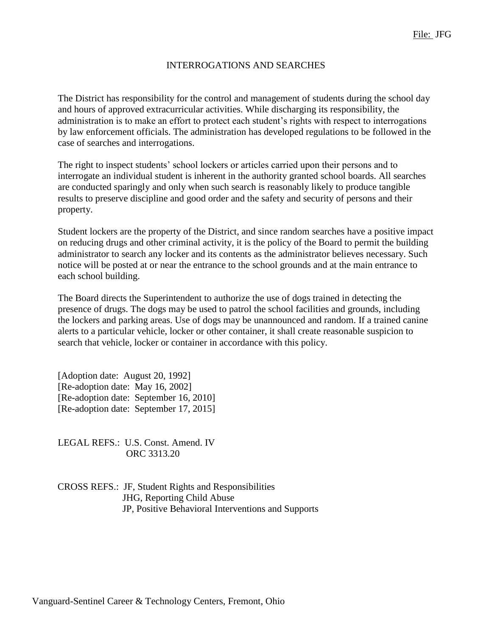#### INTERROGATIONS AND SEARCHES

The District has responsibility for the control and management of students during the school day and hours of approved extracurricular activities. While discharging its responsibility, the administration is to make an effort to protect each student's rights with respect to interrogations by law enforcement officials. The administration has developed regulations to be followed in the case of searches and interrogations.

The right to inspect students' school lockers or articles carried upon their persons and to interrogate an individual student is inherent in the authority granted school boards. All searches are conducted sparingly and only when such search is reasonably likely to produce tangible results to preserve discipline and good order and the safety and security of persons and their property.

Student lockers are the property of the District, and since random searches have a positive impact on reducing drugs and other criminal activity, it is the policy of the Board to permit the building administrator to search any locker and its contents as the administrator believes necessary. Such notice will be posted at or near the entrance to the school grounds and at the main entrance to each school building.

The Board directs the Superintendent to authorize the use of dogs trained in detecting the presence of drugs. The dogs may be used to patrol the school facilities and grounds, including the lockers and parking areas. Use of dogs may be unannounced and random. If a trained canine alerts to a particular vehicle, locker or other container, it shall create reasonable suspicion to search that vehicle, locker or container in accordance with this policy.

[Adoption date: August 20, 1992] [Re-adoption date: May 16, 2002] [Re-adoption date: September 16, 2010] [Re-adoption date: September 17, 2015]

LEGAL REFS.: U.S. Const. Amend. IV ORC 3313.20

CROSS REFS.: JF, Student Rights and Responsibilities JHG, Reporting Child Abuse JP, Positive Behavioral Interventions and Supports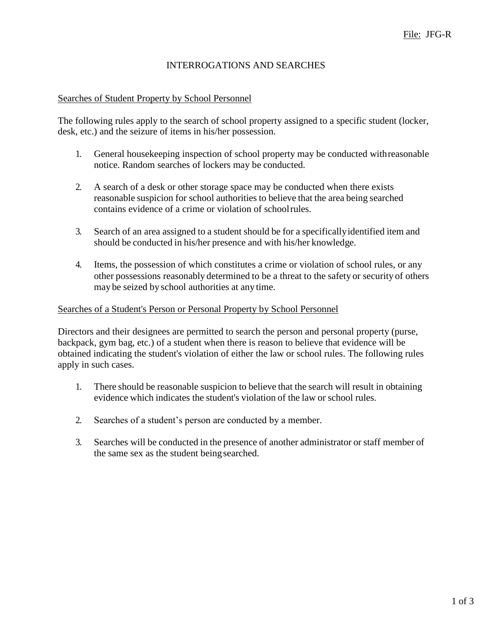# INTERROGATIONS AND SEARCHES

#### Searches of Student Property by School Personnel

The following rules apply to the search of school property assigned to a specific student (locker, desk, etc.) and the seizure of items in his/her possession.

- 1. General housekeeping inspection of school property may be conducted withreasonable notice. Random searches of lockers may be conducted.
- 2. A search of a desk or other storage space may be conducted when there exists reasonable suspicion for school authorities to believe that the area being searched contains evidence of a crime or violation of schoolrules.
- 3. Search of an area assigned to a student should be for a specificallyidentified item and should be conducted in his/her presence and with his/her knowledge.
- 4. Items, the possession of which constitutes a crime or violation of school rules, or any other possessions reasonably determined to be a threat to the safety or security of others may be seized by school authorities at any time.

#### Searches of a Student's Person or Personal Property by School Personnel

Directors and their designees are permitted to search the person and personal property (purse, backpack, gym bag, etc.) of a student when there is reason to believe that evidence will be obtained indicating the student's violation of either the law or school rules. The following rules apply in such cases.

- 1. There should be reasonable suspicion to believe that the search will result in obtaining evidence which indicates the student's violation of the law or school rules.
- 2. Searches of a student's person are conducted by a member.
- 3. Searches will be conducted in the presence of another administrator or staff member of the same sex as the student beingsearched.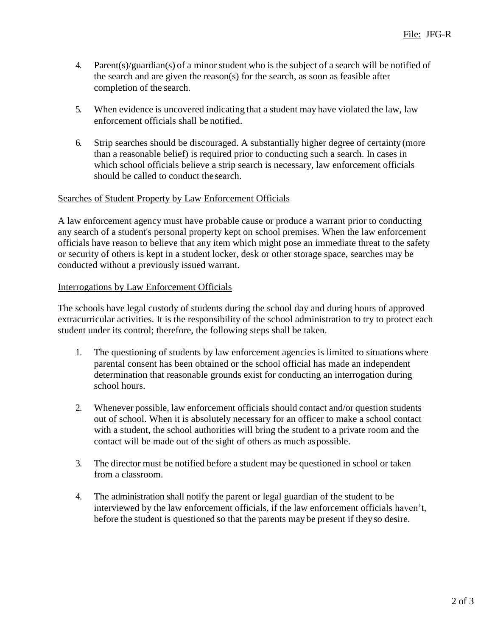- 4. Parent(s)/guardian(s) of a minor student who is the subject of a search will be notified of the search and are given the reason(s) for the search, as soon as feasible after completion of the search.
- 5. When evidence is uncovered indicating that a student may have violated the law, law enforcement officials shall be notified.
- 6. Strip searches should be discouraged. A substantially higher degree of certainty (more than a reasonable belief) is required prior to conducting such a search. In cases in which school officials believe a strip search is necessary, law enforcement officials should be called to conduct thesearch.

## Searches of Student Property by Law Enforcement Officials

A law enforcement agency must have probable cause or produce a warrant prior to conducting any search of a student's personal property kept on school premises. When the law enforcement officials have reason to believe that any item which might pose an immediate threat to the safety or security of others is kept in a student locker, desk or other storage space, searches may be conducted without a previously issued warrant.

### Interrogations by Law Enforcement Officials

The schools have legal custody of students during the school day and during hours of approved extracurricular activities. It is the responsibility of the school administration to try to protect each student under its control; therefore, the following steps shall be taken.

- 1. The questioning of students by law enforcement agencies is limited to situations where parental consent has been obtained or the school official has made an independent determination that reasonable grounds exist for conducting an interrogation during school hours.
- 2. Whenever possible, law enforcement officials should contact and/or question students out of school. When it is absolutely necessary for an officer to make a school contact with a student, the school authorities will bring the student to a private room and the contact will be made out of the sight of others as much aspossible.
- 3. The director must be notified before a student may be questioned in school or taken from a classroom.
- 4. The administration shall notify the parent or legal guardian of the student to be interviewed by the law enforcement officials, if the law enforcement officials haven't, before the student is questioned so that the parents may be present if theyso desire.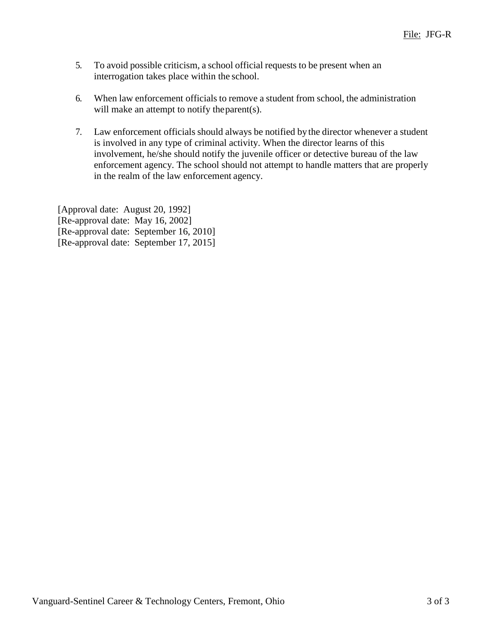- 5. To avoid possible criticism, a school official requests to be present when an interrogation takes place within the school.
- 6. When law enforcement officials to remove a student from school, the administration will make an attempt to notify the parent(s).
- 7. Law enforcement officials should always be notified by the director whenever a student is involved in any type of criminal activity. When the director learns of this involvement, he/she should notify the juvenile officer or detective bureau of the law enforcement agency. The school should not attempt to handle matters that are properly in the realm of the law enforcement agency.

[Approval date: August 20, 1992] [Re-approval date: May 16, 2002] [Re-approval date: September 16, 2010] [Re-approval date: September 17, 2015]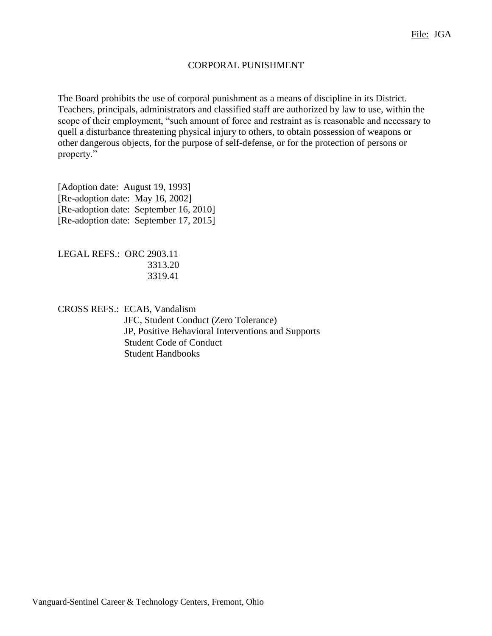### CORPORAL PUNISHMENT

The Board prohibits the use of corporal punishment as a means of discipline in its District. Teachers, principals, administrators and classified staff are authorized by law to use, within the scope of their employment, "such amount of force and restraint as is reasonable and necessary to quell a disturbance threatening physical injury to others, to obtain possession of weapons or other dangerous objects, for the purpose of self-defense, or for the protection of persons or property."

[Adoption date: August 19, 1993] [Re-adoption date: May 16, 2002] [Re-adoption date: September 16, 2010] [Re-adoption date: September 17, 2015]

LEGAL REFS.: ORC 2903.11 3313.20 3319.41

CROSS REFS.: ECAB, Vandalism JFC, Student Conduct (Zero Tolerance) JP, Positive Behavioral Interventions and Supports Student Code of Conduct Student Handbooks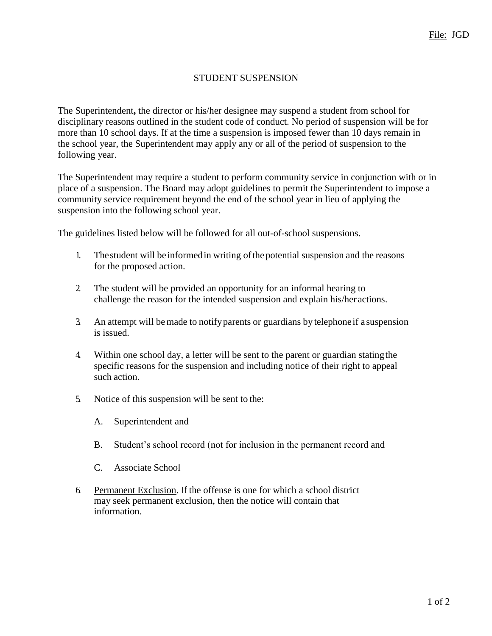# STUDENT SUSPENSION

The Superintendent**,** the director or his/her designee may suspend a student from school for disciplinary reasons outlined in the student code of conduct. No period of suspension will be for more than 10 school days. If at the time a suspension is imposed fewer than 10 days remain in the school year, the Superintendent may apply any or all of the period of suspension to the following year.

The Superintendent may require a student to perform community service in conjunction with or in place of a suspension. The Board may adopt guidelines to permit the Superintendent to impose a community service requirement beyond the end of the school year in lieu of applying the suspension into the following school year.

The guidelines listed below will be followed for all out-of-school suspensions.

- 1. Thestudent will be informedin writing ofthe potential suspension and the reasons for the proposed action.
- 2. The student will be provided an opportunity for an informal hearing to challenge the reason for the intended suspension and explain his/her actions.
- 3. An attempt will bemade to notifyparents or guardians by telephoneif a suspension is issued.
- 4. Within one school day, a letter will be sent to the parent or guardian statingthe specific reasons for the suspension and including notice of their right to appeal such action.
- 5. Notice of this suspension will be sent to the:
	- A. Superintendent and
	- B. Student's school record (not for inclusion in the permanent record and
	- C. Associate School
- 6. Permanent Exclusion. If the offense is one for which a school district may seek permanent exclusion, then the notice will contain that information.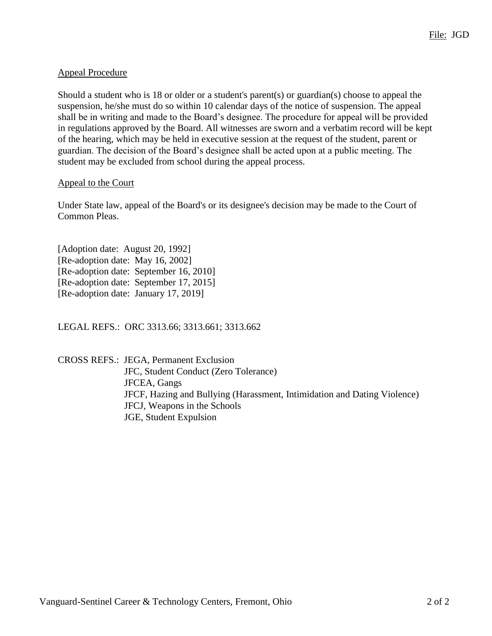# Appeal Procedure

Should a student who is 18 or older or a student's parent(s) or guardian(s) choose to appeal the suspension, he/she must do so within 10 calendar days of the notice of suspension. The appeal shall be in writing and made to the Board's designee. The procedure for appeal will be provided in regulations approved by the Board. All witnesses are sworn and a verbatim record will be kept of the hearing, which may be held in executive session at the request of the student, parent or guardian. The decision of the Board's designee shall be acted upon at a public meeting. The student may be excluded from school during the appeal process.

## Appeal to the Court

Under State law, appeal of the Board's or its designee's decision may be made to the Court of Common Pleas.

[Adoption date: August 20, 1992] [Re-adoption date: May 16, 2002] [Re-adoption date: September 16, 2010] [Re-adoption date: September 17, 2015] [Re-adoption date: January 17, 2019]

LEGAL REFS.: ORC 3313.66; 3313.661; 3313.662

CROSS REFS.: JEGA, Permanent Exclusion JFC, Student Conduct (Zero Tolerance) JFCEA, Gangs JFCF, Hazing and Bullying (Harassment, Intimidation and Dating Violence) JFCJ, Weapons in the Schools JGE, Student Expulsion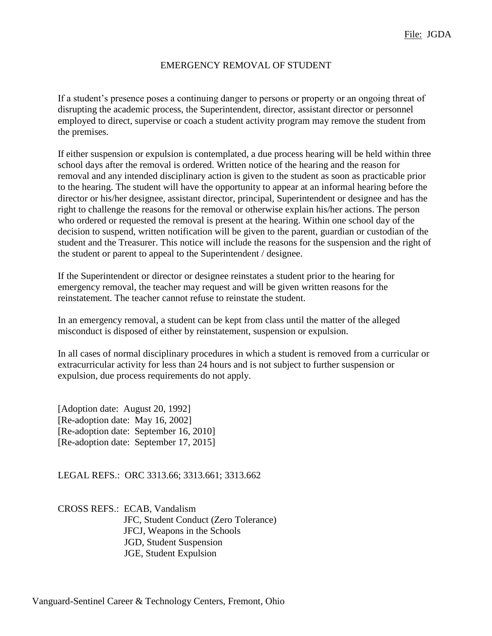#### EMERGENCY REMOVAL OF STUDENT

If a student's presence poses a continuing danger to persons or property or an ongoing threat of disrupting the academic process, the Superintendent, director, assistant director or personnel employed to direct, supervise or coach a student activity program may remove the student from the premises.

If either suspension or expulsion is contemplated, a due process hearing will be held within three school days after the removal is ordered. Written notice of the hearing and the reason for removal and any intended disciplinary action is given to the student as soon as practicable prior to the hearing. The student will have the opportunity to appear at an informal hearing before the director or his/her designee, assistant director, principal, Superintendent or designee and has the right to challenge the reasons for the removal or otherwise explain his/her actions. The person who ordered or requested the removal is present at the hearing. Within one school day of the decision to suspend, written notification will be given to the parent, guardian or custodian of the student and the Treasurer. This notice will include the reasons for the suspension and the right of the student or parent to appeal to the Superintendent / designee.

If the Superintendent or director or designee reinstates a student prior to the hearing for emergency removal, the teacher may request and will be given written reasons for the reinstatement. The teacher cannot refuse to reinstate the student.

In an emergency removal, a student can be kept from class until the matter of the alleged misconduct is disposed of either by reinstatement, suspension or expulsion.

In all cases of normal disciplinary procedures in which a student is removed from a curricular or extracurricular activity for less than 24 hours and is not subject to further suspension or expulsion, due process requirements do not apply.

[Adoption date: August 20, 1992] [Re-adoption date: May 16, 2002] [Re-adoption date: September 16, 2010] [Re-adoption date: September 17, 2015]

LEGAL REFS.: ORC 3313.66; 3313.661; 3313.662

CROSS REFS.: ECAB, Vandalism JFC, Student Conduct (Zero Tolerance) JFCJ, Weapons in the Schools JGD, Student Suspension JGE, Student Expulsion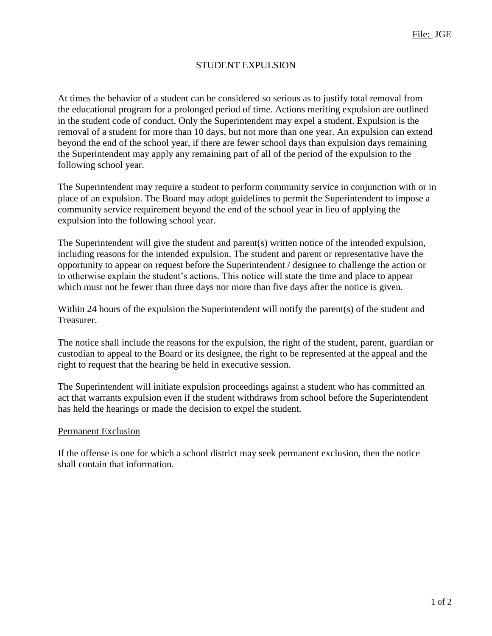# STUDENT EXPULSION

At times the behavior of a student can be considered so serious as to justify total removal from the educational program for a prolonged period of time. Actions meriting expulsion are outlined in the student code of conduct. Only the Superintendent may expel a student. Expulsion is the removal of a student for more than 10 days, but not more than one year. An expulsion can extend beyond the end of the school year, if there are fewer school days than expulsion days remaining the Superintendent may apply any remaining part of all of the period of the expulsion to the following school year.

The Superintendent may require a student to perform community service in conjunction with or in place of an expulsion. The Board may adopt guidelines to permit the Superintendent to impose a community service requirement beyond the end of the school year in lieu of applying the expulsion into the following school year.

The Superintendent will give the student and parent(s) written notice of the intended expulsion, including reasons for the intended expulsion. The student and parent or representative have the opportunity to appear on request before the Superintendent / designee to challenge the action or to otherwise explain the student's actions. This notice will state the time and place to appear which must not be fewer than three days nor more than five days after the notice is given.

Within 24 hours of the expulsion the Superintendent will notify the parent(s) of the student and Treasurer.

The notice shall include the reasons for the expulsion, the right of the student, parent, guardian or custodian to appeal to the Board or its designee, the right to be represented at the appeal and the right to request that the hearing be held in executive session.

The Superintendent will initiate expulsion proceedings against a student who has committed an act that warrants expulsion even if the student withdraws from school before the Superintendent has held the hearings or made the decision to expel the student.

### Permanent Exclusion

If the offense is one for which a school district may seek permanent exclusion, then the notice shall contain that information.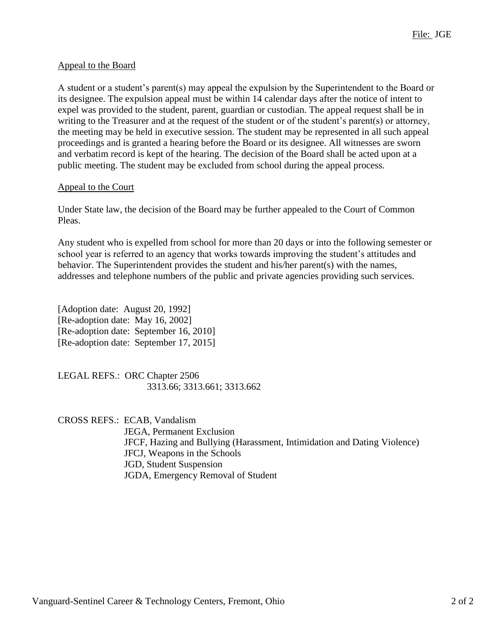# Appeal to the Board

A student or a student's parent(s) may appeal the expulsion by the Superintendent to the Board or its designee. The expulsion appeal must be within 14 calendar days after the notice of intent to expel was provided to the student, parent, guardian or custodian. The appeal request shall be in writing to the Treasurer and at the request of the student or of the student's parent(s) or attorney, the meeting may be held in executive session. The student may be represented in all such appeal proceedings and is granted a hearing before the Board or its designee. All witnesses are sworn and verbatim record is kept of the hearing. The decision of the Board shall be acted upon at a public meeting. The student may be excluded from school during the appeal process.

### Appeal to the Court

Under State law, the decision of the Board may be further appealed to the Court of Common Pleas.

Any student who is expelled from school for more than 20 days or into the following semester or school year is referred to an agency that works towards improving the student's attitudes and behavior. The Superintendent provides the student and his/her parent(s) with the names, addresses and telephone numbers of the public and private agencies providing such services.

[Adoption date: August 20, 1992] [Re-adoption date: May 16, 2002] [Re-adoption date: September 16, 2010] [Re-adoption date: September 17, 2015]

LEGAL REFS.: ORC Chapter 2506 3313.66; 3313.661; 3313.662

CROSS REFS.: ECAB, Vandalism JEGA, Permanent Exclusion JFCF, Hazing and Bullying (Harassment, Intimidation and Dating Violence) JFCJ, Weapons in the Schools JGD, Student Suspension JGDA, Emergency Removal of Student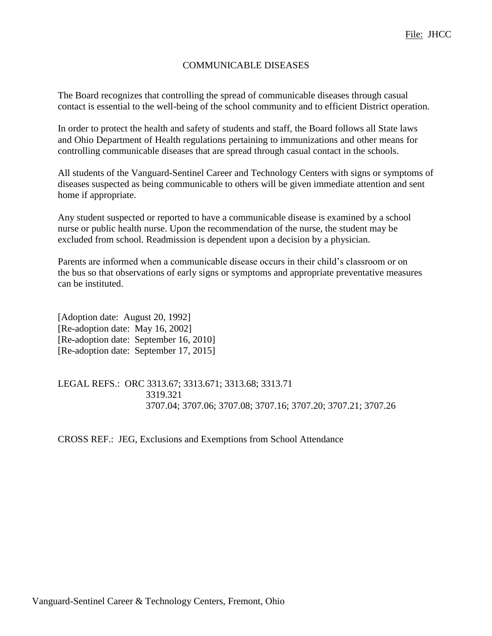### COMMUNICABLE DISEASES

The Board recognizes that controlling the spread of communicable diseases through casual contact is essential to the well-being of the school community and to efficient District operation.

In order to protect the health and safety of students and staff, the Board follows all State laws and Ohio Department of Health regulations pertaining to immunizations and other means for controlling communicable diseases that are spread through casual contact in the schools.

All students of the Vanguard-Sentinel Career and Technology Centers with signs or symptoms of diseases suspected as being communicable to others will be given immediate attention and sent home if appropriate.

Any student suspected or reported to have a communicable disease is examined by a school nurse or public health nurse. Upon the recommendation of the nurse, the student may be excluded from school. Readmission is dependent upon a decision by a physician.

Parents are informed when a communicable disease occurs in their child's classroom or on the bus so that observations of early signs or symptoms and appropriate preventative measures can be instituted.

[Adoption date: August 20, 1992] [Re-adoption date: May 16, 2002] [Re-adoption date: September 16, 2010] [Re-adoption date: September 17, 2015]

LEGAL REFS.: ORC 3313.67; 3313.671; 3313.68; 3313.71 3319.321 3707.04; 3707.06; 3707.08; 3707.16; 3707.20; 3707.21; 3707.26

CROSS REF.: JEG, Exclusions and Exemptions from School Attendance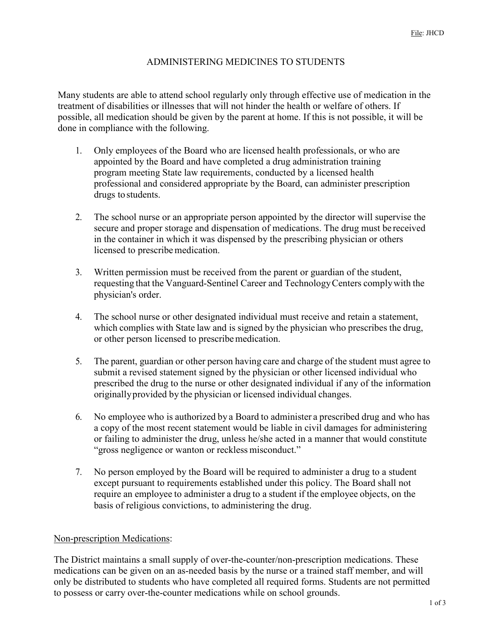# ADMINISTERING MEDICINES TO STUDENTS

Many students are able to attend school regularly only through effective use of medication in the treatment of disabilities or illnesses that will not hinder the health or welfare of others. If possible, all medication should be given by the parent at home. If this is not possible, it will be done in compliance with the following.

- 1. Only employees of the Board who are licensed health professionals, or who are appointed by the Board and have completed a drug administration training program meeting State law requirements, conducted by a licensed health professional and considered appropriate by the Board, can administer prescription drugs to students.
- 2. The school nurse or an appropriate person appointed by the director will supervise the secure and proper storage and dispensation of medications. The drug must be received in the container in which it was dispensed by the prescribing physician or others licensed to prescribe medication.
- 3. Written permission must be received from the parent or guardian of the student, requesting that the Vanguard-Sentinel Career and TechnologyCenters complywith the physician's order.
- 4. The school nurse or other designated individual must receive and retain a statement, which complies with State law and is signed by the physician who prescribes the drug, or other person licensed to prescribemedication.
- 5. The parent, guardian or other person having care and charge of the student must agree to submit a revised statement signed by the physician or other licensed individual who prescribed the drug to the nurse or other designated individual if any of the information originallyprovided by the physician or licensed individual changes.
- 6. No employee who is authorized by a Board to administer a prescribed drug and who has a copy of the most recent statement would be liable in civil damages for administering or failing to administer the drug, unless he/she acted in a manner that would constitute "gross negligence or wanton or reckless misconduct."
- 7. No person employed by the Board will be required to administer a drug to a student except pursuant to requirements established under this policy. The Board shall not require an employee to administer a drug to a student if the employee objects, on the basis of religious convictions, to administering the drug.

### Non-prescription Medications:

The District maintains a small supply of over-the-counter/non-prescription medications. These medications can be given on an as-needed basis by the nurse or a trained staff member, and will only be distributed to students who have completed all required forms. Students are not permitted to possess or carry over-the-counter medications while on school grounds.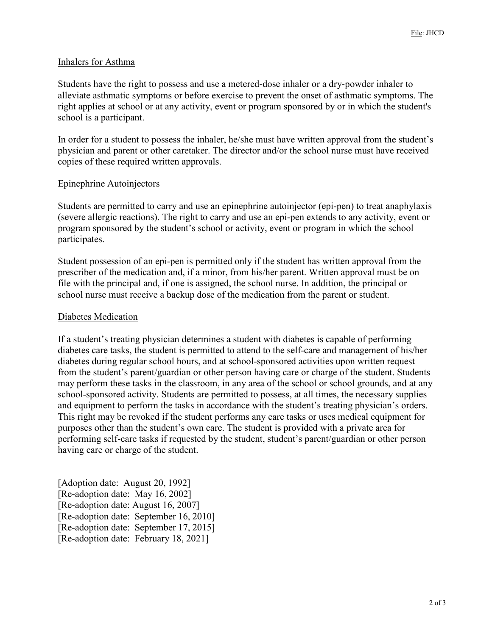#### Inhalers for Asthma

Students have the right to possess and use a metered-dose inhaler or a dry-powder inhaler to alleviate asthmatic symptoms or before exercise to prevent the onset of asthmatic symptoms. The right applies at school or at any activity, event or program sponsored by or in which the student's school is a participant.

In order for a student to possess the inhaler, he/she must have written approval from the student's physician and parent or other caretaker. The director and/or the school nurse must have received copies of these required written approvals.

#### Epinephrine Autoinjectors

Students are permitted to carry and use an epinephrine autoinjector (epi-pen) to treat anaphylaxis (severe allergic reactions). The right to carry and use an epi-pen extends to any activity, event or program sponsored by the student's school or activity, event or program in which the school participates.

Student possession of an epi-pen is permitted only if the student has written approval from the prescriber of the medication and, if a minor, from his/her parent. Written approval must be on file with the principal and, if one is assigned, the school nurse. In addition, the principal or school nurse must receive a backup dose of the medication from the parent or student.

#### Diabetes Medication

If a student's treating physician determines a student with diabetes is capable of performing diabetes care tasks, the student is permitted to attend to the self-care and management of his/her diabetes during regular school hours, and at school-sponsored activities upon written request from the student's parent/guardian or other person having care or charge of the student. Students may perform these tasks in the classroom, in any area of the school or school grounds, and at any school-sponsored activity. Students are permitted to possess, at all times, the necessary supplies and equipment to perform the tasks in accordance with the student's treating physician's orders. This right may be revoked if the student performs any care tasks or uses medical equipment for purposes other than the student's own care. The student is provided with a private area for performing self-care tasks if requested by the student, student's parent/guardian or other person having care or charge of the student.

[Adoption date: August 20, 1992] [Re-adoption date: May 16, 2002] [Re-adoption date: August 16, 2007] [Re-adoption date: September 16, 2010] [Re-adoption date: September 17, 2015] [Re-adoption date: February 18, 2021]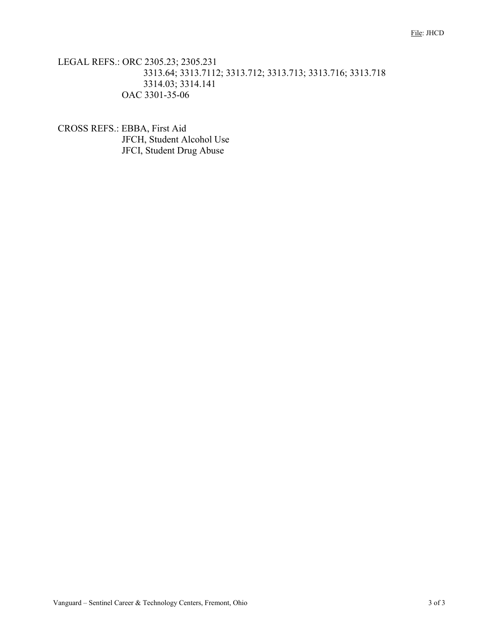# LEGAL REFS.: ORC 2305.23; 2305.231 3313.64; 3313.7112; 3313.712; 3313.713; 3313.716; 3313.718 3314.03; 3314.141 OAC 3301-35-06

CROSS REFS.: EBBA, First Aid JFCH, Student Alcohol Use JFCI, Student Drug Abuse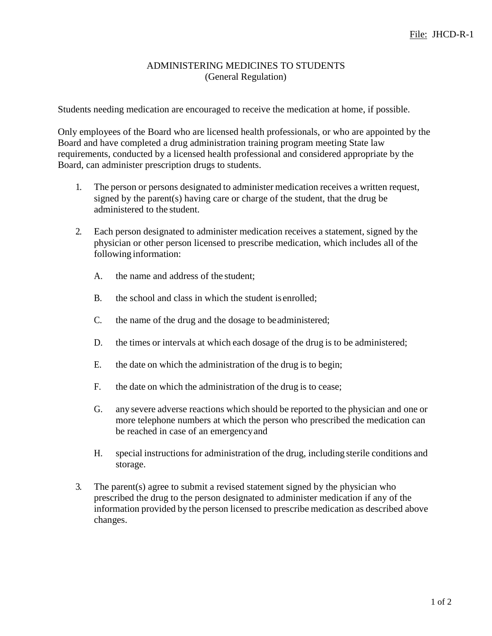## ADMINISTERING MEDICINES TO STUDENTS (General Regulation)

Students needing medication are encouraged to receive the medication at home, if possible.

Only employees of the Board who are licensed health professionals, or who are appointed by the Board and have completed a drug administration training program meeting State law requirements, conducted by a licensed health professional and considered appropriate by the Board, can administer prescription drugs to students.

- 1. The person or persons designated to administer medication receives a written request, signed by the parent(s) having care or charge of the student, that the drug be administered to the student.
- 2. Each person designated to administer medication receives a statement, signed by the physician or other person licensed to prescribe medication, which includes all of the following information:
	- A. the name and address of the student;
	- B. the school and class in which the student is enrolled;
	- C. the name of the drug and the dosage to beadministered;
	- D. the times or intervals at which each dosage of the drug is to be administered;
	- E. the date on which the administration of the drug is to begin;
	- F. the date on which the administration of the drug is to cease;
	- G. any severe adverse reactions which should be reported to the physician and one or more telephone numbers at which the person who prescribed the medication can be reached in case of an emergencyand
	- H. special instructions for administration of the drug, including sterile conditions and storage.
- 3. The parent(s) agree to submit a revised statement signed by the physician who prescribed the drug to the person designated to administer medication if any of the information provided by the person licensed to prescribe medication as described above changes.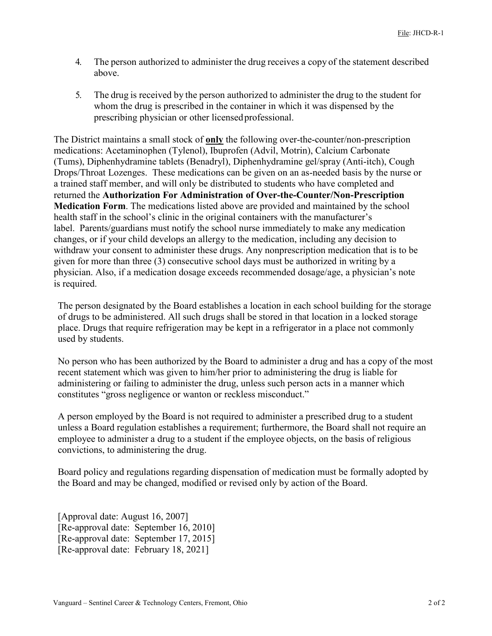- 4. The person authorized to administer the drug receives a copy of the statement described above.
- 5. The drug is received by the person authorized to administer the drug to the student for whom the drug is prescribed in the container in which it was dispensed by the prescribing physician or other licensedprofessional.

The District maintains a small stock of **only** the following over-the-counter/non-prescription medications: Acetaminophen (Tylenol), Ibuprofen (Advil, Motrin), Calcium Carbonate (Tums), Diphenhydramine tablets (Benadryl), Diphenhydramine gel/spray (Anti-itch), Cough Drops/Throat Lozenges. These medications can be given on an as-needed basis by the nurse or a trained staff member, and will only be distributed to students who have completed and returned the **Authorization For Administration of Over-the-Counter/Non-Prescription Medication Form**. The medications listed above are provided and maintained by the school health staff in the school's clinic in the original containers with the manufacturer's label. Parents/guardians must notify the school nurse immediately to make any medication changes, or if your child develops an allergy to the medication, including any decision to withdraw your consent to administer these drugs. Any nonprescription medication that is to be given for more than three (3) consecutive school days must be authorized in writing by a physician. Also, if a medication dosage exceeds recommended dosage/age, a physician's note is required.

The person designated by the Board establishes a location in each school building for the storage of drugs to be administered. All such drugs shall be stored in that location in a locked storage place. Drugs that require refrigeration may be kept in a refrigerator in a place not commonly used by students.

No person who has been authorized by the Board to administer a drug and has a copy of the most recent statement which was given to him/her prior to administering the drug is liable for administering or failing to administer the drug, unless such person acts in a manner which constitutes "gross negligence or wanton or reckless misconduct."

A person employed by the Board is not required to administer a prescribed drug to a student unless a Board regulation establishes a requirement; furthermore, the Board shall not require an employee to administer a drug to a student if the employee objects, on the basis of religious convictions, to administering the drug.

Board policy and regulations regarding dispensation of medication must be formally adopted by the Board and may be changed, modified or revised only by action of the Board.

[Approval date: August 16, 2007] [Re-approval date: September 16, 2010] [Re-approval date: September 17, 2015] [Re-approval date: February 18, 2021]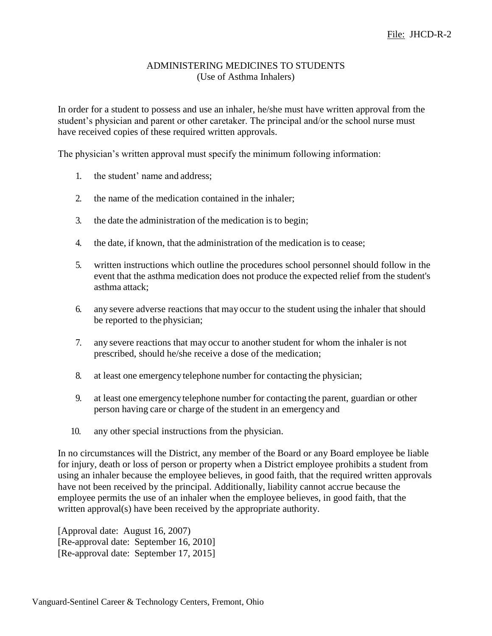### ADMINISTERING MEDICINES TO STUDENTS (Use of Asthma Inhalers)

In order for a student to possess and use an inhaler, he/she must have written approval from the student's physician and parent or other caretaker. The principal and/or the school nurse must have received copies of these required written approvals.

The physician's written approval must specify the minimum following information:

- 1. the student' name and address;
- 2. the name of the medication contained in the inhaler;
- 3. the date the administration of the medication is to begin;
- 4. the date, if known, that the administration of the medication is to cease;
- 5. written instructions which outline the procedures school personnel should follow in the event that the asthma medication does not produce the expected relief from the student's asthma attack;
- 6. any severe adverse reactions that may occur to the student using the inhaler that should be reported to the physician;
- 7. any severe reactions that may occur to another student for whom the inhaler is not prescribed, should he/she receive a dose of the medication;
- 8. at least one emergencytelephone number for contacting the physician;
- 9. at least one emergencytelephone number for contacting the parent, guardian or other person having care or charge of the student in an emergency and
- 10. any other special instructions from the physician.

In no circumstances will the District, any member of the Board or any Board employee be liable for injury, death or loss of person or property when a District employee prohibits a student from using an inhaler because the employee believes, in good faith, that the required written approvals have not been received by the principal. Additionally, liability cannot accrue because the employee permits the use of an inhaler when the employee believes, in good faith, that the written approval(s) have been received by the appropriate authority.

[Approval date: August 16, 2007) [Re-approval date: September 16, 2010] [Re-approval date: September 17, 2015]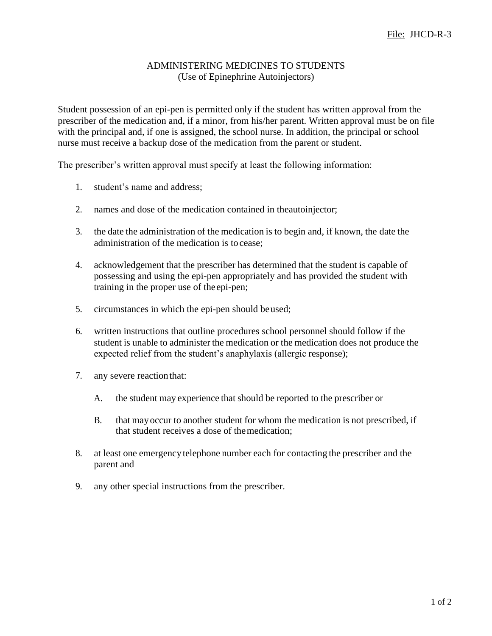## ADMINISTERING MEDICINES TO STUDENTS (Use of Epinephrine Autoinjectors)

Student possession of an epi-pen is permitted only if the student has written approval from the prescriber of the medication and, if a minor, from his/her parent. Written approval must be on file with the principal and, if one is assigned, the school nurse. In addition, the principal or school nurse must receive a backup dose of the medication from the parent or student.

The prescriber's written approval must specify at least the following information:

- 1. student's name and address;
- 2. names and dose of the medication contained in theautoinjector;
- 3. the date the administration of the medication is to begin and, if known, the date the administration of the medication is to cease;
- 4. acknowledgement that the prescriber has determined that the student is capable of possessing and using the epi-pen appropriately and has provided the student with training in the proper use of theepi-pen;
- 5. circumstances in which the epi-pen should beused;
- 6. written instructions that outline procedures school personnel should follow if the student is unable to administer the medication or the medication does not produce the expected relief from the student's anaphylaxis (allergic response);
- 7. any severe reaction that:
	- A. the student may experience that should be reported to the prescriber or
	- B. that mayoccur to another student for whom the medication is not prescribed, if that student receives a dose of themedication;
- 8. at least one emergencytelephone number each for contacting the prescriber and the parent and
- 9. any other special instructions from the prescriber.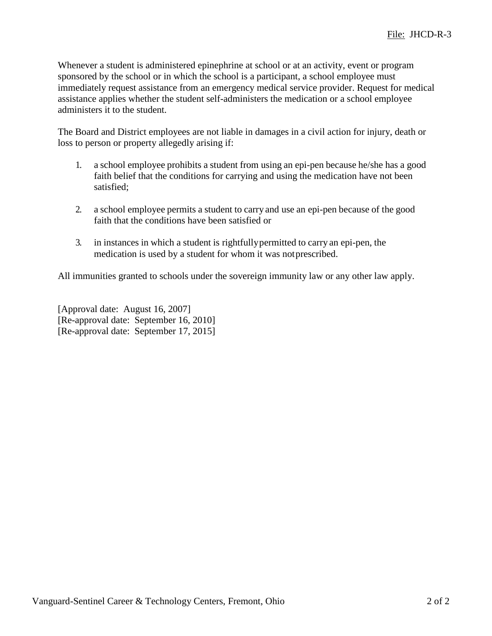Whenever a student is administered epinephrine at school or at an activity, event or program sponsored by the school or in which the school is a participant, a school employee must immediately request assistance from an emergency medical service provider. Request for medical assistance applies whether the student self-administers the medication or a school employee administers it to the student.

The Board and District employees are not liable in damages in a civil action for injury, death or loss to person or property allegedly arising if:

- 1. a school employee prohibits a student from using an epi-pen because he/she has a good faith belief that the conditions for carrying and using the medication have not been satisfied;
- 2. a school employee permits a student to carry and use an epi-pen because of the good faith that the conditions have been satisfied or
- 3. in instances in which a student is rightfullypermitted to carry an epi-pen, the medication is used by a student for whom it was notprescribed.

All immunities granted to schools under the sovereign immunity law or any other law apply.

[Approval date: August 16, 2007] [Re-approval date: September 16, 2010] [Re-approval date: September 17, 2015]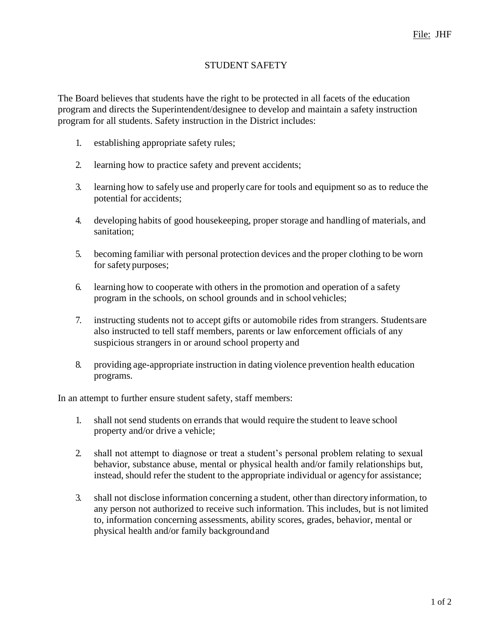# STUDENT SAFETY

The Board believes that students have the right to be protected in all facets of the education program and directs the Superintendent/designee to develop and maintain a safety instruction program for all students. Safety instruction in the District includes:

- 1. establishing appropriate safety rules;
- 2. learning how to practice safety and prevent accidents;
- 3. learning how to safely use and properly care for tools and equipment so as to reduce the potential for accidents;
- 4. developing habits of good housekeeping, proper storage and handling of materials, and sanitation;
- 5. becoming familiar with personal protection devices and the proper clothing to be worn for safety purposes;
- 6. learning how to cooperate with others in the promotion and operation of a safety program in the schools, on school grounds and in school vehicles;
- 7. instructing students not to accept gifts or automobile rides from strangers. Studentsare also instructed to tell staff members, parents or law enforcement officials of any suspicious strangers in or around school property and
- 8. providing age-appropriate instruction in dating violence prevention health education programs.

In an attempt to further ensure student safety, staff members:

- 1. shall not send students on errands that would require the student to leave school property and/or drive a vehicle;
- 2. shall not attempt to diagnose or treat a student's personal problem relating to sexual behavior, substance abuse, mental or physical health and/or family relationships but, instead, should refer the student to the appropriate individual or agencyfor assistance;
- 3. shall not disclose information concerning a student, other than directoryinformation, to any person not authorized to receive such information. This includes, but is not limited to, information concerning assessments, ability scores, grades, behavior, mental or physical health and/or family backgroundand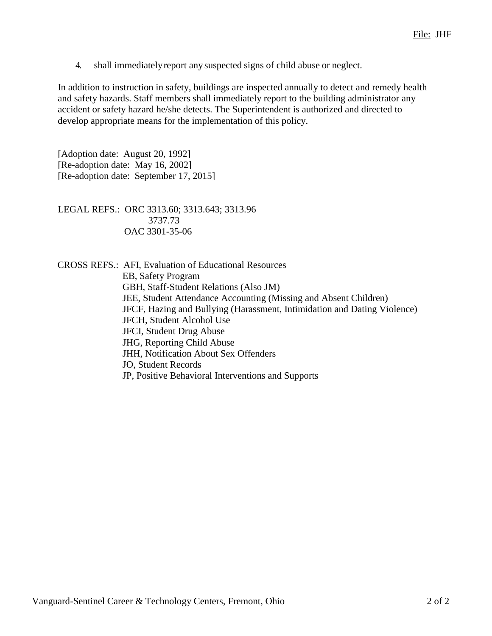4. shall immediatelyreport any suspected signs of child abuse or neglect.

In addition to instruction in safety, buildings are inspected annually to detect and remedy health and safety hazards. Staff members shall immediately report to the building administrator any accident or safety hazard he/she detects. The Superintendent is authorized and directed to develop appropriate means for the implementation of this policy.

[Adoption date: August 20, 1992] [Re-adoption date: May 16, 2002] [Re-adoption date: September 17, 2015]

LEGAL REFS.: ORC 3313.60; 3313.643; 3313.96 3737.73 OAC 3301-35-06

CROSS REFS.: AFI, Evaluation of Educational Resources EB, Safety Program GBH, Staff-Student Relations (Also JM) JEE, Student Attendance Accounting (Missing and Absent Children) JFCF, Hazing and Bullying (Harassment, Intimidation and Dating Violence) JFCH, Student Alcohol Use JFCI, Student Drug Abuse JHG, Reporting Child Abuse JHH, Notification About Sex Offenders JO, Student Records JP, Positive Behavioral Interventions and Supports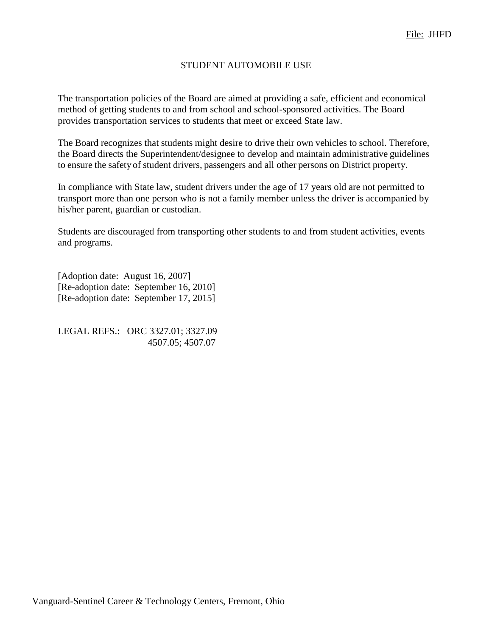## STUDENT AUTOMOBILE USE

The transportation policies of the Board are aimed at providing a safe, efficient and economical method of getting students to and from school and school-sponsored activities. The Board provides transportation services to students that meet or exceed State law.

The Board recognizes that students might desire to drive their own vehicles to school. Therefore, the Board directs the Superintendent/designee to develop and maintain administrative guidelines to ensure the safety of student drivers, passengers and all other persons on District property.

In compliance with State law, student drivers under the age of 17 years old are not permitted to transport more than one person who is not a family member unless the driver is accompanied by his/her parent, guardian or custodian.

Students are discouraged from transporting other students to and from student activities, events and programs.

[Adoption date: August 16, 2007] [Re-adoption date: September 16, 2010] [Re-adoption date: September 17, 2015]

LEGAL REFS.: ORC 3327.01; 3327.09 4507.05; 4507.07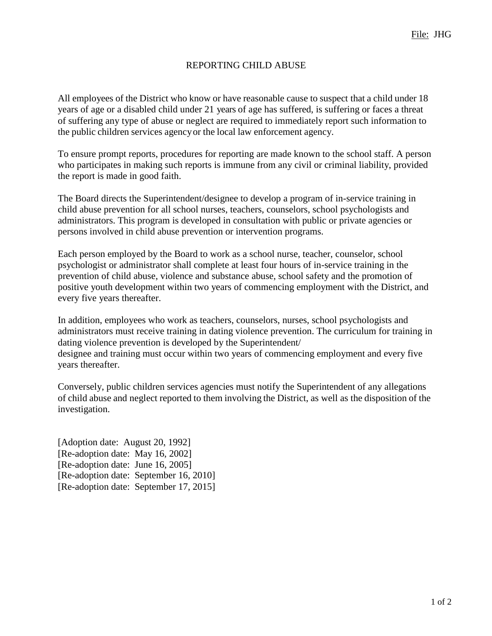# REPORTING CHILD ABUSE

All employees of the District who know or have reasonable cause to suspect that a child under 18 years of age or a disabled child under 21 years of age has suffered, is suffering or faces a threat of suffering any type of abuse or neglect are required to immediately report such information to the public children services agencyor the local law enforcement agency.

To ensure prompt reports, procedures for reporting are made known to the school staff. A person who participates in making such reports is immune from any civil or criminal liability, provided the report is made in good faith.

The Board directs the Superintendent/designee to develop a program of in-service training in child abuse prevention for all school nurses, teachers, counselors, school psychologists and administrators. This program is developed in consultation with public or private agencies or persons involved in child abuse prevention or intervention programs.

Each person employed by the Board to work as a school nurse, teacher, counselor, school psychologist or administrator shall complete at least four hours of in-service training in the prevention of child abuse, violence and substance abuse, school safety and the promotion of positive youth development within two years of commencing employment with the District, and every five years thereafter.

In addition, employees who work as teachers, counselors, nurses, school psychologists and administrators must receive training in dating violence prevention. The curriculum for training in dating violence prevention is developed by the Superintendent/ designee and training must occur within two years of commencing employment and every five years thereafter.

Conversely, public children services agencies must notify the Superintendent of any allegations of child abuse and neglect reported to them involving the District, as well as the disposition of the investigation.

[Adoption date: August 20, 1992] [Re-adoption date: May 16, 2002] [Re-adoption date: June 16, 2005] [Re-adoption date: September 16, 2010] [Re-adoption date: September 17, 2015]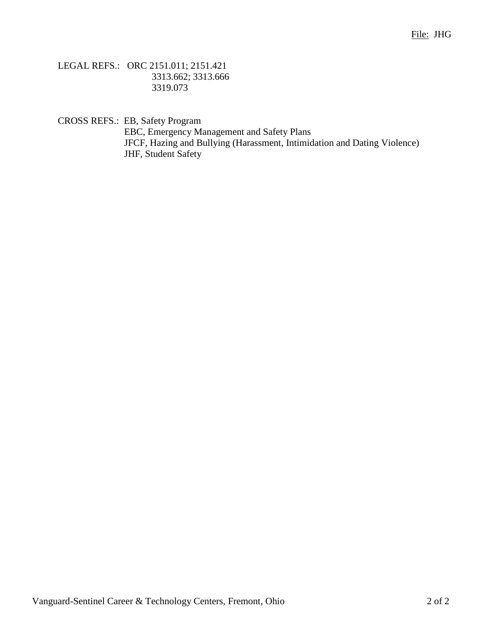LEGAL REFS.: ORC 2151.011; 2151.421 3313.662; 3313.666 3319.073

CROSS REFS.: EB, Safety Program

EBC, Emergency Management and Safety Plans JFCF, Hazing and Bullying (Harassment, Intimidation and Dating Violence) JHF, Student Safety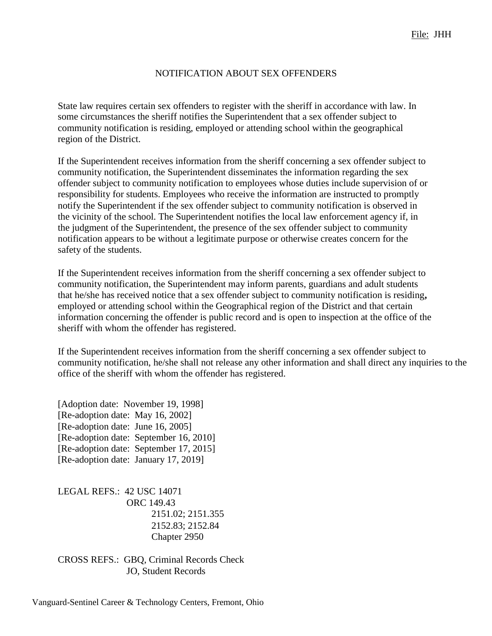# NOTIFICATION ABOUT SEX OFFENDERS

State law requires certain sex offenders to register with the sheriff in accordance with law. In some circumstances the sheriff notifies the Superintendent that a sex offender subject to community notification is residing, employed or attending school within the geographical region of the District.

If the Superintendent receives information from the sheriff concerning a sex offender subject to community notification, the Superintendent disseminates the information regarding the sex offender subject to community notification to employees whose duties include supervision of or responsibility for students. Employees who receive the information are instructed to promptly notify the Superintendent if the sex offender subject to community notification is observed in the vicinity of the school. The Superintendent notifies the local law enforcement agency if, in the judgment of the Superintendent, the presence of the sex offender subject to community notification appears to be without a legitimate purpose or otherwise creates concern for the safety of the students.

If the Superintendent receives information from the sheriff concerning a sex offender subject to community notification, the Superintendent may inform parents, guardians and adult students that he/she has received notice that a sex offender subject to community notification is residing**,**  employed or attending school within the Geographical region of the District and that certain information concerning the offender is public record and is open to inspection at the office of the sheriff with whom the offender has registered.

If the Superintendent receives information from the sheriff concerning a sex offender subject to community notification, he/she shall not release any other information and shall direct any inquiries to the office of the sheriff with whom the offender has registered.

[Adoption date: November 19, 1998] [Re-adoption date: May 16, 2002] [Re-adoption date: June 16, 2005] [Re-adoption date: September 16, 2010] [Re-adoption date: September 17, 2015] [Re-adoption date: January 17, 2019]

LEGAL REFS.: 42 USC 14071 ORC 149.43 2151.02; 2151.355 2152.83; 2152.84 Chapter 2950

CROSS REFS.: GBQ, Criminal Records Check JO, Student Records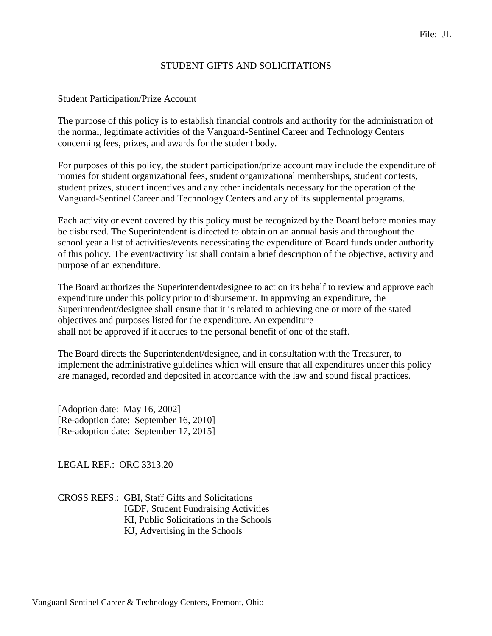# STUDENT GIFTS AND SOLICITATIONS

#### Student Participation/Prize Account

The purpose of this policy is to establish financial controls and authority for the administration of the normal, legitimate activities of the Vanguard-Sentinel Career and Technology Centers concerning fees, prizes, and awards for the student body.

For purposes of this policy, the student participation/prize account may include the expenditure of monies for student organizational fees, student organizational memberships, student contests, student prizes, student incentives and any other incidentals necessary for the operation of the Vanguard-Sentinel Career and Technology Centers and any of its supplemental programs.

Each activity or event covered by this policy must be recognized by the Board before monies may be disbursed. The Superintendent is directed to obtain on an annual basis and throughout the school year a list of activities/events necessitating the expenditure of Board funds under authority of this policy. The event/activity list shall contain a brief description of the objective, activity and purpose of an expenditure.

The Board authorizes the Superintendent/designee to act on its behalf to review and approve each expenditure under this policy prior to disbursement. In approving an expenditure, the Superintendent/designee shall ensure that it is related to achieving one or more of the stated objectives and purposes listed for the expenditure. An expenditure shall not be approved if it accrues to the personal benefit of one of the staff.

The Board directs the Superintendent/designee, and in consultation with the Treasurer, to implement the administrative guidelines which will ensure that all expenditures under this policy are managed, recorded and deposited in accordance with the law and sound fiscal practices.

[Adoption date: May 16, 2002] [Re-adoption date: September 16, 2010] [Re-adoption date: September 17, 2015]

LEGAL REF.: ORC 3313.20

CROSS REFS.: GBI, Staff Gifts and Solicitations IGDF, Student Fundraising Activities KI, Public Solicitations in the Schools KJ, Advertising in the Schools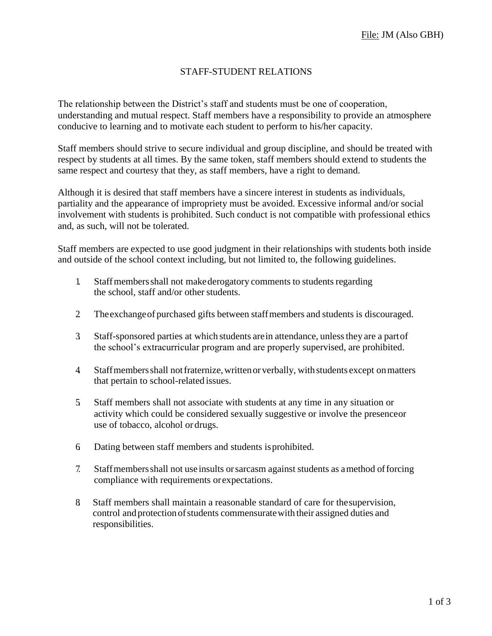## STAFF-STUDENT RELATIONS

The relationship between the District's staff and students must be one of cooperation, understanding and mutual respect. Staff members have a responsibility to provide an atmosphere conducive to learning and to motivate each student to perform to his/her capacity.

Staff members should strive to secure individual and group discipline, and should be treated with respect by students at all times. By the same token, staff members should extend to students the same respect and courtesy that they, as staff members, have a right to demand.

Although it is desired that staff members have a sincere interest in students as individuals, partiality and the appearance of impropriety must be avoided. Excessive informal and/or social involvement with students is prohibited. Such conduct is not compatible with professional ethics and, as such, will not be tolerated.

Staff members are expected to use good judgment in their relationships with students both inside and outside of the school context including, but not limited to, the following guidelines.

- 1. Staffmembersshall not makederogatory comments to students regarding the school, staff and/or other students.
- 2. Theexchangeof purchased gifts between staffmembers and students is discouraged.
- 3. Staff-sponsored parties at which students arein attendance, unlessthey are a partof the school's extracurricular program and are properly supervised, are prohibited.
- 4. Staffmembersshall notfraternize,writtenor verbally, withstudents except onmatters that pertain to school-related issues.
- 5. Staff members shall not associate with students at any time in any situation or activity which could be considered sexually suggestive or involve the presenceor use of tobacco, alcohol or drugs.
- 6. Dating between staff members and students isprohibited.
- 7. Staffmembersshall not use insults orsarcasm against students as amethod offorcing compliance with requirements orexpectations.
- 8. Staff members shall maintain a reasonable standard of care for thesupervision, control and protectionofstudents commensuratewith their assigned duties and responsibilities.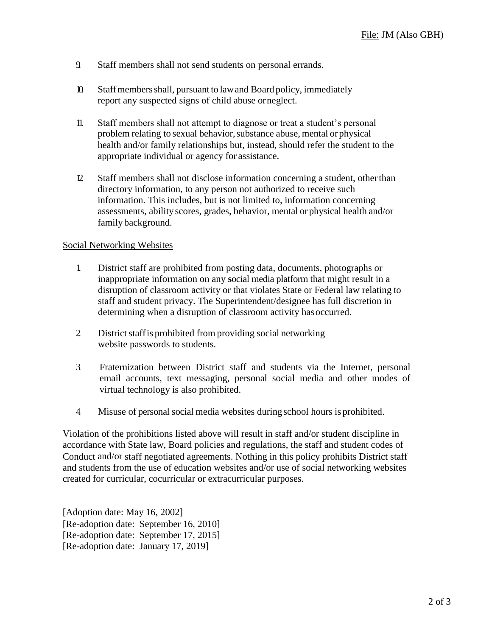- 9. Staff members shall not send students on personal errands.
- 10. Staffmembersshall, pursuant to lawand Board policy, immediately report any suspected signs of child abuse orneglect.
- 11. Staff members shall not attempt to diagnose or treat a student's personal problem relating to sexual behavior,substance abuse, mental orphysical health and/or family relationships but, instead, should refer the student to the appropriate individual or agency for assistance.
- 12. Staff members shall not disclose information concerning a student, otherthan directory information, to any person not authorized to receive such information. This includes, but is not limited to, information concerning assessments, abilityscores, grades, behavior, mental or physical health and/or family background.

#### Social Networking Websites

- 1. District staff are prohibited from posting data, documents, photographs or inappropriate information on any **s**ocial media platform that might result in a disruption of classroom activity or that violates State or Federal law relating to staff and student privacy. The Superintendent/designee has full discretion in determining when a disruption of classroom activity has occurred.
- 2 District staff is prohibited from providing social networking website passwords to students.
- 3. Fraternization between District staff and students via the Internet, personal email accounts, text messaging, personal social media and other modes of virtual technology is also prohibited.
- 4. Misuse of personal social media websites duringschool hours is prohibited.

Violation of the prohibitions listed above will result in staff and/or student discipline in accordance with State law, Board policies and regulations, the staff and student codes of Conduct and/or staff negotiated agreements. Nothing in this policy prohibits District staff and students from the use of education websites and/or use of social networking websites created for curricular, cocurricular or extracurricular purposes.

[Adoption date: May 16, 2002] [Re-adoption date: September 16, 2010] [Re-adoption date: September 17, 2015] [Re-adoption date: January 17, 2019]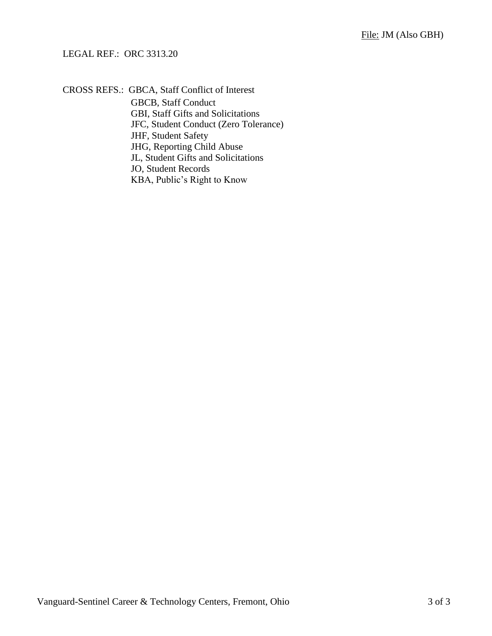### LEGAL REF.: ORC 3313.20

CROSS REFS.: GBCA, Staff Conflict of Interest

GBCB, Staff Conduct GBI, Staff Gifts and Solicitations JFC, Student Conduct (Zero Tolerance) JHF, Student Safety JHG, Reporting Child Abuse JL, Student Gifts and Solicitations JO, Student Records KBA, Public's Right to Know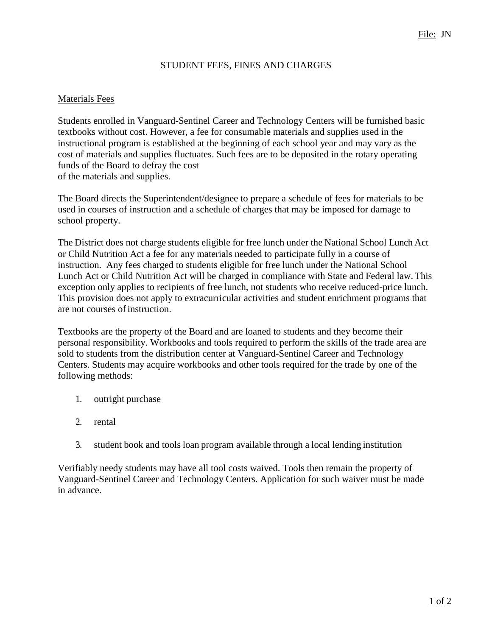### STUDENT FEES, FINES AND CHARGES

#### Materials Fees

Students enrolled in Vanguard-Sentinel Career and Technology Centers will be furnished basic textbooks without cost. However, a fee for consumable materials and supplies used in the instructional program is established at the beginning of each school year and may vary as the cost of materials and supplies fluctuates. Such fees are to be deposited in the rotary operating funds of the Board to defray the cost of the materials and supplies.

The Board directs the Superintendent/designee to prepare a schedule of fees for materials to be used in courses of instruction and a schedule of charges that may be imposed for damage to school property.

The District does not charge students eligible for free lunch under the National School Lunch Act or Child Nutrition Act a fee for any materials needed to participate fully in a course of instruction. Any fees charged to students eligible for free lunch under the National School Lunch Act or Child Nutrition Act will be charged in compliance with State and Federal law. This exception only applies to recipients of free lunch, not students who receive reduced-price lunch. This provision does not apply to extracurricular activities and student enrichment programs that are not courses of instruction.

Textbooks are the property of the Board and are loaned to students and they become their personal responsibility. Workbooks and tools required to perform the skills of the trade area are sold to students from the distribution center at Vanguard-Sentinel Career and Technology Centers. Students may acquire workbooks and other tools required for the trade by one of the following methods:

- 1. outright purchase
- 2. rental
- 3. student book and tools loan program available through a local lending institution

Verifiably needy students may have all tool costs waived. Tools then remain the property of Vanguard-Sentinel Career and Technology Centers. Application for such waiver must be made in advance.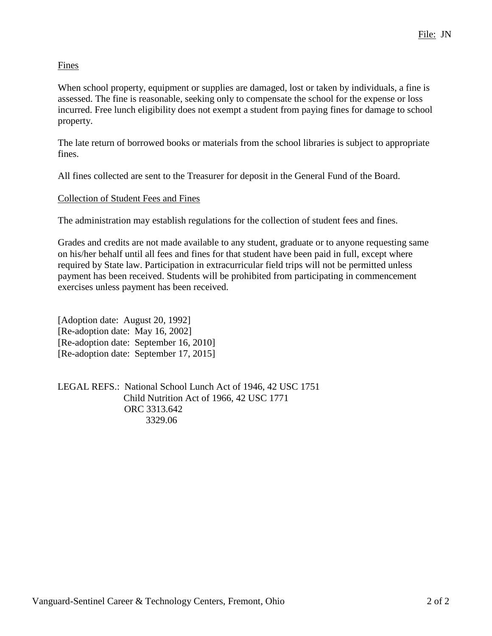# **Fines**

When school property, equipment or supplies are damaged, lost or taken by individuals, a fine is assessed. The fine is reasonable, seeking only to compensate the school for the expense or loss incurred. Free lunch eligibility does not exempt a student from paying fines for damage to school property.

The late return of borrowed books or materials from the school libraries is subject to appropriate fines.

All fines collected are sent to the Treasurer for deposit in the General Fund of the Board.

# Collection of Student Fees and Fines

The administration may establish regulations for the collection of student fees and fines.

Grades and credits are not made available to any student, graduate or to anyone requesting same on his/her behalf until all fees and fines for that student have been paid in full, except where required by State law. Participation in extracurricular field trips will not be permitted unless payment has been received. Students will be prohibited from participating in commencement exercises unless payment has been received.

[Adoption date: August 20, 1992] [Re-adoption date: May 16, 2002] [Re-adoption date: September 16, 2010] [Re-adoption date: September 17, 2015]

LEGAL REFS.: National School Lunch Act of 1946, 42 USC 1751 Child Nutrition Act of 1966, 42 USC 1771 ORC 3313.642 3329.06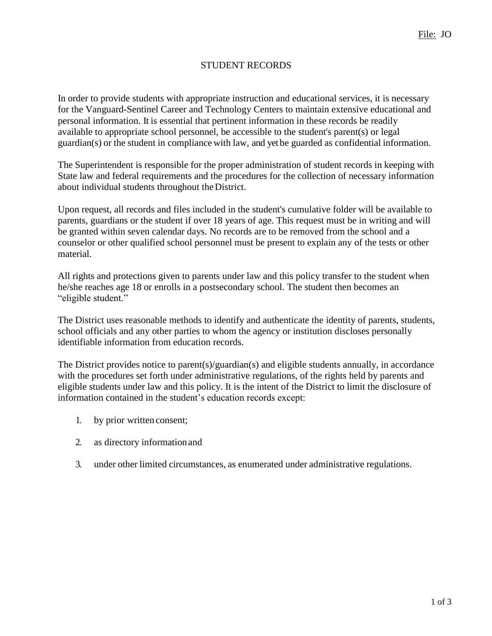# STUDENT RECORDS

In order to provide students with appropriate instruction and educational services, it is necessary for the Vanguard-Sentinel Career and Technology Centers to maintain extensive educational and personal information. It is essential that pertinent information in these records be readily available to appropriate school personnel, be accessible to the student's parent(s) or legal guardian(s) or the student in compliance with law, and yet be guarded as confidential information.

The Superintendent is responsible for the proper administration of student records in keeping with State law and federal requirements and the procedures for the collection of necessary information about individual students throughout theDistrict.

Upon request, all records and files included in the student's cumulative folder will be available to parents, guardians or the student if over 18 years of age. This request must be in writing and will be granted within seven calendar days. No records are to be removed from the school and a counselor or other qualified school personnel must be present to explain any of the tests or other material.

All rights and protections given to parents under law and this policy transfer to the student when he/she reaches age 18 or enrolls in a postsecondary school. The student then becomes an "eligible student."

The District uses reasonable methods to identify and authenticate the identity of parents, students, school officials and any other parties to whom the agency or institution discloses personally identifiable information from education records.

The District provides notice to parent(s)/guardian(s) and eligible students annually, in accordance with the procedures set forth under administrative regulations, of the rights held by parents and eligible students under law and this policy. It is the intent of the District to limit the disclosure of information contained in the student's education records except:

- 1. by prior written consent;
- 2. as directory informationand
- 3. under other limited circumstances, as enumerated under administrative regulations.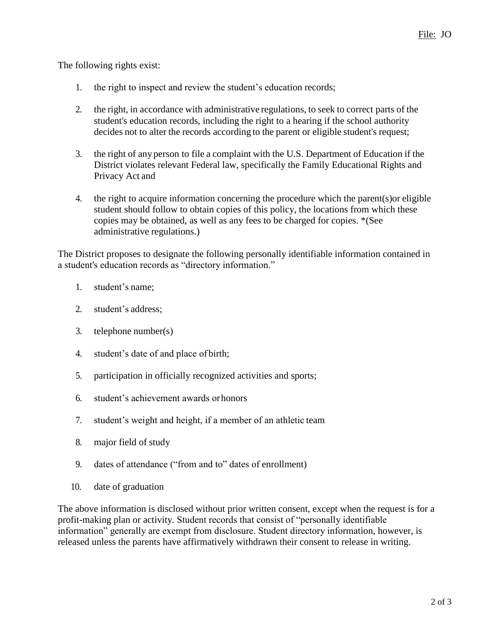The following rights exist:

- 1. the right to inspect and review the student's education records;
- 2. the right, in accordance with administrative regulations, to seek to correct parts of the student's education records, including the right to a hearing if the school authority decides not to alter the records according to the parent or eligible student's request;
- 3. the right of any person to file a complaint with the U.S. Department of Education if the District violates relevant Federal law, specifically the Family Educational Rights and Privacy Act and
- 4. the right to acquire information concerning the procedure which the parent(s)or eligible student should follow to obtain copies of this policy, the locations from which these copies may be obtained, as well as any fees to be charged for copies. \*(See administrative regulations.)

The District proposes to designate the following personally identifiable information contained in a student's education records as "directory information."

- 1. student's name;
- 2. student's address;
- 3. telephone number(s)
- 4. student's date of and place of birth;
- 5. participation in officially recognized activities and sports;
- 6. student's achievement awards orhonors
- 7. student's weight and height, if a member of an athletic team
- 8. major field of study
- 9. dates of attendance ("from and to" dates of enrollment)
- 10. date of graduation

The above information is disclosed without prior written consent, except when the request is for a profit-making plan or activity*.* Student records that consist of "personally identifiable information" generally are exempt from disclosure. Student directory information, however, is released unless the parents have affirmatively withdrawn their consent to release in writing.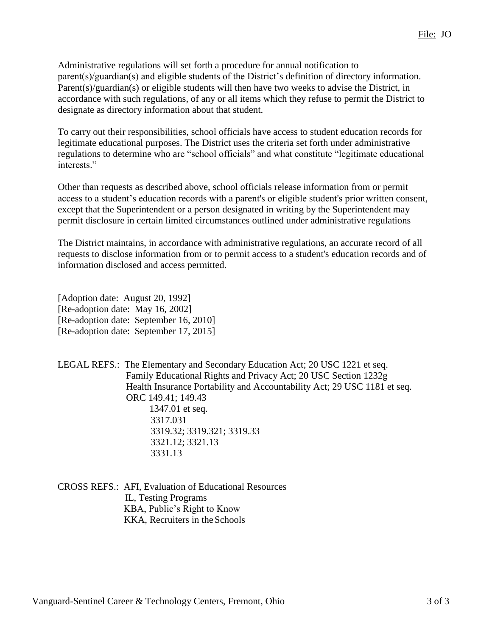Administrative regulations will set forth a procedure for annual notification to parent(s)/guardian(s) and eligible students of the District's definition of directory information. Parent(s)/guardian(s) or eligible students will then have two weeks to advise the District, in accordance with such regulations, of any or all items which they refuse to permit the District to designate as directory information about that student.

To carry out their responsibilities, school officials have access to student education records for legitimate educational purposes. The District uses the criteria set forth under administrative regulations to determine who are "school officials" and what constitute "legitimate educational interests."

Other than requests as described above, school officials release information from or permit access to a student's education records with a parent's or eligible student's prior written consent, except that the Superintendent or a person designated in writing by the Superintendent may permit disclosure in certain limited circumstances outlined under administrative regulations

The District maintains, in accordance with administrative regulations, an accurate record of all requests to disclose information from or to permit access to a student's education records and of information disclosed and access permitted.

[Adoption date: August 20, 1992] [Re-adoption date: May 16, 2002] [Re-adoption date: September 16, 2010] [Re-adoption date: September 17, 2015]

LEGAL REFS.: The Elementary and Secondary Education Act; 20 USC 1221 et seq. Family Educational Rights and Privacy Act; 20 USC Section 1232g Health Insurance Portability and Accountability Act; 29 USC 1181 et seq. ORC 149.41; 149.43 1347.01 et seq. 3317.031 3319.32; 3319.321; 3319.33 3321.12; 3321.13 3331.13

CROSS REFS.: AFI, Evaluation of Educational Resources IL, Testing Programs KBA, Public's Right to Know KKA, Recruiters in the Schools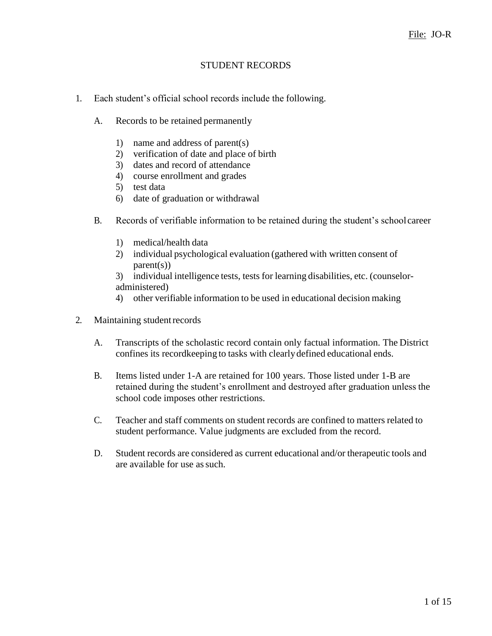# STUDENT RECORDS

- 1. Each student's official school records include the following.
	- A. Records to be retained permanently
		- 1) name and address of parent(s)
		- 2) verification of date and place of birth
		- 3) dates and record of attendance
		- 4) course enrollment and grades
		- 5) test data
		- 6) date of graduation or withdrawal
	- B. Records of verifiable information to be retained during the student's school career
		- 1) medical/health data
		- 2) individual psychological evaluation (gathered with written consent of  $parent(s)$
		- 3) individual intelligence tests, tests for learning disabilities, etc. (counseloradministered)
		- 4) other verifiable information to be used in educational decision making
- 2. Maintaining studentrecords
	- A. Transcripts of the scholastic record contain only factual information. The District confines its recordkeeping to tasks with clearlydefined educational ends.
	- B. Items listed under 1-A are retained for 100 years. Those listed under 1-B are retained during the student's enrollment and destroyed after graduation unless the school code imposes other restrictions.
	- C. Teacher and staff comments on student records are confined to matters related to student performance. Value judgments are excluded from the record.
	- D. Student records are considered as current educational and/or therapeutic tools and are available for use as such.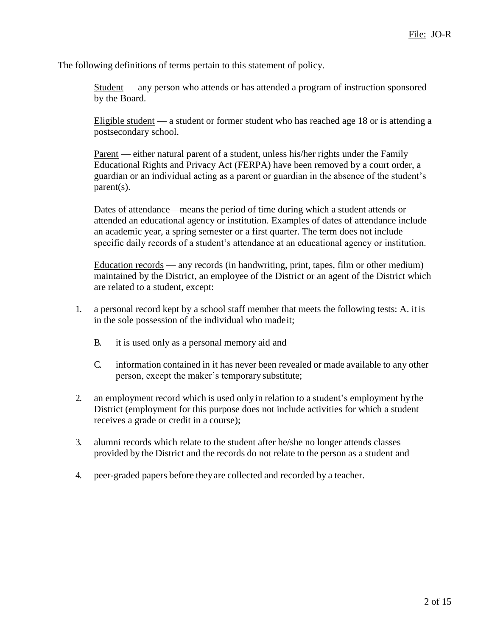The following definitions of terms pertain to this statement of policy.

Student — any person who attends or has attended a program of instruction sponsored by the Board.

Eligible student — a student or former student who has reached age 18 or is attending a postsecondary school.

Parent — either natural parent of a student, unless his/her rights under the Family Educational Rights and Privacy Act (FERPA) have been removed by a court order, a guardian or an individual acting as a parent or guardian in the absence of the student's parent(s).

Dates of attendance—means the period of time during which a student attends or attended an educational agency or institution. Examples of dates of attendance include an academic year, a spring semester or a first quarter. The term does not include specific daily records of a student's attendance at an educational agency or institution.

 $Education records$  — any records (in handwriting, print, tapes, film or other medium) maintained by the District, an employee of the District or an agent of the District which are related to a student, except:

- 1. a personal record kept by a school staff member that meets the following tests: A. it is in the sole possession of the individual who madeit;
	- B. it is used only as a personal memory aid and
	- C. information contained in it has never been revealed or made available to any other person, except the maker's temporary substitute;
- 2. an employment record which is used only in relation to a student's employment by the District (employment for this purpose does not include activities for which a student receives a grade or credit in a course);
- 3. alumni records which relate to the student after he/she no longer attends classes provided by the District and the records do not relate to the person as a student and
- 4. peer-graded papers before theyare collected and recorded by a teacher.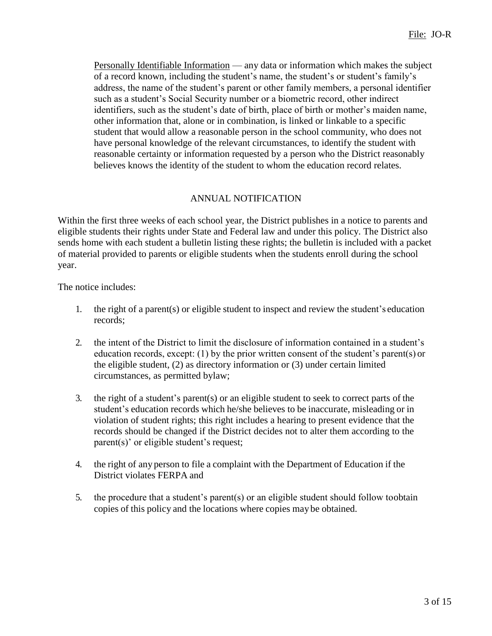Personally Identifiable Information — any data or information which makes the subject of a record known, including the student's name, the student's or student's family's address, the name of the student's parent or other family members, a personal identifier such as a student's Social Security number or a biometric record, other indirect identifiers, such as the student's date of birth, place of birth or mother's maiden name, other information that, alone or in combination, is linked or linkable to a specific student that would allow a reasonable person in the school community, who does not have personal knowledge of the relevant circumstances, to identify the student with reasonable certainty or information requested by a person who the District reasonably believes knows the identity of the student to whom the education record relates.

# ANNUAL NOTIFICATION

Within the first three weeks of each school year, the District publishes in a notice to parents and eligible students their rights under State and Federal law and under this policy. The District also sends home with each student a bulletin listing these rights; the bulletin is included with a packet of material provided to parents or eligible students when the students enroll during the school year.

The notice includes:

- 1. the right of a parent(s) or eligible student to inspect and review the student's education records;
- 2. the intent of the District to limit the disclosure of information contained in a student's education records, except: (1) by the prior written consent of the student's parent(s) or the eligible student, (2) as directory information or (3) under certain limited circumstances, as permitted bylaw;
- 3. the right of a student's parent(s) or an eligible student to seek to correct parts of the student's education records which he/she believes to be inaccurate, misleading or in violation of student rights; this right includes a hearing to present evidence that the records should be changed if the District decides not to alter them according to the parent(s)' or eligible student's request;
- 4. the right of any person to file a complaint with the Department of Education if the District violates FERPA and
- 5. the procedure that a student's parent(s) or an eligible student should follow toobtain copies of this policy and the locations where copies may be obtained.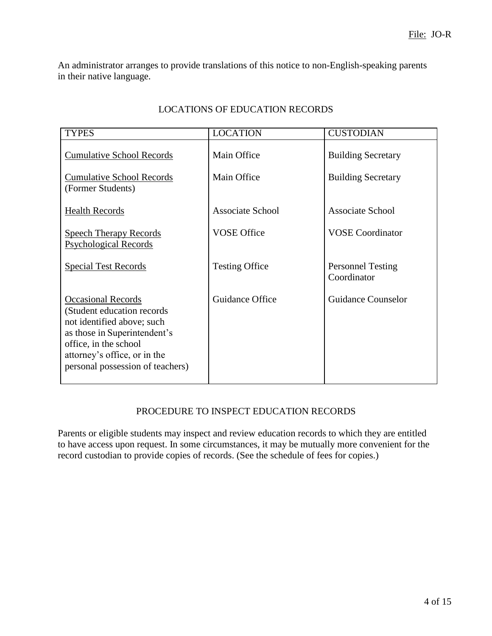An administrator arranges to provide translations of this notice to non-English-speaking parents in their native language.

| <b>TYPES</b>                                                                                                                                                                                                        | <b>LOCATION</b>         | <b>CUSTODIAN</b>                        |
|---------------------------------------------------------------------------------------------------------------------------------------------------------------------------------------------------------------------|-------------------------|-----------------------------------------|
| <b>Cumulative School Records</b>                                                                                                                                                                                    | Main Office             | <b>Building Secretary</b>               |
| <b>Cumulative School Records</b><br>(Former Students)                                                                                                                                                               | Main Office             | <b>Building Secretary</b>               |
| <b>Health Records</b>                                                                                                                                                                                               | <b>Associate School</b> | <b>Associate School</b>                 |
| <b>Speech Therapy Records</b><br><b>Psychological Records</b>                                                                                                                                                       | <b>VOSE Office</b>      | <b>VOSE</b> Coordinator                 |
| <b>Special Test Records</b>                                                                                                                                                                                         | <b>Testing Office</b>   | <b>Personnel Testing</b><br>Coordinator |
| <b>Occasional Records</b><br>(Student education records)<br>not identified above; such<br>as those in Superintendent's<br>office, in the school<br>attorney's office, or in the<br>personal possession of teachers) | Guidance Office         | <b>Guidance Counselor</b>               |

### LOCATIONS OF EDUCATION RECORDS

# PROCEDURE TO INSPECT EDUCATION RECORDS

Parents or eligible students may inspect and review education records to which they are entitled to have access upon request. In some circumstances, it may be mutually more convenient for the record custodian to provide copies of records. (See the schedule of fees for copies.)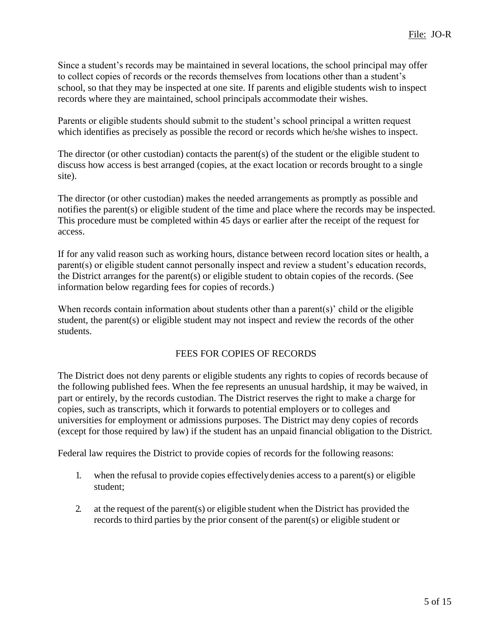Since a student's records may be maintained in several locations, the school principal may offer to collect copies of records or the records themselves from locations other than a student's school, so that they may be inspected at one site. If parents and eligible students wish to inspect records where they are maintained, school principals accommodate their wishes.

Parents or eligible students should submit to the student's school principal a written request which identifies as precisely as possible the record or records which he/she wishes to inspect.

The director (or other custodian) contacts the parent(s) of the student or the eligible student to discuss how access is best arranged (copies, at the exact location or records brought to a single site).

The director (or other custodian) makes the needed arrangements as promptly as possible and notifies the parent(s) or eligible student of the time and place where the records may be inspected. This procedure must be completed within 45 days or earlier after the receipt of the request for access.

If for any valid reason such as working hours, distance between record location sites or health, a parent(s) or eligible student cannot personally inspect and review a student's education records, the District arranges for the parent(s) or eligible student to obtain copies of the records. (See information below regarding fees for copies of records.)

When records contain information about students other than a parent(s)' child or the eligible student, the parent(s) or eligible student may not inspect and review the records of the other students.

# FEES FOR COPIES OF RECORDS

The District does not deny parents or eligible students any rights to copies of records because of the following published fees. When the fee represents an unusual hardship, it may be waived, in part or entirely, by the records custodian. The District reserves the right to make a charge for copies, such as transcripts, which it forwards to potential employers or to colleges and universities for employment or admissions purposes. The District may deny copies of records (except for those required by law) if the student has an unpaid financial obligation to the District.

Federal law requires the District to provide copies of records for the following reasons:

- 1. when the refusal to provide copies effectivelydenies access to a parent(s) or eligible student;
- 2. at the request of the parent(s) or eligible student when the District has provided the records to third parties by the prior consent of the parent(s) or eligible student or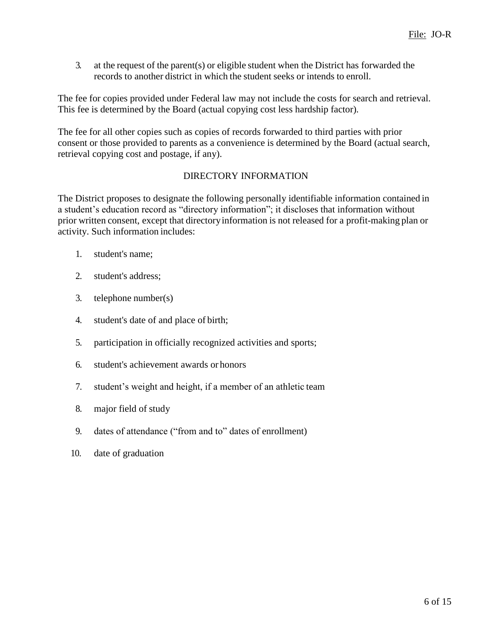3. at the request of the parent(s) or eligible student when the District has forwarded the records to another district in which the student seeks or intends to enroll.

The fee for copies provided under Federal law may not include the costs for search and retrieval. This fee is determined by the Board (actual copying cost less hardship factor)*.*

The fee for all other copies such as copies of records forwarded to third parties with prior consent or those provided to parents as a convenience is determined by the Board (actual search, retrieval copying cost and postage, if any).

#### DIRECTORY INFORMATION

The District proposes to designate the following personally identifiable information contained in a student's education record as "directory information"; it discloses that information without prior written consent, except that directoryinformation is not released for a profit-making plan or activity. Such information includes:

- 1. student's name;
- 2. student's address;
- 3. telephone number(s)
- 4. student's date of and place of birth;
- 5. participation in officially recognized activities and sports;
- 6. student's achievement awards or honors
- 7. student's weight and height, if a member of an athletic team
- 8. major field of study
- 9. dates of attendance ("from and to" dates of enrollment)
- 10. date of graduation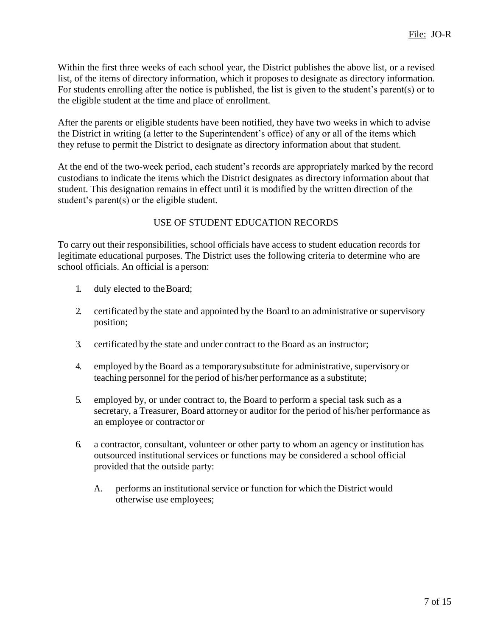Within the first three weeks of each school year, the District publishes the above list, or a revised list, of the items of directory information, which it proposes to designate as directory information. For students enrolling after the notice is published, the list is given to the student's parent(s) or to the eligible student at the time and place of enrollment.

After the parents or eligible students have been notified, they have two weeks in which to advise the District in writing (a letter to the Superintendent's office) of any or all of the items which they refuse to permit the District to designate as directory information about that student.

At the end of the two-week period, each student's records are appropriately marked by the record custodians to indicate the items which the District designates as directory information about that student. This designation remains in effect until it is modified by the written direction of the student's parent(s) or the eligible student.

# USE OF STUDENT EDUCATION RECORDS

To carry out their responsibilities, school officials have access to student education records for legitimate educational purposes. The District uses the following criteria to determine who are school officials. An official is a person:

- 1. duly elected to theBoard;
- 2. certificated by the state and appointed by the Board to an administrative or supervisory position;
- 3. certificated by the state and under contract to the Board as an instructor;
- 4. employed by the Board as a temporary substitute for administrative, supervisory or teaching personnel for the period of his/her performance as a substitute;
- 5. employed by, or under contract to, the Board to perform a special task such as a secretary, a Treasurer, Board attorneyor auditor for the period of his/her performance as an employee or contractor or
- 6. a contractor, consultant, volunteer or other party to whom an agency or institutionhas outsourced institutional services or functions may be considered a school official provided that the outside party:
	- A. performs an institutional service or function for which the District would otherwise use employees;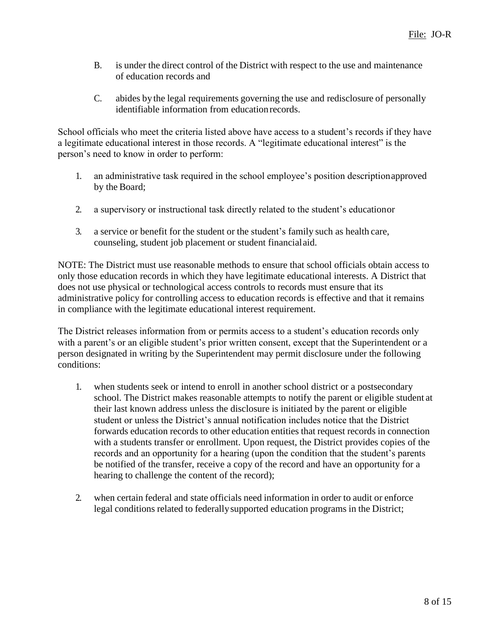- B. is under the direct control of the District with respect to the use and maintenance of education records and
- C. abides by the legal requirements governing the use and redisclosure of personally identifiable information from education records.

School officials who meet the criteria listed above have access to a student's records if they have a legitimate educational interest in those records. A "legitimate educational interest" is the person's need to know in order to perform:

- 1. an administrative task required in the school employee's position descriptionapproved by the Board;
- 2. a supervisory or instructional task directly related to the student's educationor
- 3. a service or benefit for the student or the student's family such as health care, counseling, student job placement or student financialaid.

NOTE: The District must use reasonable methods to ensure that school officials obtain access to only those education records in which they have legitimate educational interests. A District that does not use physical or technological access controls to records must ensure that its administrative policy for controlling access to education records is effective and that it remains in compliance with the legitimate educational interest requirement.

The District releases information from or permits access to a student's education records only with a parent's or an eligible student's prior written consent, except that the Superintendent or a person designated in writing by the Superintendent may permit disclosure under the following conditions:

- 1. when students seek or intend to enroll in another school district or a postsecondary school. The District makes reasonable attempts to notify the parent or eligible student at their last known address unless the disclosure is initiated by the parent or eligible student or unless the District's annual notification includes notice that the District forwards education records to other education entities that request records in connection with a students transfer or enrollment. Upon request, the District provides copies of the records and an opportunity for a hearing (upon the condition that the student's parents be notified of the transfer, receive a copy of the record and have an opportunity for a hearing to challenge the content of the record);
- 2. when certain federal and state officials need information in order to audit or enforce legal conditions related to federallysupported education programs in the District;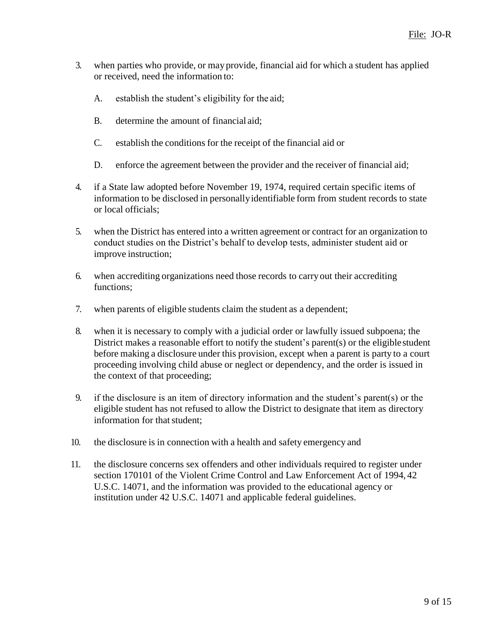- 3. when parties who provide, or may provide, financial aid for which a student has applied or received, need the information to:
	- A. establish the student's eligibility for the aid;
	- B. determine the amount of financial aid;
	- C. establish the conditions for the receipt of the financial aid or
	- D. enforce the agreement between the provider and the receiver of financial aid;
- 4. if a State law adopted before November 19, 1974, required certain specific items of information to be disclosed in personallyidentifiable form from student records to state or local officials;
- 5. when the District has entered into a written agreement or contract for an organization to conduct studies on the District's behalf to develop tests, administer student aid or improve instruction;
- 6. when accrediting organizations need those records to carry out their accrediting functions;
- 7. when parents of eligible students claim the student as a dependent;
- 8. when it is necessary to comply with a judicial order or lawfully issued subpoena; the District makes a reasonable effort to notify the student's parent(s) or the eligiblestudent before making a disclosure under this provision, except when a parent is party to a court proceeding involving child abuse or neglect or dependency, and the order is issued in the context of that proceeding;
- 9. if the disclosure is an item of directory information and the student's parent(s) or the eligible student has not refused to allow the District to designate that item as directory information for that student:
- 10. the disclosure is in connection with a health and safety emergency and
- 11. the disclosure concerns sex offenders and other individuals required to register under section 170101 of the Violent Crime Control and Law Enforcement Act of 1994, 42 U.S.C. 14071, and the information was provided to the educational agency or institution under 42 U.S.C. 14071 and applicable federal guidelines.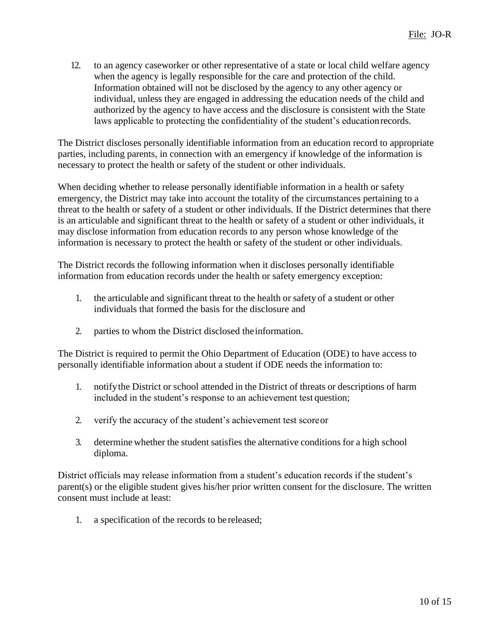12. to an agency caseworker or other representative of a state or local child welfare agency when the agency is legally responsible for the care and protection of the child. Information obtained will not be disclosed by the agency to any other agency or individual, unless they are engaged in addressing the education needs of the child and authorized by the agency to have access and the disclosure is consistent with the State laws applicable to protecting the confidentiality of the student's educationrecords.

The District discloses personally identifiable information from an education record to appropriate parties, including parents, in connection with an emergency if knowledge of the information is necessary to protect the health or safety of the student or other individuals.

When deciding whether to release personally identifiable information in a health or safety emergency, the District may take into account the totality of the circumstances pertaining to a threat to the health or safety of a student or other individuals. If the District determines that there is an articulable and significant threat to the health or safety of a student or other individuals, it may disclose information from education records to any person whose knowledge of the information is necessary to protect the health or safety of the student or other individuals.

The District records the following information when it discloses personally identifiable information from education records under the health or safety emergency exception:

- 1. the articulable and significant threat to the health or safety of a student or other individuals that formed the basis for the disclosure and
- 2. parties to whom the District disclosed theinformation.

The District is required to permit the Ohio Department of Education (ODE) to have access to personally identifiable information about a student if ODE needs the information to:

- 1. notifythe District or school attended in the District of threats or descriptions of harm included in the student's response to an achievement test question;
- 2. verify the accuracy of the student's achievement test scoreor
- 3. determine whether the student satisfies the alternative conditions for a high school diploma.

District officials may release information from a student's education records if the student's parent(s) or the eligible student gives his/her prior written consent for the disclosure. The written consent must include at least:

1. a specification of the records to be released;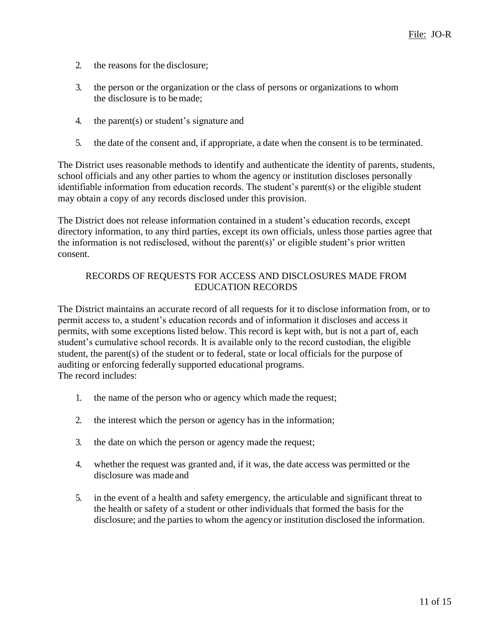- 2. the reasons for the disclosure;
- 3. the person or the organization or the class of persons or organizations to whom the disclosure is to bemade;
- 4. the parent(s) or student's signature and
- 5. the date of the consent and, if appropriate, a date when the consent is to be terminated.

The District uses reasonable methods to identify and authenticate the identity of parents, students, school officials and any other parties to whom the agency or institution discloses personally identifiable information from education records. The student's parent(s) or the eligible student may obtain a copy of any records disclosed under this provision.

The District does not release information contained in a student's education records, except directory information, to any third parties, except its own officials, unless those parties agree that the information is not redisclosed, without the parent(s)' or eligible student's prior written consent.

# RECORDS OF REQUESTS FOR ACCESS AND DISCLOSURES MADE FROM EDUCATION RECORDS

The District maintains an accurate record of all requests for it to disclose information from, or to permit access to, a student's education records and of information it discloses and access it permits, with some exceptions listed below. This record is kept with, but is not a part of, each student's cumulative school records. It is available only to the record custodian, the eligible student, the parent(s) of the student or to federal, state or local officials for the purpose of auditing or enforcing federally supported educational programs. The record includes:

- 1. the name of the person who or agency which made the request;
- 2. the interest which the person or agency has in the information;
- 3. the date on which the person or agency made the request;
- 4. whether the request was granted and, if it was, the date access was permitted or the disclosure was made and
- 5. in the event of a health and safety emergency, the articulable and significant threat to the health or safety of a student or other individuals that formed the basis for the disclosure; and the parties to whom the agencyor institution disclosed the information.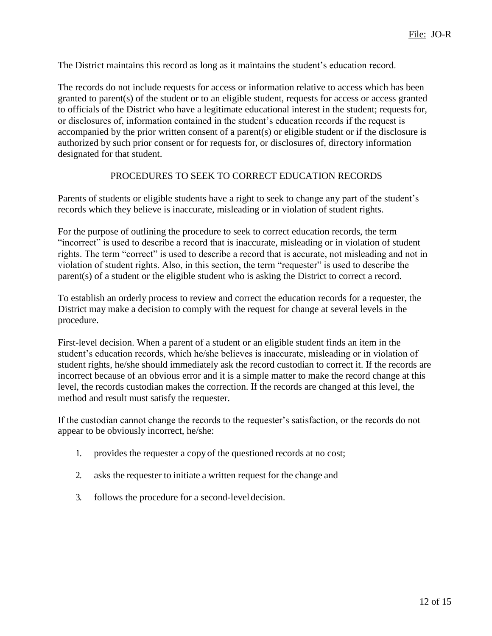The District maintains this record as long as it maintains the student's education record.

The records do not include requests for access or information relative to access which has been granted to parent(s) of the student or to an eligible student, requests for access or access granted to officials of the District who have a legitimate educational interest in the student; requests for, or disclosures of, information contained in the student's education records if the request is accompanied by the prior written consent of a parent(s) or eligible student or if the disclosure is authorized by such prior consent or for requests for, or disclosures of, directory information designated for that student.

#### PROCEDURES TO SEEK TO CORRECT EDUCATION RECORDS

Parents of students or eligible students have a right to seek to change any part of the student's records which they believe is inaccurate, misleading or in violation of student rights.

For the purpose of outlining the procedure to seek to correct education records, the term "incorrect" is used to describe a record that is inaccurate, misleading or in violation of student rights. The term "correct" is used to describe a record that is accurate, not misleading and not in violation of student rights. Also, in this section, the term "requester" is used to describe the parent(s) of a student or the eligible student who is asking the District to correct a record.

To establish an orderly process to review and correct the education records for a requester, the District may make a decision to comply with the request for change at several levels in the procedure.

First-level decision. When a parent of a student or an eligible student finds an item in the student's education records, which he/she believes is inaccurate, misleading or in violation of student rights, he/she should immediately ask the record custodian to correct it. If the records are incorrect because of an obvious error and it is a simple matter to make the record change at this level, the records custodian makes the correction. If the records are changed at this level, the method and result must satisfy the requester.

If the custodian cannot change the records to the requester's satisfaction, or the records do not appear to be obviously incorrect, he/she:

- 1. provides the requester a copy of the questioned records at no cost;
- 2. asks the requester to initiate a written request for the change and
- 3. follows the procedure for a second-leveldecision.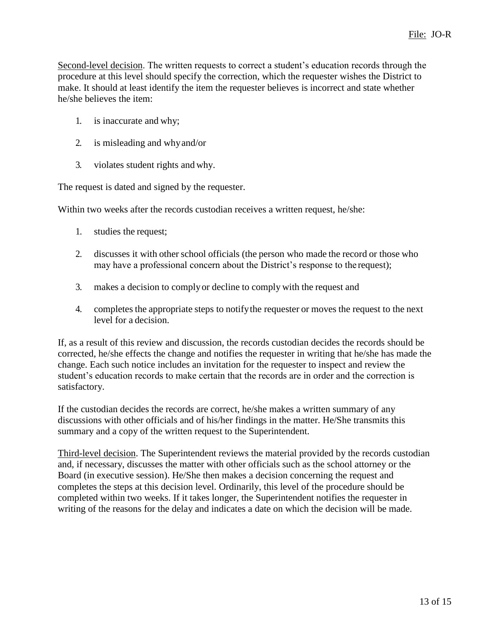Second-level decision. The written requests to correct a student's education records through the procedure at this level should specify the correction, which the requester wishes the District to make. It should at least identify the item the requester believes is incorrect and state whether he/she believes the item:

- 1. is inaccurate and why;
- 2. is misleading and whyand/or
- 3. violates student rights and why.

The request is dated and signed by the requester.

Within two weeks after the records custodian receives a written request, he/she:

- 1. studies the request;
- 2. discusses it with other school officials (the person who made the record or those who may have a professional concern about the District's response to the request);
- 3. makes a decision to complyor decline to comply with the request and
- 4. completes the appropriate steps to notifythe requester or moves the request to the next level for a decision.

If, as a result of this review and discussion, the records custodian decides the records should be corrected, he/she effects the change and notifies the requester in writing that he/she has made the change. Each such notice includes an invitation for the requester to inspect and review the student's education records to make certain that the records are in order and the correction is satisfactory.

If the custodian decides the records are correct, he/she makes a written summary of any discussions with other officials and of his/her findings in the matter. He/She transmits this summary and a copy of the written request to the Superintendent.

Third-level decision. The Superintendent reviews the material provided by the records custodian and, if necessary, discusses the matter with other officials such as the school attorney or the Board (in executive session). He/She then makes a decision concerning the request and completes the steps at this decision level. Ordinarily, this level of the procedure should be completed within two weeks. If it takes longer, the Superintendent notifies the requester in writing of the reasons for the delay and indicates a date on which the decision will be made.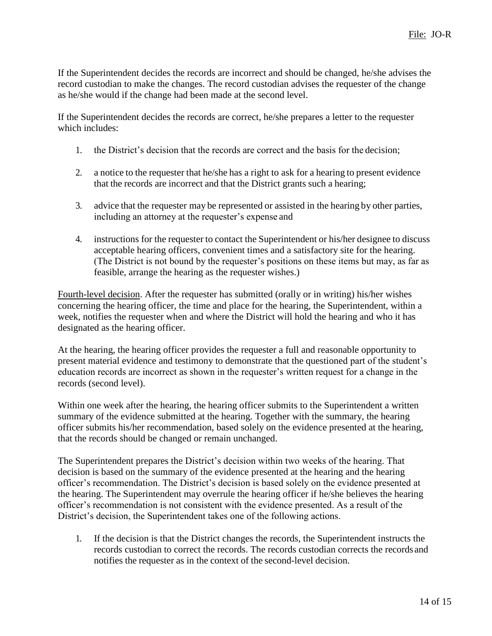If the Superintendent decides the records are incorrect and should be changed, he/she advises the record custodian to make the changes. The record custodian advises the requester of the change as he/she would if the change had been made at the second level.

If the Superintendent decides the records are correct, he/she prepares a letter to the requester which includes:

- 1. the District's decision that the records are correct and the basis for the decision;
- 2. a notice to the requester that he/she has a right to ask for a hearing to present evidence that the records are incorrect and that the District grants such a hearing;
- 3. advice that the requester may be represented or assisted in the hearing by other parties, including an attorney at the requester's expense and
- 4. instructions for the requester to contact the Superintendent or his/her designee to discuss acceptable hearing officers, convenient times and a satisfactory site for the hearing. (The District is not bound by the requester's positions on these items but may, as far as feasible, arrange the hearing as the requester wishes.)

Fourth-level decision. After the requester has submitted (orally or in writing) his/her wishes concerning the hearing officer, the time and place for the hearing, the Superintendent, within a week, notifies the requester when and where the District will hold the hearing and who it has designated as the hearing officer.

At the hearing, the hearing officer provides the requester a full and reasonable opportunity to present material evidence and testimony to demonstrate that the questioned part of the student's education records are incorrect as shown in the requester's written request for a change in the records (second level).

Within one week after the hearing, the hearing officer submits to the Superintendent a written summary of the evidence submitted at the hearing. Together with the summary, the hearing officer submits his/her recommendation, based solely on the evidence presented at the hearing, that the records should be changed or remain unchanged.

The Superintendent prepares the District's decision within two weeks of the hearing. That decision is based on the summary of the evidence presented at the hearing and the hearing officer's recommendation. The District's decision is based solely on the evidence presented at the hearing. The Superintendent may overrule the hearing officer if he/she believes the hearing officer's recommendation is not consistent with the evidence presented. As a result of the District's decision, the Superintendent takes one of the following actions.

1. If the decision is that the District changes the records, the Superintendent instructs the records custodian to correct the records. The records custodian corrects the recordsand notifies the requester as in the context of the second-level decision.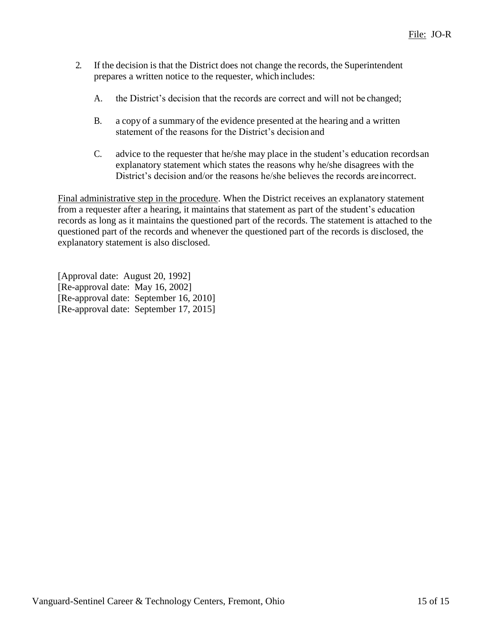- 2. If the decision is that the District does not change the records, the Superintendent prepares a written notice to the requester, whichincludes:
	- A. the District's decision that the records are correct and will not be changed;
	- B. a copy of a summary of the evidence presented at the hearing and a written statement of the reasons for the District's decision and
	- C. advice to the requester that he/she may place in the student's education recordsan explanatory statement which states the reasons why he/she disagrees with the District's decision and/or the reasons he/she believes the records areincorrect.

Final administrative step in the procedure. When the District receives an explanatory statement from a requester after a hearing, it maintains that statement as part of the student's education records as long as it maintains the questioned part of the records. The statement is attached to the questioned part of the records and whenever the questioned part of the records is disclosed, the explanatory statement is also disclosed.

[Approval date: August 20, 1992] [Re-approval date: May 16, 2002] [Re-approval date: September 16, 2010] [Re-approval date: September 17, 2015]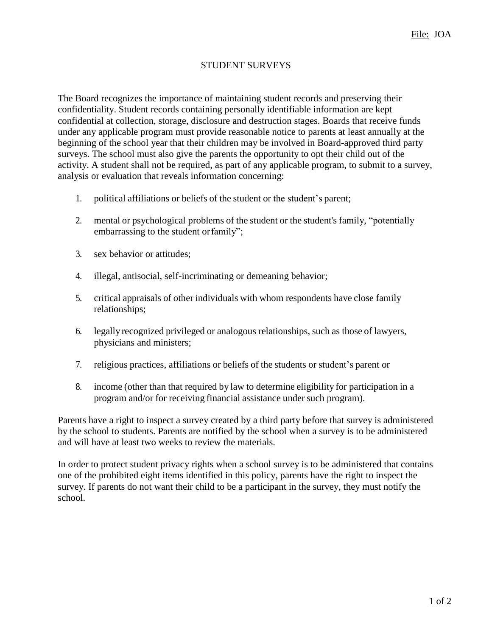# STUDENT SURVEYS

The Board recognizes the importance of maintaining student records and preserving their confidentiality. Student records containing personally identifiable information are kept confidential at collection, storage, disclosure and destruction stages. Boards that receive funds under any applicable program must provide reasonable notice to parents at least annually at the beginning of the school year that their children may be involved in Board-approved third party surveys. The school must also give the parents the opportunity to opt their child out of the activity. A student shall not be required, as part of any applicable program, to submit to a survey, analysis or evaluation that reveals information concerning:

- 1. political affiliations or beliefs of the student or the student's parent;
- 2. mental or psychological problems of the student or the student's family, "potentially embarrassing to the student orfamily";
- 3. sex behavior or attitudes;
- 4. illegal, antisocial, self-incriminating or demeaning behavior;
- 5. critical appraisals of other individuals with whom respondents have close family relationships;
- 6. legally recognized privileged or analogous relationships, such as those of lawyers, physicians and ministers;
- 7. religious practices, affiliations or beliefs of the students or student's parent or
- 8. income (other than that required by law to determine eligibility for participation in a program and/or for receiving financial assistance under such program).

Parents have a right to inspect a survey created by a third party before that survey is administered by the school to students. Parents are notified by the school when a survey is to be administered and will have at least two weeks to review the materials.

In order to protect student privacy rights when a school survey is to be administered that contains one of the prohibited eight items identified in this policy, parents have the right to inspect the survey. If parents do not want their child to be a participant in the survey, they must notify the school.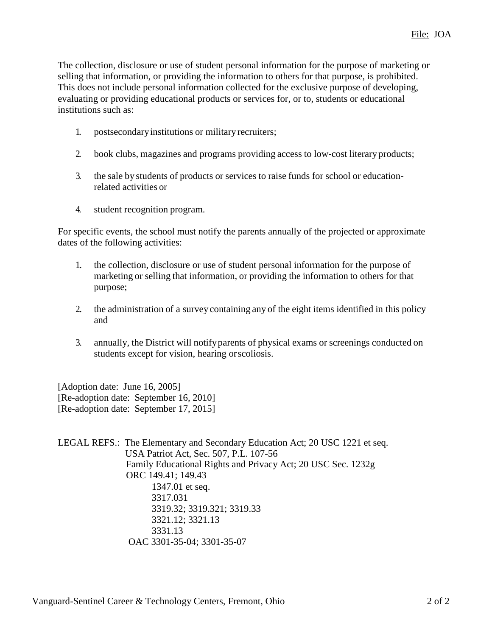The collection, disclosure or use of student personal information for the purpose of marketing or selling that information, or providing the information to others for that purpose, is prohibited. This does not include personal information collected for the exclusive purpose of developing, evaluating or providing educational products or services for, or to, students or educational institutions such as:

- 1. postsecondaryinstitutions or militaryrecruiters;
- 2. book clubs, magazines and programs providing access to low-cost literary products;
- 3. the sale by students of products or services to raise funds for school or educationrelated activities or
- 4. student recognition program.

For specific events, the school must notify the parents annually of the projected or approximate dates of the following activities:

- 1. the collection, disclosure or use of student personal information for the purpose of marketing or selling that information, or providing the information to others for that purpose;
- 2. the administration of a survey containing any of the eight items identified in this policy and
- 3. annually, the District will notifyparents of physical exams or screenings conducted on students except for vision, hearing orscoliosis.

[Adoption date: June 16, 2005] [Re-adoption date: September 16, 2010] [Re-adoption date: September 17, 2015]

LEGAL REFS.: The Elementary and Secondary Education Act; 20 USC 1221 et seq. USA Patriot Act, Sec. 507, P.L. 107-56 Family Educational Rights and Privacy Act; 20 USC Sec. 1232g ORC 149.41; 149.43 1347.01 et seq. 3317.031 3319.32; 3319.321; 3319.33 3321.12; 3321.13 3331.13 OAC 3301-35-04; 3301-35-07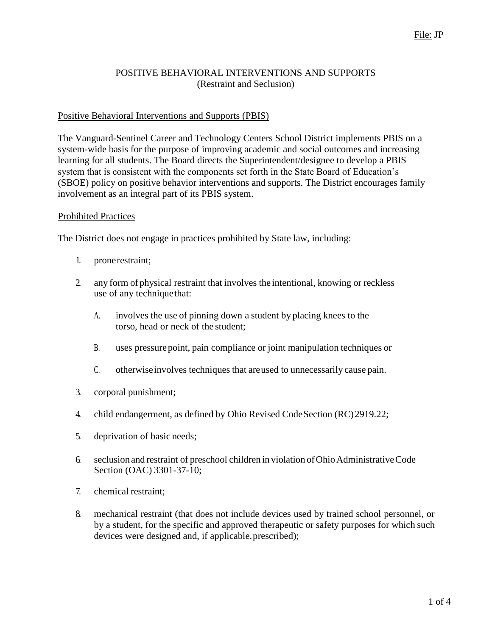### POSITIVE BEHAVIORAL INTERVENTIONS AND SUPPORTS (Restraint and Seclusion)

### Positive Behavioral Interventions and Supports (PBIS)

The Vanguard-Sentinel Career and Technology Centers School District implements PBIS on a system-wide basis for the purpose of improving academic and social outcomes and increasing learning for all students. The Board directs the Superintendent/designee to develop a PBIS system that is consistent with the components set forth in the State Board of Education's (SBOE) policy on positive behavior interventions and supports. The District encourages family involvement as an integral part of its PBIS system.

#### Prohibited Practices

The District does not engage in practices prohibited by State law, including:

- 1. pronerestraint;
- 2. any form of physical restraint that involves the intentional, knowing or reckless use of any techniquethat:
	- A. involves the use of pinning down a student by placing knees to the torso, head or neck of the student;
	- B. uses pressure point, pain compliance or joint manipulation techniques or
	- C. otherwiseinvolves techniques that areused to unnecessarily cause pain.
- 3. corporal punishment;
- 4. child endangerment, as defined by Ohio Revised CodeSection (RC)2919.22;
- 5. deprivation of basic needs;
- 6. seclusion and restraint of preschool children in violation of Ohio Administrative Code Section (OAC) 3301-37-10;
- 7. chemical restraint;
- 8. mechanical restraint (that does not include devices used by trained school personnel, or by a student, for the specific and approved therapeutic or safety purposes for which such devices were designed and, if applicable, prescribed);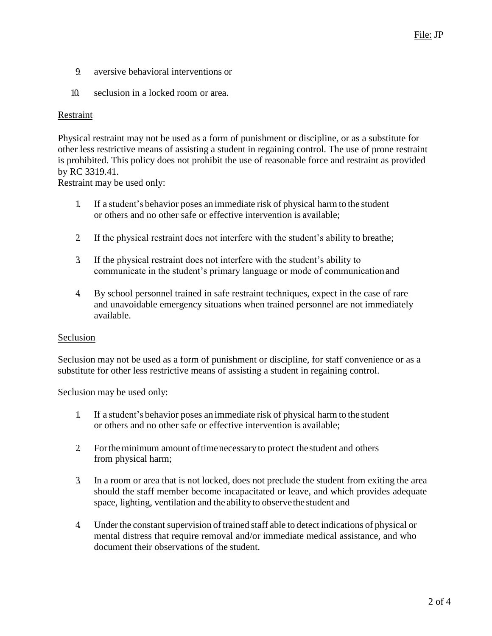- 9. aversive behavioral interventions or
- 10. seclusion in a locked room or area.

#### Restraint

Physical restraint may not be used as a form of punishment or discipline, or as a substitute for other less restrictive means of assisting a student in regaining control. The use of prone restraint is prohibited. This policy does not prohibit the use of reasonable force and restraint as provided by RC 3319.41.

Restraint may be used only:

- 1. If a student's behavior poses an immediate risk of physical harm to the student or others and no other safe or effective intervention is available;
- 2. If the physical restraint does not interfere with the student's ability to breathe;
- 3. If the physical restraint does not interfere with the student's ability to communicate in the student's primary language or mode of communicationand
- 4. By school personnel trained in safe restraint techniques, expect in the case of rare and unavoidable emergency situations when trained personnel are not immediately available.

#### Seclusion

Seclusion may not be used as a form of punishment or discipline, for staff convenience or as a substitute for other less restrictive means of assisting a student in regaining control.

Seclusion may be used only:

- 1. If a student's behavior poses an immediate risk of physical harm to the student or others and no other safe or effective intervention is available;
- 2 For the minimum amount of time necessary to protect the student and others from physical harm;
- 3. In a room or area that is not locked, does not preclude the student from exiting the area should the staff member become incapacitated or leave, and which provides adequate space, lighting, ventilation and the abilityto observethe student and
- 4. Under the constant supervision of trained staff able to detect indications of physical or mental distress that require removal and/or immediate medical assistance, and who document their observations of the student.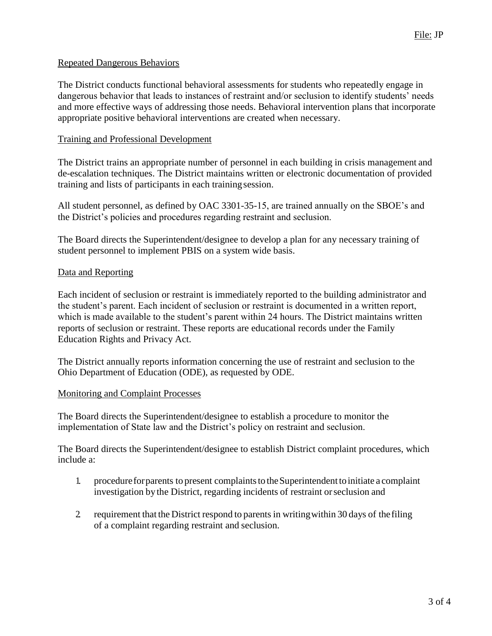### Repeated Dangerous Behaviors

The District conducts functional behavioral assessments for students who repeatedly engage in dangerous behavior that leads to instances of restraint and/or seclusion to identify students' needs and more effective ways of addressing those needs. Behavioral intervention plans that incorporate appropriate positive behavioral interventions are created when necessary.

#### Training and Professional Development

The District trains an appropriate number of personnel in each building in crisis management and de-escalation techniques. The District maintains written or electronic documentation of provided training and lists of participants in each trainingsession.

All student personnel, as defined by OAC 3301-35-15, are trained annually on the SBOE's and the District's policies and procedures regarding restraint and seclusion.

The Board directs the Superintendent/designee to develop a plan for any necessary training of student personnel to implement PBIS on a system wide basis.

#### Data and Reporting

Each incident of seclusion or restraint is immediately reported to the building administrator and the student's parent. Each incident of seclusion or restraint is documented in a written report, which is made available to the student's parent within 24 hours. The District maintains written reports of seclusion or restraint. These reports are educational records under the Family Education Rights and Privacy Act.

The District annually reports information concerning the use of restraint and seclusion to the Ohio Department of Education (ODE), as requested by ODE.

#### Monitoring and Complaint Processes

The Board directs the Superintendent/designee to establish a procedure to monitor the implementation of State law and the District's policy on restraint and seclusion.

The Board directs the Superintendent/designee to establish District complaint procedures, which include a:

- 1. procedure for parents to present complaints to the Superintendent to initiate a complaint investigation by the District, regarding incidents of restraint orseclusion and
- 2. requirement that the District respond to parents in writingwithin 30 days of thefiling of a complaint regarding restraint and seclusion.